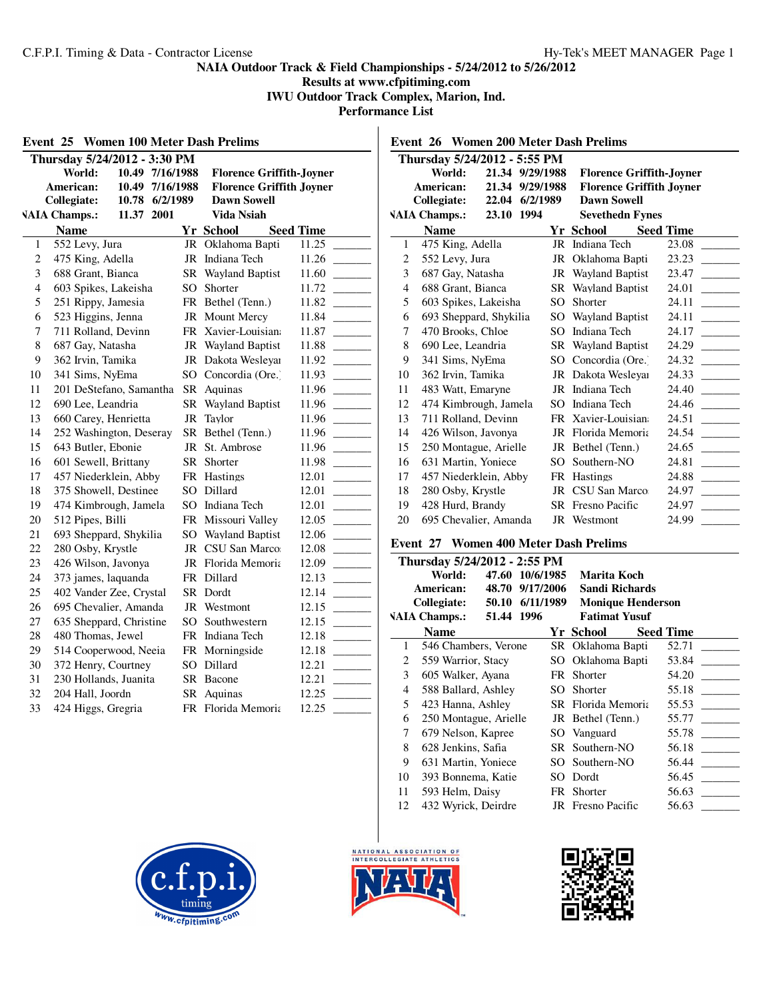# **Results at www.cfpitiming.com IWU Outdoor Track Complex, Marion, Ind.**

**Performance List**

|                              | Thursday 5/24/2012 - 3:30 PM                  |                 |                                 |                                     |                  |
|------------------------------|-----------------------------------------------|-----------------|---------------------------------|-------------------------------------|------------------|
|                              | World:                                        | 10.49 7/16/1988 |                                 | <b>Florence Griffith-Joyner</b>     |                  |
| American:<br>10.49 7/16/1988 |                                               |                 | <b>Florence Griffith Joyner</b> |                                     |                  |
|                              | Collegiate:                                   | 10.78 6/2/1989  |                                 | <b>Dawn Sowell</b>                  |                  |
|                              | <b>VAIA Champs.:</b>                          | 11.37 2001      |                                 | Vida Nsiah                          |                  |
|                              | <b>Name</b>                                   |                 |                                 | Yr School                           | <b>Seed Time</b> |
| 1                            | 552 Levy, Jura                                |                 |                                 | JR Oklahoma Bapti                   | 11.25            |
| 2                            | 475 King, Adella                              |                 |                                 | JR Indiana Tech                     | 11.26            |
| 3                            | 688 Grant, Bianca                             |                 |                                 | SR Wayland Baptist                  | 11.60            |
| 4                            | 603 Spikes, Lakeisha                          |                 |                                 | SO Shorter                          | 11.72            |
| 5                            | 251 Rippy, Jamesia                            |                 |                                 | FR Bethel (Tenn.)                   | 11.82            |
| 6                            | 523 Higgins, Jenna                            |                 |                                 | JR Mount Mercy                      | 11.84            |
| 7                            | 711 Rolland, Devinn                           |                 |                                 | FR Xavier-Louisian                  | 11.87            |
| 8                            | 687 Gay, Natasha                              |                 |                                 | JR Wayland Baptist                  | 11.88            |
| 9                            | 362 Irvin, Tamika                             |                 |                                 | JR Dakota Wesleyar                  | 11.92            |
| 10                           | 341 Sims, NyEma                               |                 |                                 | SO Concordia (Ore.)                 | 11.93            |
| 11                           | 201 DeStefano, Samantha                       |                 |                                 | SR Aquinas                          | 11.96            |
| 12                           | 690 Lee, Leandria                             |                 |                                 | SR Wayland Baptist                  | 11.96            |
| 13                           | 660 Carey, Henrietta                          |                 |                                 | JR Taylor                           | 11.96            |
| 14<br>15                     | 252 Washington, Deseray<br>643 Butler, Ebonie |                 |                                 | SR Bethel (Tenn.)<br>JR St. Ambrose | 11.96<br>11.96   |
| 16                           | 601 Sewell, Brittany                          |                 |                                 | SR Shorter                          | 11.98            |
| 17                           | 457 Niederklein, Abby                         |                 |                                 | FR Hastings                         | 12.01            |
| 18                           | 375 Showell, Destinee                         |                 |                                 | SO Dillard                          | 12.01            |
| 19                           | 474 Kimbrough, Jamela                         |                 |                                 | SO Indiana Tech                     | 12.01            |
| 20                           | 512 Pipes, Billi                              |                 |                                 | FR Missouri Valley                  | 12.05            |
| 21                           | 693 Sheppard, Shykilia                        |                 |                                 | SO Wayland Baptist                  | 12.06            |
| 22                           | 280 Osby, Krystle                             |                 |                                 | JR CSU San Marco:                   | 12.08            |
| 23                           | 426 Wilson, Javonya                           |                 |                                 | JR Florida Memoria                  | 12.09            |
| 24                           | 373 james, laquanda                           |                 |                                 | FR Dillard                          | 12.13            |
| 25                           | 402 Vander Zee, Crystal                       |                 |                                 | SR Dordt                            | 12.14            |
| 26                           | 695 Chevalier, Amanda                         |                 |                                 | JR Westmont                         | 12.15            |
| 27                           | 635 Sheppard, Christine                       |                 |                                 | SO Southwestern                     | 12.15            |
| 28                           | 480 Thomas, Jewel                             |                 |                                 | FR Indiana Tech                     | 12.18            |
| 29                           | 514 Cooperwood, Neeia                         |                 |                                 | FR Morningside                      | 12.18            |
| 30                           | 372 Henry, Courtney                           |                 |                                 | SO Dillard                          | 12.21            |
| 31                           | 230 Hollands, Juanita                         |                 |                                 | SR Bacone                           | 12.21            |
| 32                           | 204 Hall, Joordn                              |                 |                                 | SR Aquinas                          | 12.25            |
| 33                           | 424 Higgs, Gregria                            |                 |                                 | FR Florida Memoria                  | 12.25            |

|    | Event 26 Women 200 Meter Dash Prelims |                 |        |                                 |                  |
|----|---------------------------------------|-----------------|--------|---------------------------------|------------------|
|    | Thursday 5/24/2012 - 5:55 PM          |                 |        |                                 |                  |
|    | World:                                | 21.34 9/29/1988 |        | <b>Florence Griffith-Joyner</b> |                  |
|    | American:                             | 21.34 9/29/1988 |        | <b>Florence Griffith Joyner</b> |                  |
|    | <b>Collegiate:</b>                    | 22.04 6/2/1989  |        | <b>Dawn Sowell</b>              |                  |
|    | <b>VAIA Champs.:</b>                  | 23.10 1994      |        | <b>Sevethedn Fynes</b>          |                  |
|    | <b>Name</b>                           |                 |        | Yr School                       | <b>Seed Time</b> |
| 1  | 475 King, Adella                      |                 | JR     | Indiana Tech                    | 23.08            |
| 2  | 552 Levy, Jura                        |                 | JR     | Oklahoma Bapti                  | 23.23            |
| 3  | 687 Gay, Natasha                      |                 |        | JR Wayland Baptist              | 23.47            |
| 4  | 688 Grant, Bianca                     |                 |        | <b>SR</b> Wayland Baptist       | 24.01            |
| 5  | 603 Spikes, Lakeisha                  |                 | SO.    | Shorter                         | 24.11            |
| 6  | 693 Sheppard, Shykilia                |                 |        | SO Wayland Baptist              | 24.11            |
| 7  | 470 Brooks, Chloe                     |                 | SO.    | Indiana Tech                    | 24.17            |
| 8  | 690 Lee, Leandria                     |                 |        | <b>SR</b> Wayland Baptist       | 24.29            |
| 9  | 341 Sims, NyEma                       |                 | SO.    | Concordia (Ore.)                | 24.32            |
| 10 | 362 Irvin, Tamika                     |                 |        | JR Dakota Wesleyar              | 24.33            |
| 11 | 483 Watt, Emaryne                     |                 |        | JR Indiana Tech                 | 24.40            |
| 12 | 474 Kimbrough, Jamela                 |                 | SO     | Indiana Tech                    | 24.46            |
| 13 | 711 Rolland, Devinn                   |                 |        | FR Xavier-Louisian              | 24.51            |
| 14 | 426 Wilson, Javonya                   |                 |        | JR Florida Memoria              | 24.54            |
| 15 | 250 Montague, Arielle                 |                 |        | JR Bethel (Tenn.)               | 24.65            |
| 16 | 631 Martin, Yoniece                   |                 | $SO^-$ | Southern-NO                     | 24.81            |
| 17 | 457 Niederklein, Abby                 |                 |        | FR Hastings                     | 24.88            |
| 18 | 280 Osby, Krystle                     |                 |        | JR CSU San Marco                | 24.97            |
| 19 | 428 Hurd, Brandy                      |                 |        | <b>SR</b> Fresno Pacific        | 24.97            |
| 20 | 695 Chevalier, Amanda                 |                 |        | JR Westmont                     | 24.99            |

#### **Event 27 Women 400 Meter Dash Prelims**

| Thursday 5/24/2012 - 2:55 PM |       |                                                                                                                             |                                                                                                                                                        |                                                                                                                                                                                                                                    |  |  |
|------------------------------|-------|-----------------------------------------------------------------------------------------------------------------------------|--------------------------------------------------------------------------------------------------------------------------------------------------------|------------------------------------------------------------------------------------------------------------------------------------------------------------------------------------------------------------------------------------|--|--|
| World:                       | 47.60 | 10/6/1985                                                                                                                   | Marita Koch                                                                                                                                            |                                                                                                                                                                                                                                    |  |  |
| American:                    | 48.70 | 9/17/2006                                                                                                                   | <b>Sandi Richards</b>                                                                                                                                  |                                                                                                                                                                                                                                    |  |  |
| Collegiate:                  | 50.10 |                                                                                                                             | <b>Monique Henderson</b>                                                                                                                               |                                                                                                                                                                                                                                    |  |  |
| <b>VAIA Champs.:</b>         |       |                                                                                                                             | <b>Fatimat Yusuf</b>                                                                                                                                   |                                                                                                                                                                                                                                    |  |  |
| <b>Name</b>                  |       |                                                                                                                             |                                                                                                                                                        | <b>Seed Time</b>                                                                                                                                                                                                                   |  |  |
|                              |       |                                                                                                                             |                                                                                                                                                        | 52.71                                                                                                                                                                                                                              |  |  |
|                              |       |                                                                                                                             |                                                                                                                                                        | 53.84                                                                                                                                                                                                                              |  |  |
|                              |       |                                                                                                                             |                                                                                                                                                        | 54.20                                                                                                                                                                                                                              |  |  |
|                              |       | SO.                                                                                                                         | Shorter                                                                                                                                                | 55.18                                                                                                                                                                                                                              |  |  |
|                              |       |                                                                                                                             |                                                                                                                                                        | 55.53                                                                                                                                                                                                                              |  |  |
|                              |       |                                                                                                                             |                                                                                                                                                        | 55.77                                                                                                                                                                                                                              |  |  |
|                              |       |                                                                                                                             |                                                                                                                                                        | 55.78                                                                                                                                                                                                                              |  |  |
|                              |       |                                                                                                                             |                                                                                                                                                        | 56.18                                                                                                                                                                                                                              |  |  |
|                              |       |                                                                                                                             |                                                                                                                                                        | 56.44                                                                                                                                                                                                                              |  |  |
|                              |       |                                                                                                                             |                                                                                                                                                        | 56.45                                                                                                                                                                                                                              |  |  |
|                              |       |                                                                                                                             |                                                                                                                                                        | 56.63                                                                                                                                                                                                                              |  |  |
|                              |       |                                                                                                                             |                                                                                                                                                        | 56.63                                                                                                                                                                                                                              |  |  |
|                              |       | 559 Warrior, Stacy<br>605 Walker, Ayana<br>423 Hanna, Ashley<br>679 Nelson, Kapree<br>628 Jenkins, Safia<br>593 Helm, Daisy | 51.44 1996<br>546 Chambers, Verone<br>588 Ballard, Ashley<br>250 Montague, Arielle<br>631 Martin, Yoniece<br>393 Bonnema, Katie<br>432 Wyrick, Deirdre | 6/11/1989<br>Yr School<br>SR Oklahoma Bapti<br>SO Oklahoma Bapti<br>FR Shorter<br><b>SR</b> Florida Memoria<br>JR Bethel (Tenn.)<br>SO Vanguard<br>SR Southern-NO<br>SO Southern-NO<br>SO Dordt<br>FR Shorter<br>JR Fresno Pacific |  |  |





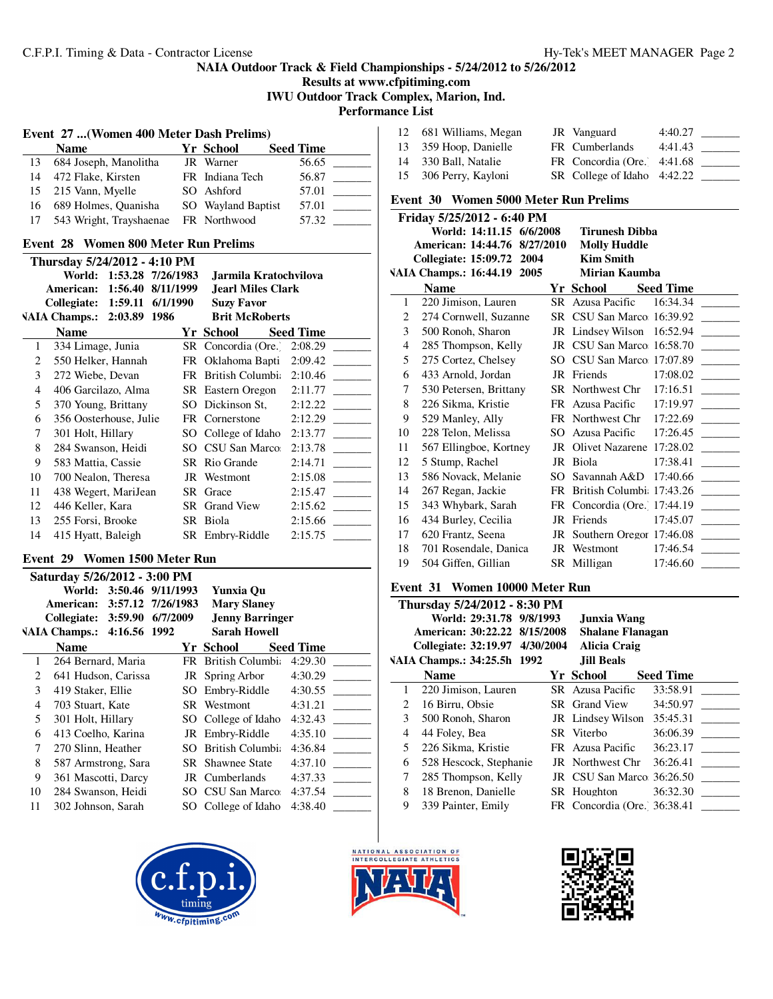**Results at www.cfpitiming.com IWU Outdoor Track Complex, Marion, Ind.**

**Performance List**

|    | Event 27  (Women 400 Meter Dash Prelims) |  |                    |                  |  |  |
|----|------------------------------------------|--|--------------------|------------------|--|--|
|    | Name                                     |  | Yr School          | <b>Seed Time</b> |  |  |
| 13 | 684 Joseph, Manolitha                    |  | JR Warner          | 56.65            |  |  |
| 14 | 472 Flake, Kirsten                       |  | FR Indiana Tech    | 56.87            |  |  |
|    | 15 215 Vann, Myelle                      |  | SO Ashford         | 57.01            |  |  |
| 16 | 689 Holmes, Quanisha                     |  | SO Wayland Baptist | 57.01            |  |  |
| 17 | 543 Wright, Trayshaenae                  |  | FR Northwood       | 57.32            |  |  |

### **Event 28 Women 800 Meter Run Prelims**

| Thursday 5/24/2012 - 4:10 PM |                              |           |                             |                  |  |  |
|------------------------------|------------------------------|-----------|-----------------------------|------------------|--|--|
|                              | World: 1:53.28 7/26/1983     |           | Jarmila Kratochvilova       |                  |  |  |
|                              | 1:56.40<br>American:         | 8/11/1999 | Jearl Miles Clark           |                  |  |  |
|                              | Collegiate: 1:59.11 6/1/1990 |           | <b>Suzy Favor</b>           |                  |  |  |
|                              | VAIA Champs.: 2:03.89 1986   |           | <b>Brit McRoberts</b>       |                  |  |  |
|                              | <b>Name</b>                  |           | Yr School                   | <b>Seed Time</b> |  |  |
| 1                            | 334 Limage, Junia            |           | SR Concordia (Ore.)         | 2:08.29          |  |  |
| 2                            | 550 Helker, Hannah           |           | FR Oklahoma Bapti           | 2:09.42          |  |  |
| 3                            | 272 Wiebe, Devan             |           | FR British Columbi: 2:10.46 |                  |  |  |
| 4                            | 406 Garcilazo, Alma          |           | SR Eastern Oregon           | 2:11.77          |  |  |
| 5                            | 370 Young, Brittany          |           | SO Dickinson St.            | 2:12.22          |  |  |
| 6                            | 356 Oosterhouse, Julie       |           | FR Cornerstone              | 2:12.29          |  |  |
| 7                            | 301 Holt, Hillary            |           | SO College of Idaho         | 2:13.77          |  |  |
| 8                            | 284 Swanson, Heidi           |           | SO CSU San Marco            | 2:13.78          |  |  |
| 9                            | 583 Mattia, Cassie           |           | SR Rio Grande               | 2:14.71          |  |  |
| 10                           | 700 Nealon, Theresa          |           | JR Westmont                 | 2:15.08          |  |  |
| 11                           | 438 Wegert, MariJean         |           | SR Grace                    | 2:15.47          |  |  |
| 12                           | 446 Keller, Kara             | SR -      | <b>Grand View</b>           | 2:15.62          |  |  |
| 13                           | 255 Forsi, Brooke            |           | SR Biola                    | 2:15.66          |  |  |
| 14                           | 415 Hyatt, Baleigh           |           | SR Embry-Riddle             | 2:15.75          |  |  |
|                              |                              |           |                             |                  |  |  |

### **Event 29 Women 1500 Meter Run**

|    | Saturday 5/26/2012 - 3:00 PM |                   |                            |                  |  |  |
|----|------------------------------|-------------------|----------------------------|------------------|--|--|
|    | World:                       | 3:50.46 9/11/1993 | Yunxia Ou                  |                  |  |  |
|    | American:                    | 3:57.12 7/26/1983 | <b>Mary Slaney</b>         |                  |  |  |
|    | <b>Collegiate: 3:59.90</b>   | 6/7/2009          | <b>Jenny Barringer</b>     |                  |  |  |
|    | VAIA Champs.: 4:16.56 1992   |                   | <b>Sarah Howell</b>        |                  |  |  |
|    | <b>Name</b>                  |                   | Yr School —                | <b>Seed Time</b> |  |  |
| 1  | 264 Bernard, Maria           |                   | <b>FR</b> British Columbia | 4:29.30          |  |  |
| 2  | 641 Hudson, Carissa          |                   | JR Spring Arbor            | 4:30.29          |  |  |
| 3  | 419 Staker, Ellie            |                   | SO Embry-Riddle            | 4:30.55          |  |  |
| 4  | 703 Stuart, Kate             |                   | SR Westmont                | 4:31.21          |  |  |
| 5  | 301 Holt, Hillary            |                   | SO College of Idaho        | 4:32.43          |  |  |
| 6  | 413 Coelho, Karina           |                   | JR Embry-Riddle            | 4:35.10          |  |  |
| 7  | 270 Slinn, Heather           | SO.               | British Columbi:           | 4:36.84          |  |  |
| 8  | 587 Armstrong, Sara          |                   | <b>SR</b> Shawnee State    | 4:37.10          |  |  |
| 9  | 361 Mascotti, Darcy          |                   | JR Cumberlands             | 4:37.33          |  |  |
| 10 | 284 Swanson, Heidi           |                   | SO CSU San Marco:          | 4:37.54          |  |  |
| 11 | 302 Johnson, Sarah           | SO.               | College of Idaho           | 4:38.40          |  |  |
|    |                              |                   |                            |                  |  |  |



| 12 681 Williams, Megan | JR Vanguard                 | 4:40.27 |
|------------------------|-----------------------------|---------|
| 13 359 Hoop, Danielle  | FR Cumberlands              | 4:41.43 |
| 14 330 Ball, Natalie   | FR Concordia (Ore. 4:41.68  |         |
| 15 306 Perry, Kayloni  | SR College of Idaho 4:42.22 |         |

# **Event 30 Women 5000 Meter Run Prelims**

|    | Friday 5/25/2012 - 6:40 PM   |     |                              |                  |
|----|------------------------------|-----|------------------------------|------------------|
|    | World: 14:11.15 6/6/2008     |     | Tirunesh Dibba               |                  |
|    | American: 14:44.76 8/27/2010 |     | <b>Molly Huddle</b>          |                  |
|    | Collegiate: 15:09.72 2004    |     | <b>Kim Smith</b>             |                  |
|    | VAIA Champs.: 16:44.19 2005  |     | Mirian Kaumba                |                  |
|    | <b>Name</b>                  |     | Yr School                    | <b>Seed Time</b> |
| 1  | 220 Jimison, Lauren          |     | SR Azusa Pacific             | 16:34.34         |
| 2  | 274 Cornwell, Suzanne        |     | SR CSU San Marco 16:39.92    |                  |
| 3  | 500 Ronoh, Sharon            |     | JR Lindsey Wilson            | 16:52.94         |
| 4  | 285 Thompson, Kelly          |     | JR CSU San Marco 16:58.70    |                  |
| 5  | 275 Cortez, Chelsey          | SO. | CSU San Marco 17:07.89       |                  |
| 6  | 433 Arnold, Jordan           |     | JR Friends                   | 17:08.02         |
| 7  | 530 Petersen, Brittany       |     | SR Northwest Chr 17:16.51    |                  |
| 8  | 226 Sikma, Kristie           |     | FR Azusa Pacific             | 17:19.97         |
| 9  | 529 Manley, Ally             |     | FR Northwest Chr 17:22.69    |                  |
| 10 | 228 Telon, Melissa           |     | SO Azusa Pacific             | 17:26.45         |
| 11 | 567 Ellingboe, Kortney       | JR  | Olivet Nazarene 17:28.02     |                  |
| 12 | 5 Stump, Rachel              | JR  | Biola                        | 17:38.41         |
| 13 | 586 Novack, Melanie          | SO. | Savannah A&D $17:40.66$      |                  |
| 14 | 267 Regan, Jackie            |     | FR British Columbi 17:43.26  |                  |
| 15 | 343 Whybark, Sarah           |     | FR Concordia (Ore.) 17:44.19 |                  |
| 16 | 434 Burley, Cecilia          |     | JR Friends                   | 17:45.07         |
| 17 | 620 Frantz, Seena            |     | JR Southern Oregor 17:46.08  |                  |
| 18 | 701 Rosendale, Danica        |     | JR Westmont                  | 17:46.54         |
| 19 | 504 Giffen, Gillian          |     | SR Milligan                  | 17:46.60         |

### **Event 31 Women 10000 Meter Run**

|             | Thursday 5/24/2012 - 8:30 PM   |  |                             |                  |  |  |
|-------------|--------------------------------|--|-----------------------------|------------------|--|--|
|             | World: 29:31.78 9/8/1993       |  | Junxia Wang                 |                  |  |  |
|             | American: 30:22.22 8/15/2008   |  | <b>Shalane Flanagan</b>     |                  |  |  |
|             | Collegiate: 32:19.97 4/30/2004 |  | <b>Alicia Craig</b>         |                  |  |  |
|             | VAIA Champs.: 34:25.5h 1992    |  | <b>Jill Beals</b>           |                  |  |  |
|             | <b>Name</b>                    |  | Yr School                   | <b>Seed Time</b> |  |  |
| 1           | 220 Jimison, Lauren            |  | SR Azusa Pacific            | 33:58.91         |  |  |
| $2^{\circ}$ | 16 Birru, Obsie                |  | SR Grand View               | 34:50.97         |  |  |
| 3           | 500 Ronoh, Sharon              |  | JR Lindsey Wilson           | 35:45.31         |  |  |
| 4           | 44 Foley, Bea                  |  | SR Viterbo                  | 36:06.39         |  |  |
| 5           | 226 Sikma, Kristie             |  | FR Azusa Pacific            | 36:23.17         |  |  |
| 6           | 528 Hescock, Stephanie         |  | JR Northwest Chr            | 36:26.41         |  |  |
| 7           | 285 Thompson, Kelly            |  | JR CSU San Marco: 36:26.50  |                  |  |  |
| 8           | 18 Brenon, Danielle            |  | SR Houghton                 | 36:32.30         |  |  |
| 9           | 339 Painter, Emily             |  | FR Concordia (Ore. 36:38.41 |                  |  |  |



J.

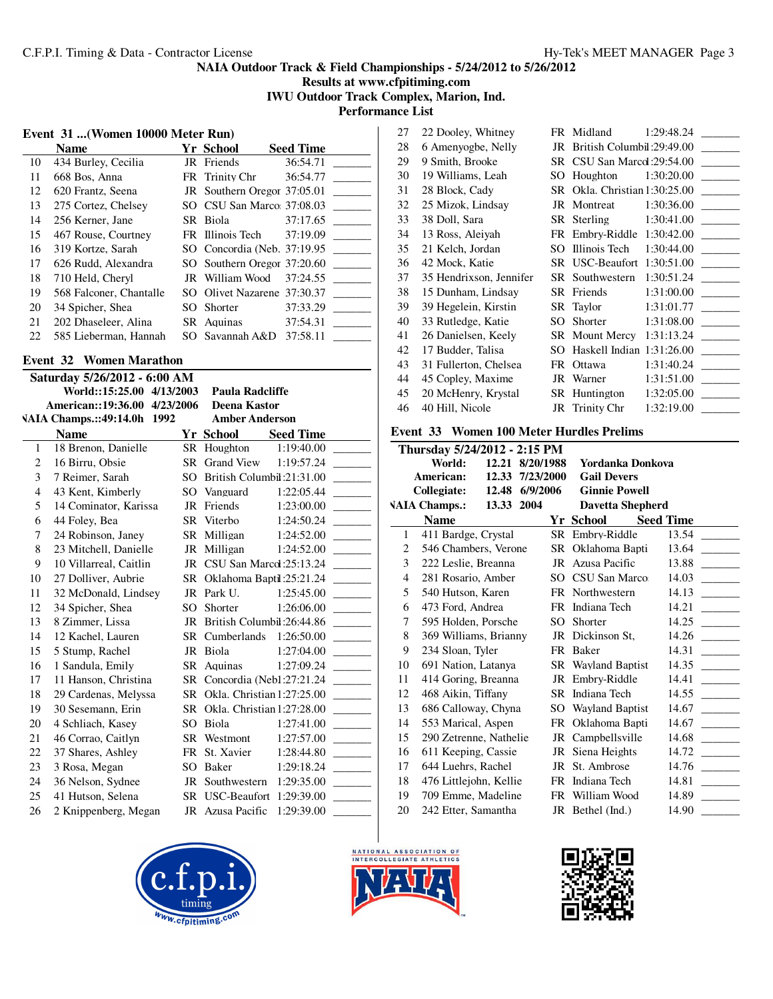**Results at www.cfpitiming.com IWU Outdoor Track Complex, Marion, Ind.**

**Performance List**

# **Event 31 ...(Women 10000 Meter Run)**

|    | <b>Name</b>             | Yr School                    | <b>Seed Time</b> |
|----|-------------------------|------------------------------|------------------|
| 10 | 434 Burley, Cecilia     | JR Friends                   | 36:54.71         |
| 11 | 668 Bos, Anna           | FR Trinity Chr               | 36:54.77         |
| 12 | 620 Frantz, Seena       | JR Southern Oregor 37:05.01  |                  |
| 13 | 275 Cortez, Chelsey     | SO CSU San Marco: 37:08.03   |                  |
| 14 | 256 Kerner, Jane        | SR Biola                     | 37:17.65         |
| 15 | 467 Rouse, Courtney     | FR Illinois Tech             | 37:19.09         |
| 16 | 319 Kortze, Sarah       | SO Concordia (Neb. 37:19.95) |                  |
| 17 | 626 Rudd, Alexandra     | SO Southern Oregor 37:20.60  |                  |
| 18 | 710 Held, Cheryl        | JR William Wood              | 37:24.55         |
| 19 | 568 Falconer, Chantalle | SO Olivet Nazarene 37:30.37  |                  |
| 20 | 34 Spicher, Shea        | SO Shorter                   | 37:33.29         |
| 21 | 202 Dhaseleer, Alina    | SR Aquinas                   | 37:54.31         |
| 22 | 585 Lieberman, Hannah   | SO Savannah A&D              | 37:58.11         |

### **Event 32 Women Marathon**

| Saturday 5/26/2012 - 6:00 AM |                              |           |                               |                  |  |
|------------------------------|------------------------------|-----------|-------------------------------|------------------|--|
|                              | World::15:25.00 4/13/2003    |           | <b>Paula Radcliffe</b>        |                  |  |
|                              | American::19:36.00 4/23/2006 |           | <b>Deena Kastor</b>           |                  |  |
|                              | VAIA Champs.::49:14.0h 1992  |           | <b>Amber Anderson</b>         |                  |  |
|                              | <b>Name</b>                  |           | Yr School                     | <b>Seed Time</b> |  |
| 1                            | 18 Brenon, Danielle          |           | SR Houghton                   | 1:19:40.00       |  |
| $\overline{c}$               | 16 Birru, Obsie              | SR.       | <b>Grand View</b>             | 1:19:57.24       |  |
| 3                            | 7 Reimer, Sarah              | SO        | British Columbil: 21:31.00    |                  |  |
| $\overline{4}$               | 43 Kent, Kimberly            | SO.       | Vanguard                      | 1:22:05.44       |  |
| 5                            | 14 Cominator, Karissa        | JR        | Friends                       | 1:23:00.00       |  |
| 6                            | 44 Foley, Bea                | <b>SR</b> | Viterbo                       | 1:24:50.24       |  |
| 7                            | 24 Robinson, Janey           |           | SR Milligan                   | 1:24:52.00       |  |
| 8                            | 23 Mitchell, Danielle        |           | JR Milligan                   | 1:24:52.00       |  |
| 9                            | 10 Villarreal, Caitlin       |           | JR CSU San Marcd: 25:13.24    |                  |  |
| 10                           | 27 Dolliver, Aubrie          |           | SR Oklahoma Baptil: 25:21.24  |                  |  |
| 11                           | 32 McDonald, Lindsey         | JR        | Park U.                       | 1:25:45.00       |  |
| 12                           | 34 Spicher, Shea             | SO        | Shorter                       | 1:26:06.00       |  |
| 13                           | 8 Zimmer, Lissa              | JR        | British Columbil: 26:44.86    |                  |  |
| 14                           | 12 Kachel, Lauren            |           | SR Cumberlands                | 1:26:50.00       |  |
| 15                           | 5 Stump, Rachel              |           | JR Biola                      | 1:27:04.00       |  |
| 16                           | 1 Sandula, Emily             | SR        | Aquinas                       | 1:27:09.24       |  |
| 17                           | 11 Hanson, Christina         |           | SR Concordia (Neb1:27:21.24)  |                  |  |
| 18                           | 29 Cardenas, Melyssa         | <b>SR</b> | Okla. Christian 1:27:25.00    |                  |  |
| 19                           | 30 Sesemann, Erin            |           | SR Okla. Christian 1:27:28.00 |                  |  |
| 20                           | 4 Schliach, Kasey            | SO        | Biola                         | 1:27:41.00       |  |
| 21                           | 46 Corrao, Caitlyn           |           | SR Westmont                   | 1:27:57.00       |  |
| 22                           | 37 Shares, Ashley            | FR        | St. Xavier                    | 1:28:44.80       |  |
| 23                           | 3 Rosa, Megan                | SO        | Baker                         | 1:29:18.24       |  |
| 24                           | 36 Nelson, Sydnee            |           | JR Southwestern               | 1:29:35.00       |  |
| 25                           | 41 Hutson, Selena            |           | SR USC-Beaufort 1:29:39.00    |                  |  |
| 26                           | 2 Knippenberg, Megan         |           | JR Azusa Pacific              | 1:29:39.00       |  |
|                              |                              |           |                               |                  |  |





| 27 | 22 Dooley, Whitney      |      | FR Midland                 | 1:29:48.24 |
|----|-------------------------|------|----------------------------|------------|
| 28 | 6 Amenyogbe, Nelly      | JR   | British Columbil: 29:49.00 |            |
| 29 | 9 Smith, Brooke         | SR - | CSU San Marcd: 29:54.00    |            |
| 30 | 19 Williams, Leah       | SO   | Houghton                   | 1:30:20.00 |
| 31 | 28 Block, Cady          | SR - | Okla. Christian 1:30:25.00 |            |
| 32 | 25 Mizok, Lindsay       | JR   | Montreat                   | 1:30:36.00 |
| 33 | 38 Doll, Sara           | SR - | Sterling                   | 1:30:41.00 |
| 34 | 13 Ross, Aleiyah        |      | FR Embry-Riddle            | 1:30:42.00 |
| 35 | 21 Kelch, Jordan        | SO.  | Illinois Tech              | 1:30:44.00 |
| 36 | 42 Mock, Katie          |      | SR USC-Beaufort            | 1:30:51.00 |
| 37 | 35 Hendrixson, Jennifer | SR - | Southwestern               | 1:30:51.24 |
| 38 | 15 Dunham, Lindsay      | SR - | Friends                    | 1:31:00.00 |
| 39 | 39 Hegelein, Kirstin    |      | SR Taylor                  | 1:31:01.77 |
| 40 | 33 Rutledge, Katie      | SO   | Shorter                    | 1:31:08.00 |
| 41 | 26 Danielsen, Keely     |      | <b>SR</b> Mount Mercy      | 1:31:13.24 |
| 42 | 17 Budder, Talisa       | SO   | Haskell Indian 1:31:26.00  |            |
| 43 | 31 Fullerton, Chelsea   | FR   | Ottawa                     | 1:31:40.24 |
| 44 | 45 Copley, Maxime       | JR   | Warner                     | 1:31:51.00 |
| 45 | 20 McHenry, Krystal     | SR   | Huntington                 | 1:32:05.00 |
| 46 | 40 Hill, Nicole         |      | JR Trinity Chr             | 1:32:19.00 |
|    |                         |      |                            |            |

# **Event 33 Women 100 Meter Hurdles Prelims**

|    | Thursday 5/24/2012 - 2:15 PM |       |           |     |                           |                  |  |
|----|------------------------------|-------|-----------|-----|---------------------------|------------------|--|
|    | World:                       | 12.21 | 8/20/1988 |     | Yordanka Donkova          |                  |  |
|    | American:                    | 12.33 | 7/23/2000 |     | <b>Gail Devers</b>        |                  |  |
|    | <b>Collegiate:</b>           | 12.48 | 6/9/2006  |     | <b>Ginnie Powell</b>      |                  |  |
|    | <b>VAIA Champs.:</b>         | 13.33 | 2004      |     | <b>Davetta Shepherd</b>   |                  |  |
|    | <b>Name</b>                  |       |           |     | Yr School                 | <b>Seed Time</b> |  |
| 1  | 411 Bardge, Crystal          |       |           | SR. | Embry-Riddle              | 13.54            |  |
| 2  | 546 Chambers, Verone         |       |           |     | SR Oklahoma Bapti         | 13.64            |  |
| 3  | 222 Leslie, Breanna          |       |           |     | JR Azusa Pacific          | 13.88            |  |
| 4  | 281 Rosario, Amber           |       |           | SO. | CSU San Marco             | 14.03            |  |
| 5  | 540 Hutson, Karen            |       |           |     | FR Northwestern           | 14.13            |  |
| 6  | 473 Ford, Andrea             |       |           |     | FR Indiana Tech           | 14.21            |  |
| 7  | 595 Holden, Porsche          |       |           | SO  | Shorter                   | 14.25            |  |
| 8  | 369 Williams, Brianny        |       |           |     | JR Dickinson St,          | 14.26            |  |
| 9  | 234 Sloan, Tyler             |       |           |     | FR Baker                  | 14.31            |  |
| 10 | 691 Nation, Latanya          |       |           |     | <b>SR</b> Wayland Baptist | 14.35            |  |
| 11 | 414 Goring, Breanna          |       |           |     | JR Embry-Riddle           | 14.41            |  |
| 12 | 468 Aikin, Tiffany           |       |           |     | SR Indiana Tech           | 14.55            |  |
| 13 | 686 Calloway, Chyna          |       |           |     | SO Wayland Baptist        | 14.67            |  |
| 14 | 553 Marical, Aspen           |       |           |     | FR Oklahoma Bapti         | 14.67            |  |
| 15 | 290 Zetrenne, Nathelie       |       |           |     | JR Campbellsville         | 14.68            |  |
| 16 | 611 Keeping, Cassie          |       |           | JR  | Siena Heights             | 14.72            |  |
| 17 | 644 Luehrs, Rachel           |       |           | JR  | St. Ambrose               | 14.76            |  |
| 18 | 476 Littlejohn, Kellie       |       |           | FR  | Indiana Tech              | 14.81            |  |
| 19 | 709 Emme, Madeline           |       |           | FR. | William Wood              | 14.89            |  |
| 20 | 242 Etter, Samantha          |       |           |     | JR Bethel (Ind.)          | 14.90            |  |

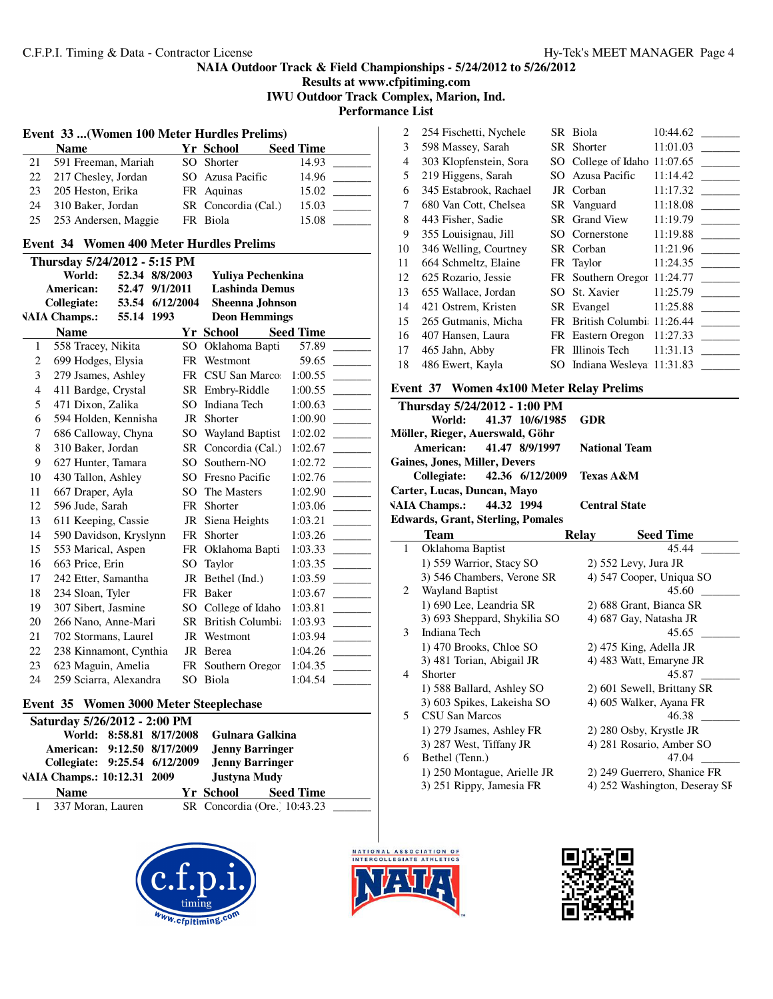**Results at www.cfpitiming.com IWU Outdoor Track Complex, Marion, Ind.**

**Performance List**

| Event 33  (Women 100 Meter Hurdles Prelims)                            |     |                        |                  |  |  |  |
|------------------------------------------------------------------------|-----|------------------------|------------------|--|--|--|
| <b>Name</b>                                                            |     | <b>Yr School</b>       | <b>Seed Time</b> |  |  |  |
| 591 Freeman, Mariah<br>21                                              |     | SO Shorter             | 14.93            |  |  |  |
| 22<br>217 Chesley, Jordan                                              |     | SO Azusa Pacific       | 14.96            |  |  |  |
| 23<br>205 Heston, Erika                                                |     | FR Aquinas             | 15.02            |  |  |  |
| 24<br>310 Baker, Jordan                                                |     | SR Concordia (Cal.)    | 15.03            |  |  |  |
| 25<br>253 Andersen, Maggie                                             |     | FR Biola               | 15.08            |  |  |  |
| <b>Event 34 Women 400 Meter Hurdles Prelims</b>                        |     |                        |                  |  |  |  |
| Thursday 5/24/2012 - 5:15 PM                                           |     |                        |                  |  |  |  |
| World:<br>52.34 8/8/2003                                               |     | Yuliya Pechenkina      |                  |  |  |  |
| 52.47 9/1/2011<br>American:                                            |     | <b>Lashinda Demus</b>  |                  |  |  |  |
| 53.54 6/12/2004<br>Collegiate:                                         |     | <b>Sheenna Johnson</b> |                  |  |  |  |
| <b>VAIA Champs.:</b><br>55.14 1993                                     |     | <b>Deon Hemmings</b>   |                  |  |  |  |
| <b>Name</b>                                                            |     | <b>Yr School</b>       | <b>Seed Time</b> |  |  |  |
| 558 Tracey, Nikita<br>1                                                | SO. | Oklahoma Bapti         | 57.89            |  |  |  |
| $\overline{c}$<br>699 Hodges, Elysia                                   |     | FR Westmont            | 59.65            |  |  |  |
| 3<br>279 Jsames, Ashley                                                |     | FR CSU San Marco:      | 1:00.55          |  |  |  |
| 411 Bardge, Crystal<br>4                                               |     | SR Embry-Riddle        | 1:00.55          |  |  |  |
| 5<br>471 Dixon, Zalika                                                 |     | SO Indiana Tech        | 1:00.63          |  |  |  |
| 6<br>594 Holden, Kennisha                                              |     | JR Shorter             | 1:00.90          |  |  |  |
| 7<br>686 Calloway, Chyna                                               |     | SO Wayland Baptist     | 1:02.02          |  |  |  |
| 8<br>310 Baker, Jordan                                                 |     | SR Concordia (Cal.)    | 1:02.67          |  |  |  |
| 9<br>627 Hunter, Tamara                                                |     | SO Southern-NO         | 1:02.72          |  |  |  |
| 430 Tallon, Ashley<br>10                                               |     | SO Fresno Pacific      | 1:02.76          |  |  |  |
| 667 Draper, Ayla<br>11                                                 |     | SO The Masters         | 1:02.90          |  |  |  |
| 596 Jude, Sarah<br>12                                                  |     | FR Shorter             | 1:03.06          |  |  |  |
| 13<br>611 Keeping, Cassie                                              |     | JR Siena Heights       | 1:03.21          |  |  |  |
| 14<br>590 Davidson, Kryslynn                                           |     | FR Shorter             | 1:03.26          |  |  |  |
| 553 Marical, Aspen<br>15                                               |     | FR Oklahoma Bapti      | 1:03.33          |  |  |  |
| 663 Price, Erin<br>16                                                  |     | SO Taylor              | 1:03.35          |  |  |  |
| 242 Etter, Samantha<br>17                                              | JR  | Bethel (Ind.)          | 1:03.59          |  |  |  |
| 18<br>234 Sloan, Tyler                                                 |     | FR Baker               | 1:03.67          |  |  |  |
| 19<br>307 Sibert, Jasmine                                              |     | SO College of Idaho    | 1:03.81          |  |  |  |
| 20<br>266 Nano, Anne-Mari                                              |     | SR British Columbia    | 1:03.93          |  |  |  |
| 21<br>702 Stormans, Laurel                                             |     | JR Westmont            | 1:03.94          |  |  |  |
| 22<br>238 Kinnamont, Cynthia                                           |     | JR Berea               | 1:04.26          |  |  |  |
| 23<br>623 Maguin, Amelia                                               |     | FR Southern Oregor     | 1:04.35          |  |  |  |
| 259 Sciarra, Alexandra<br>24                                           |     | SO Biola               | 1:04.54          |  |  |  |
|                                                                        |     |                        |                  |  |  |  |
| Event 35 Women 3000 Meter Steeplechase<br>Saturday 5/26/2012 - 2:00 PM |     |                        |                  |  |  |  |

|                             |                               |  | World: 8:58.81 8/17/2008 | Gulnara Galkina        |                              |  |
|-----------------------------|-------------------------------|--|--------------------------|------------------------|------------------------------|--|
|                             | American: 9:12.50 8/17/2009   |  |                          | <b>Jenny Barringer</b> |                              |  |
|                             | Collegiate: 9:25.54 6/12/2009 |  |                          | <b>Jenny Barringer</b> |                              |  |
| VAIA Champs.: 10:12.31 2009 |                               |  | Justyna Mudy             |                        |                              |  |
|                             | <b>Name</b>                   |  |                          | Yr School              | <b>Seed Time</b>             |  |
|                             | 1 337 Moran, Lauren           |  |                          |                        | SR Concordia (Ore. 10:43.23) |  |





| 2  | 254 Fischetti, Nychele |      | SR Biola                    | 10:44.62 |
|----|------------------------|------|-----------------------------|----------|
| 3  | 598 Massey, Sarah      |      | SR Shorter                  | 11:01.03 |
| 4  | 303 Klopfenstein, Sora | SO - | College of Idaho 11:07.65   |          |
| 5  | 219 Higgens, Sarah     | SO.  | Azusa Pacific               | 11:14.42 |
| 6  | 345 Estabrook, Rachael |      | JR Corban                   | 11:17.32 |
| 7  | 680 Van Cott, Chelsea  |      | SR Vanguard                 | 11:18.08 |
| 8  | 443 Fisher, Sadie      |      | <b>SR</b> Grand View        | 11:19.79 |
| 9  | 355 Louisignau, Jill   |      | SO Cornerstone              | 11:19.88 |
| 10 | 346 Welling, Courtney  |      | SR Corban                   | 11:21.96 |
| 11 | 664 Schmeltz, Elaine   |      | FR Taylor                   | 11:24.35 |
| 12 | 625 Rozario, Jessie    |      | FR Southern Oregor 11:24.77 |          |
| 13 | 655 Wallace, Jordan    | SO.  | St. Xavier                  | 11:25.79 |
| 14 | 421 Ostrem, Kristen    |      | SR Evangel                  | 11:25.88 |
| 15 | 265 Gutmanis, Micha    | FR - | British Columbi 11:26.44    |          |
| 16 | 407 Hansen, Laura      |      | FR Eastern Oregon           | 11:27.33 |
| 17 | 465 Jahn, Abby         |      | FR Illinois Tech            | 11:31.13 |
| 18 | 486 Ewert, Kayla       | SO.  | Indiana Wesleya 11:31.83    |          |
|    |                        |      |                             |          |

# **Event 37 Women 4x100 Meter Relay Prelims**

|              | Thursday 5/24/2012 - 1:00 PM             |                                  |
|--------------|------------------------------------------|----------------------------------|
|              | World:<br>41.37 10/6/1985                | <b>GDR</b>                       |
|              | Möller, Rieger, Auerswald, Göhr          |                                  |
|              | 41.47 8/9/1997<br>American:              | <b>National Team</b>             |
|              | Gaines, Jones, Miller, Devers            |                                  |
|              | Collegiate:<br>42.36 6/12/2009           | <b>Texas A&amp;M</b>             |
|              | Carter, Lucas, Duncan, Mayo              |                                  |
|              | VAIA Champs.: 44.32 1994                 | <b>Central State</b>             |
|              | <b>Edwards, Grant, Sterling, Pomales</b> |                                  |
|              | <b>Team</b>                              | <b>Seed Time</b><br><b>Relay</b> |
| $\mathbf{1}$ | Oklahoma Baptist                         | 45.44                            |
|              | 1) 559 Warrior, Stacy SO                 | $2)$ 552 Levy, Jura JR           |
|              | 3) 546 Chambers, Verone SR               | 4) 547 Cooper, Uniqua SO         |
| 2            | <b>Wayland Baptist</b>                   | 45.60                            |
|              | 1) 690 Lee, Leandria SR                  | 2) 688 Grant, Bianca SR          |
|              | 3) 693 Sheppard, Shykilia SO             | 4) 687 Gay, Natasha JR           |
| 3            | Indiana Tech                             | 45.65                            |
|              | 1) 470 Brooks, Chloe SO                  | 2) 475 King, Adella JR           |
|              | 3) 481 Torian, Abigail JR                | 4) 483 Watt, Emaryne JR          |
| 4            | Shorter                                  | 45.87                            |
|              | 1) 588 Ballard, Ashley SO                | 2) 601 Sewell, Brittany SR       |
|              | 3) 603 Spikes, Lakeisha SO               | 4) 605 Walker, Ayana FR          |
| 5            | <b>CSU San Marcos</b>                    | 46.38                            |
|              | 1) 279 Jsames, Ashley FR                 | 2) 280 Osby, Krystle JR          |
|              | 3) 287 West, Tiffany JR                  | 4) 281 Rosario, Amber SO         |
| 6            | Bethel (Tenn.)                           | 47.04                            |
|              | 1) 250 Montague, Arielle JR              | 2) 249 Guerrero, Shanice FR      |
|              | 3) 251 Rippy, Jamesia FR                 | 4) 252 Washington, Deseray SF    |

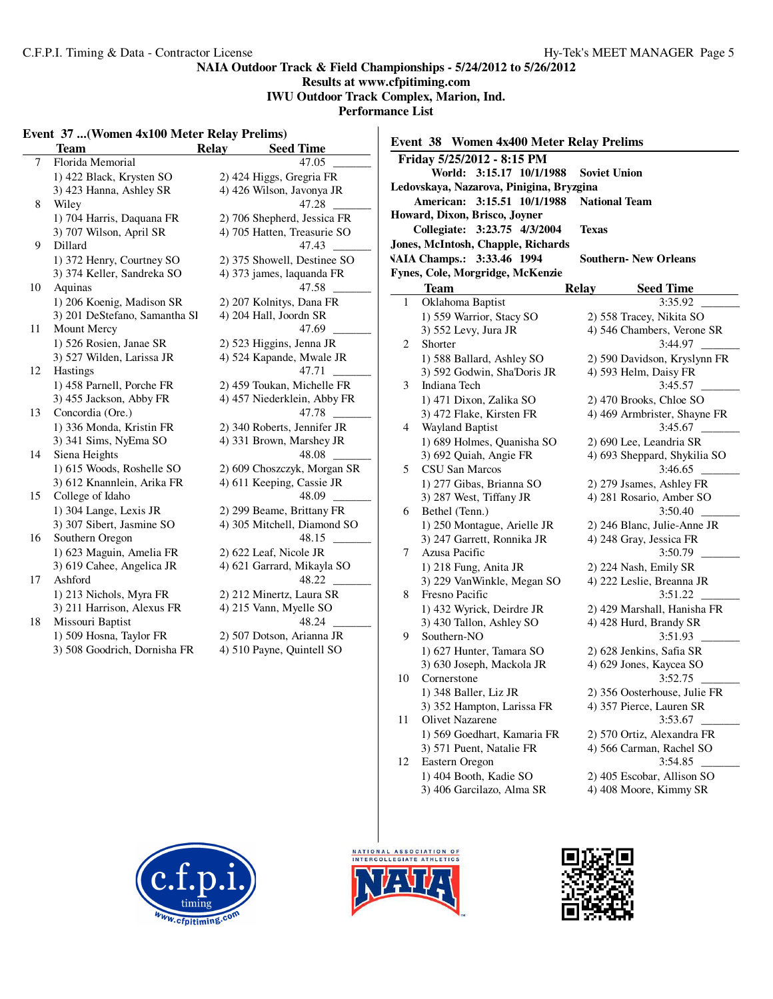# **Results at www.cfpitiming.com**

**IWU Outdoor Track Complex, Marion, Ind.**

**Performance List**

# **Event 37 ...(Women 4x100 Meter Relay Prelims)**

|    | Team                          | Relay | <b>Seed Time</b>            |
|----|-------------------------------|-------|-----------------------------|
| 7  | Florida Memorial              |       | 47.05                       |
|    | 1) 422 Black, Krysten SO      |       | 2) 424 Higgs, Gregria FR    |
|    | 3) 423 Hanna, Ashley SR       |       | 4) 426 Wilson, Javonya JR   |
| 8  | Wiley                         |       | 47.28                       |
|    | 1) 704 Harris, Daquana FR     |       | 2) 706 Shepherd, Jessica FR |
|    | 3) 707 Wilson, April SR       |       | 4) 705 Hatten, Treasurie SO |
| 9  | Dillard                       |       | 47.43                       |
|    | 1) 372 Henry, Courtney SO     |       | 2) 375 Showell, Destinee SO |
|    | 3) 374 Keller, Sandreka SO    |       | 4) 373 james, laquanda FR   |
| 10 | Aquinas                       |       | 47.58                       |
|    | 1) 206 Koenig, Madison SR     |       | 2) 207 Kolnitys, Dana FR    |
|    | 3) 201 DeStefano, Samantha Sl |       | 4) 204 Hall, Joordn SR      |
| 11 | Mount Mercy                   |       | 47.69                       |
|    | 1) 526 Rosien, Janae SR       |       | 2) 523 Higgins, Jenna JR    |
|    | 3) 527 Wilden, Larissa JR     |       | 4) 524 Kapande, Mwale JR    |
| 12 | <b>Hastings</b>               |       | 47.71                       |
|    | 1) 458 Parnell, Porche FR     |       | 2) 459 Toukan, Michelle FR  |
|    | 3) 455 Jackson, Abby FR       |       | 4) 457 Niederklein, Abby FR |
| 13 | Concordia (Ore.)              |       | 47.78                       |
|    | 1) 336 Monda, Kristin FR      |       | 2) 340 Roberts, Jennifer JR |
|    | 3) 341 Sims, NyEma SO         |       | 4) 331 Brown, Marshey JR    |
| 14 | Siena Heights                 |       | 48.08                       |
|    | 1) 615 Woods, Roshelle SO     |       | 2) 609 Choszczyk, Morgan SR |
|    | 3) 612 Knannlein, Arika FR    |       | 4) 611 Keeping, Cassie JR   |
| 15 | College of Idaho              |       | 48.09                       |
|    | 1) 304 Lange, Lexis JR        |       | 2) 299 Beame, Brittany FR   |
|    | 3) 307 Sibert, Jasmine SO     |       | 4) 305 Mitchell, Diamond SO |
| 16 | Southern Oregon               |       | 48.15                       |
|    | 1) 623 Maguin, Amelia FR      |       | 2) 622 Leaf, Nicole JR      |
|    | 3) 619 Cahee, Angelica JR     |       | 4) 621 Garrard, Mikayla SO  |
| 17 | Ashford                       |       | 48.22                       |
|    | 1) 213 Nichols, Myra FR       |       | 2) 212 Minertz, Laura SR    |
|    | 3) 211 Harrison, Alexus FR    |       | 4) 215 Vann, Myelle SO      |
| 18 | Missouri Baptist              |       | 48.24                       |
|    | 1) 509 Hosna, Taylor FR       |       | 2) 507 Dotson, Arianna JR   |
|    | 3) 508 Goodrich, Dornisha FR  |       | 4) 510 Payne, Quintell SO   |
|    |                               |       |                             |

| Event 38 Women 4x400 Meter Relay Prelims |                                                        |                                                      |  |  |  |  |
|------------------------------------------|--------------------------------------------------------|------------------------------------------------------|--|--|--|--|
|                                          | Friday 5/25/2012 - 8:15 PM                             |                                                      |  |  |  |  |
|                                          | World: 3:15.17 10/1/1988                               | <b>Soviet Union</b>                                  |  |  |  |  |
|                                          | Ledovskaya, Nazarova, Pinigina, Bryzgina               |                                                      |  |  |  |  |
|                                          | American:<br>3:15.51 10/1/1988<br><b>National Team</b> |                                                      |  |  |  |  |
| Howard, Dixon, Brisco, Joyner            |                                                        |                                                      |  |  |  |  |
|                                          | Collegiate: 3:23.75 4/3/2004                           | <b>Texas</b>                                         |  |  |  |  |
| Jones, McIntosh, Chapple, Richards       |                                                        |                                                      |  |  |  |  |
|                                          | VAIA Champs.: 3:33.46 1994                             | <b>Southern- New Orleans</b>                         |  |  |  |  |
|                                          | Fynes, Cole, Morgridge, McKenzie                       |                                                      |  |  |  |  |
|                                          | Team                                                   | <b>Relay</b><br><b>Seed Time</b>                     |  |  |  |  |
| 1                                        | Oklahoma Baptist                                       | 3:35.92                                              |  |  |  |  |
|                                          | 1) 559 Warrior, Stacy SO                               | 2) 558 Tracey, Nikita SO                             |  |  |  |  |
|                                          | 3) 552 Levy, Jura JR                                   | 4) 546 Chambers, Verone SR                           |  |  |  |  |
| 2                                        | Shorter                                                | 3:44.97                                              |  |  |  |  |
|                                          | 1) 588 Ballard, Ashley SO                              | 2) 590 Davidson, Kryslynn FR                         |  |  |  |  |
|                                          | 3) 592 Godwin, Sha'Doris JR                            | 4) 593 Helm, Daisy FR                                |  |  |  |  |
| 3                                        | Indiana Tech                                           | 3:45.57                                              |  |  |  |  |
|                                          | 1) 471 Dixon, Zalika SO                                | 2) 470 Brooks, Chloe SO                              |  |  |  |  |
|                                          | 3) 472 Flake, Kirsten FR                               | 4) 469 Armbrister, Shayne FR                         |  |  |  |  |
| 4                                        | Wayland Baptist                                        | 3:45.67                                              |  |  |  |  |
|                                          | 1) 689 Holmes, Quanisha SO                             | 2) 690 Lee, Leandria SR                              |  |  |  |  |
|                                          | 3) 692 Quiah, Angie FR                                 | 4) 693 Sheppard, Shykilia SO                         |  |  |  |  |
| 5                                        | CSU San Marcos                                         | 3:46.65                                              |  |  |  |  |
|                                          | 1) 277 Gibas, Brianna SO                               | 2) 279 Jsames, Ashley FR                             |  |  |  |  |
|                                          | 3) 287 West, Tiffany JR                                | 4) 281 Rosario, Amber SO                             |  |  |  |  |
| 6                                        | Bethel (Tenn.)                                         | 3:50.40                                              |  |  |  |  |
|                                          | 1) 250 Montague, Arielle JR                            | 2) 246 Blanc, Julie-Anne JR                          |  |  |  |  |
|                                          | 3) 247 Garrett, Ronnika JR                             | 4) 248 Gray, Jessica FR                              |  |  |  |  |
| 7                                        | Azusa Pacific                                          | 3:50.79                                              |  |  |  |  |
|                                          | 1) 218 Fung, Anita JR                                  | 2) 224 Nash, Emily SR                                |  |  |  |  |
|                                          | 3) 229 VanWinkle, Megan SO                             | 4) 222 Leslie, Breanna JR                            |  |  |  |  |
| 8                                        | Fresno Pacific                                         | 3:51.22                                              |  |  |  |  |
|                                          | 1) 432 Wyrick, Deirdre JR                              | 2) 429 Marshall, Hanisha FR                          |  |  |  |  |
|                                          | 3) 430 Tallon, Ashley SO                               | 4) 428 Hurd, Brandy SR                               |  |  |  |  |
| 9                                        | Southern-NO                                            | 3:51.93                                              |  |  |  |  |
|                                          | 1) 627 Hunter, Tamara SO                               | 2) 628 Jenkins, Safia SR                             |  |  |  |  |
|                                          | 3) 630 Joseph, Mackola JR                              | 4) 629 Jones, Kaycea SO                              |  |  |  |  |
| 10                                       | Cornerstone                                            | 3:52.75                                              |  |  |  |  |
|                                          | 1) 348 Baller, Liz JR                                  | 2) 356 Oosterhouse, Julie FR                         |  |  |  |  |
| 11                                       | 3) 352 Hampton, Larissa FR<br>Olivet Nazarene          | 4) 357 Pierce, Lauren SR<br>3:53.67                  |  |  |  |  |
|                                          |                                                        |                                                      |  |  |  |  |
|                                          | 1) 569 Goedhart, Kamaria FR                            | 2) 570 Ortiz, Alexandra FR                           |  |  |  |  |
|                                          | 3) 571 Puent, Natalie FR                               | 4) 566 Carman, Rachel SO                             |  |  |  |  |
| 12                                       | Eastern Oregon                                         | 3:54.85                                              |  |  |  |  |
|                                          | 1) 404 Booth, Kadie SO<br>3) 406 Garcilazo, Alma SR    | 2) 405 Escobar, Allison SO<br>4) 408 Moore, Kimmy SR |  |  |  |  |
|                                          |                                                        |                                                      |  |  |  |  |





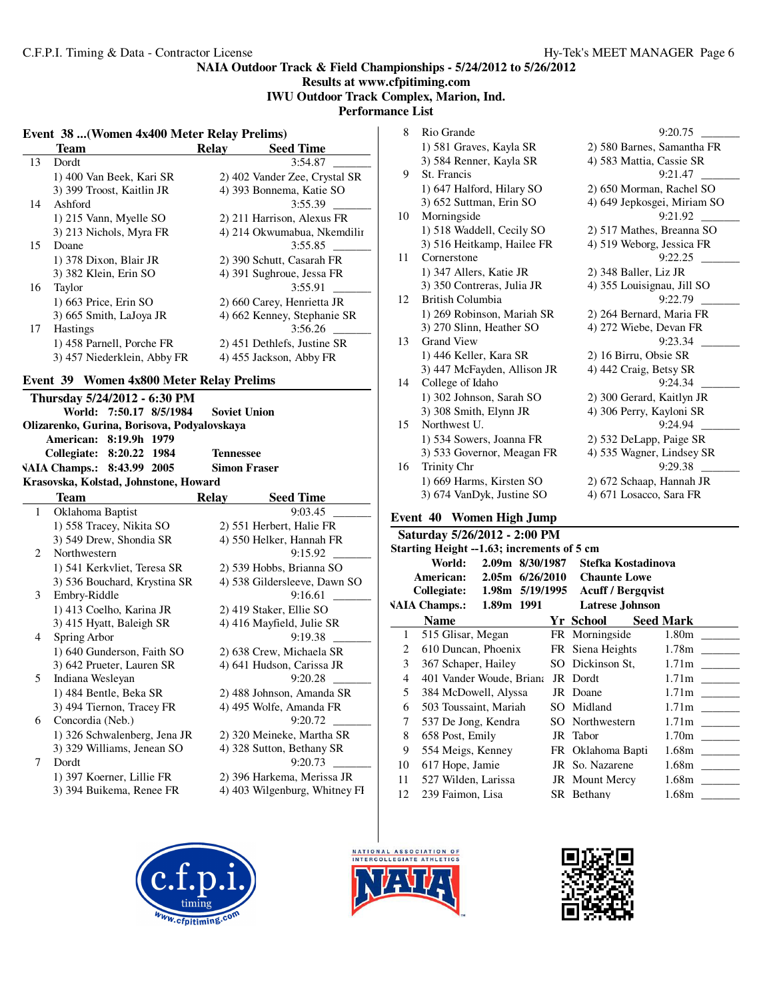# **NAIA Outdoor Track & Field Championships - 5/24/2012 to 5/26/2012 Results at www.cfpitiming.com IWU Outdoor Track Complex, Marion, Ind. Performance List**

# **Event 38 ...(Women 4x400 Meter Relay Prelims)**

|    | Event 38  (Women 4x400 Meter Relay Prelims)                                   |                                                             |
|----|-------------------------------------------------------------------------------|-------------------------------------------------------------|
|    | <b>Team</b>                                                                   | <b>Relay</b><br><b>Seed Time</b>                            |
| 13 | Dordt                                                                         | 3:54.87                                                     |
|    | 1) 400 Van Beek, Kari SR                                                      | 2) 402 Vander Zee, Crystal SR                               |
|    | 3) 399 Troost, Kaitlin JR                                                     | 4) 393 Bonnema, Katie SO                                    |
| 14 | Ashford                                                                       | 3:55.39                                                     |
|    | 1) 215 Vann, Myelle SO                                                        | 2) 211 Harrison, Alexus FR                                  |
| 15 | 3) 213 Nichols, Myra FR<br>Doane                                              | 4) 214 Okwumabua, Nkemdilir<br>3:55.85                      |
|    | 1) 378 Dixon, Blair JR                                                        | 2) 390 Schutt, Casarah FR                                   |
|    | 3) 382 Klein, Erin SO                                                         | 4) 391 Sughroue, Jessa FR                                   |
| 16 | Taylor                                                                        | 3:55.91                                                     |
|    | 1) 663 Price, Erin SO                                                         | 2) 660 Carey, Henrietta JR                                  |
|    | 3) 665 Smith, LaJoya JR                                                       | 4) 662 Kenney, Stephanie SR                                 |
| 17 | Hastings                                                                      | 3:56.26                                                     |
|    | 1) 458 Parnell, Porche FR                                                     | 2) 451 Dethlefs, Justine SR                                 |
|    | 3) 457 Niederklein, Abby FR                                                   | 4) 455 Jackson, Abby FR                                     |
|    | Event 39<br><b>Women 4x800 Meter Relay Prelims</b>                            |                                                             |
|    | Thursday 5/24/2012 - 6:30 PM                                                  |                                                             |
|    | 7:50.17 8/5/1984<br>World:                                                    | <b>Soviet Union</b>                                         |
|    | Olizarenko, Gurina, Borisova, Podyalovskaya                                   |                                                             |
|    |                                                                               |                                                             |
|    | American: 8:19.9h 1979                                                        |                                                             |
|    | 8:20.22 1984                                                                  | <b>Tennessee</b>                                            |
|    | Collegiate:                                                                   | <b>Simon Fraser</b>                                         |
|    | <b>VAIA Champs.:</b><br>8:43.99 2005<br>Krasovska, Kolstad, Johnstone, Howard |                                                             |
|    | <b>Team</b>                                                                   | <b>Relay</b><br><b>Seed Time</b>                            |
| 1  | Oklahoma Baptist                                                              | 9:03.45                                                     |
|    |                                                                               |                                                             |
|    | 1) 558 Tracey, Nikita SO<br>3) 549 Drew, Shondia SR                           | 2) 551 Herbert, Halie FR<br>4) 550 Helker, Hannah FR        |
| 2  | Northwestern                                                                  | 9:15.92                                                     |
|    |                                                                               |                                                             |
|    | 1) 541 Kerkvliet, Teresa SR                                                   | 2) 539 Hobbs, Brianna SO                                    |
| 3  | 3) 536 Bouchard, Krystina SR                                                  | 4) 538 Gildersleeve, Dawn SO<br>9:16.61                     |
|    | Embry-Riddle                                                                  |                                                             |
|    | 1) 413 Coelho, Karina JR                                                      | 2) 419 Staker, Ellie SO                                     |
| 4  | 3) 415 Hyatt, Baleigh SR                                                      | 4) 416 Mayfield, Julie SR                                   |
|    | Spring Arbor                                                                  | 9:19.38                                                     |
|    | 1) 640 Gunderson, Faith SO                                                    | 2) 638 Crew, Michaela SR                                    |
| 5  | 3) 642 Prueter, Lauren SR                                                     | 4) 641 Hudson, Carissa JR                                   |
|    | Indiana Wesleyan                                                              | 9:20.28                                                     |
|    | 1) 484 Bentle, Beka SR                                                        | 2) 488 Johnson, Amanda SR                                   |
|    | 3) 494 Tiernon, Tracey FR                                                     | 4) 495 Wolfe, Amanda FR                                     |
| 6  | Concordia (Neb.)                                                              | 9:20.72                                                     |
|    | 1) 326 Schwalenberg, Jena JR                                                  | 2) 320 Meineke, Martha SR                                   |
|    | 3) 329 Williams, Jenean SO                                                    | 4) 328 Sutton, Bethany SR                                   |
| 7  | Dordt                                                                         | 9:20.73                                                     |
|    | 1) 397 Koerner, Lillie FR<br>3) 394 Buikema, Renee FR                         | 2) 396 Harkema, Merissa JR<br>4) 403 Wilgenburg, Whitney FI |

| 8  | Rio Grande                  | 9:20.75                     |
|----|-----------------------------|-----------------------------|
|    | 1) 581 Graves, Kayla SR     | 2) 580 Barnes, Samantha FR  |
|    | 3) 584 Renner, Kayla SR     | 4) 583 Mattia, Cassie SR    |
| 9  | St. Francis                 | 9:21.47                     |
|    | 1) 647 Halford, Hilary SO   | 2) 650 Morman, Rachel SO    |
|    | 3) 652 Suttman, Erin SO     | 4) 649 Jepkosgei, Miriam SO |
| 10 | Morningside                 | 9:21.92                     |
|    | 1) 518 Waddell, Cecily SO   | 2) 517 Mathes, Breanna SO   |
|    | 3) 516 Heitkamp, Hailee FR  | 4) 519 Weborg, Jessica FR   |
| 11 | Cornerstone                 | 9:22.25                     |
|    | 1) 347 Allers, Katie JR     | 2) 348 Baller, Liz JR       |
|    | 3) 350 Contreras, Julia JR  | 4) 355 Louisignau, Jill SO  |
| 12 | British Columbia            | 9:22.79                     |
|    | 1) 269 Robinson, Mariah SR  | 2) 264 Bernard, Maria FR    |
|    | 3) 270 Slinn, Heather SO    | 4) 272 Wiebe, Devan FR      |
| 13 | <b>Grand View</b>           | 9:23.34                     |
|    | 1) 446 Keller, Kara SR      | 2) 16 Birru, Obsie SR       |
|    | 3) 447 McFayden, Allison JR | 4) 442 Craig, Betsy SR      |
| 14 | College of Idaho            | 9:24.34                     |
|    | 1) 302 Johnson, Sarah SO    | 2) 300 Gerard, Kaitlyn JR   |
|    | 3) 308 Smith, Elynn JR      | 4) 306 Perry, Kayloni SR    |
| 15 | Northwest U.                | 9:24.94                     |
|    | 1) 534 Sowers, Joanna FR    | 2) 532 DeLapp, Paige SR     |
|    | 3) 533 Governor, Meagan FR  | 4) 535 Wagner, Lindsey SR   |
| 16 | <b>Trinity Chr</b>          | 9:29.38                     |
|    | 1) 669 Harms, Kirsten SO    | 2) 672 Schaap, Hannah JR    |
|    | 3) 674 VanDyk, Justine SO   | 4) 671 Losacco, Sara FR     |
|    |                             |                             |

# **Event 40 Women High Jump**

|                | Saturday 5/26/2012 - 2:00 PM                     |  |                        |                   |  |  |  |
|----------------|--------------------------------------------------|--|------------------------|-------------------|--|--|--|
|                | Starting Height --1.63; increments of 5 cm       |  |                        |                   |  |  |  |
|                | 2.09m 8/30/1987<br>World:<br>Stefka Kostadinova  |  |                        |                   |  |  |  |
|                | American: 2.05m 6/26/2010<br><b>Chaunte Lowe</b> |  |                        |                   |  |  |  |
|                | Collegiate: 1.98m 5/19/1995 Acuff / Bergqvist    |  |                        |                   |  |  |  |
|                | VAIA Champs.: 1.89m 1991                         |  | <b>Latrese Johnson</b> |                   |  |  |  |
|                | <b>Name</b>                                      |  | Yr School              | Seed Mark         |  |  |  |
| $\mathbf{1}$   | 515 Glisar, Megan                                |  | FR Morningside         |                   |  |  |  |
| $\overline{2}$ | 610 Duncan, Phoenix FR Siena Heights             |  |                        | 1.78m             |  |  |  |
| 3              | 367 Schaper, Hailey                              |  | SO Dickinson St.       | 1.71 <sub>m</sub> |  |  |  |
| 4              | 401 Vander Woude, Briana                         |  | JR Dordt               | 1.71 <sub>m</sub> |  |  |  |
| 5              | 384 McDowell, Alyssa                             |  | JR Doane               | 1.71 <sub>m</sub> |  |  |  |
| 6              | 503 Toussaint, Mariah                            |  | SO Midland             | 1.71 <sub>m</sub> |  |  |  |
| 7              | 537 De Jong, Kendra                              |  | SO Northwestern        | 1.71 <sub>m</sub> |  |  |  |
| 8              | 658 Post, Emily                                  |  | JR Tabor               | 1.70 <sub>m</sub> |  |  |  |
| 9              | 554 Meigs, Kenney                                |  | FR Oklahoma Bapti      | 1.68 <sub>m</sub> |  |  |  |
| 10             | 617 Hope, Jamie                                  |  | JR So. Nazarene        | 1.68m             |  |  |  |
| 11             | 527 Wilden, Larissa                              |  | JR Mount Mercy         | 1.68m             |  |  |  |
| 12             | 239 Faimon, Lisa                                 |  | SR Bethany             | 1.68m             |  |  |  |
|                |                                                  |  |                        |                   |  |  |  |





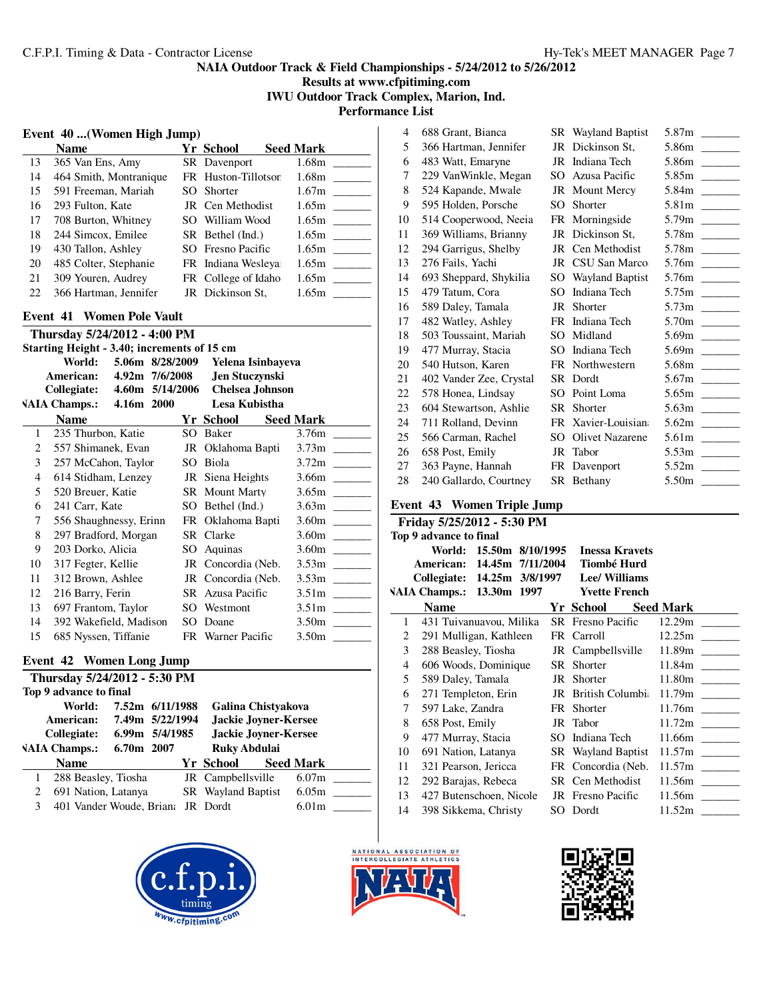**Results at www.cfpitiming.com IWU Outdoor Track Complex, Marion, Ind.**

**Performance List**  $\overline{\phantom{a}}$ 

#### **Event 40 ...(Women High Jump)**

|    | Name                   | Yr School           | <b>Seed Mark</b> |
|----|------------------------|---------------------|------------------|
| 13 | 365 Van Ens, Amy       | SR Davenport        | 1.68m            |
| 14 | 464 Smith, Montranique | FR Huston-Tillotson | 1.68m            |
| 15 | 591 Freeman, Mariah    | SO Shorter          | 1.67m            |
| 16 | 293 Fulton, Kate       | JR Cen Methodist    | 1.65m            |
| 17 | 708 Burton, Whitney    | SO William Wood     | 1.65m            |
| 18 | 244 Simcox, Emilee     | SR Bethel (Ind.)    | 1.65m            |
| 19 | 430 Tallon, Ashley     | SO Fresno Pacific   | 1.65m            |
| 20 | 485 Colter, Stephanie  | FR Indiana Wesleya  | 1.65m            |
| 21 | 309 Youren, Audrey     | FR College of Idaho | 1.65m            |
| 22 | 366 Hartman, Jennifer  | JR Dickinson St,    | 1.65m            |

#### **Event 41 Women Pole Vault**

| Thursday 5/24/2012 - 4:00 PM                   |                                                       |  |                          |                   |  |  |  |
|------------------------------------------------|-------------------------------------------------------|--|--------------------------|-------------------|--|--|--|
|                                                | Starting Height - 3.40; increments of 15 cm           |  |                          |                   |  |  |  |
| World:<br>5.06m 8/28/2009<br>Yelena Isinbayeva |                                                       |  |                          |                   |  |  |  |
|                                                | <b>American:</b><br>4.92m 7/6/2008<br>Jen Stuczynski  |  |                          |                   |  |  |  |
|                                                | Collegiate: 4.60m 5/14/2006<br><b>Chelsea Johnson</b> |  |                          |                   |  |  |  |
|                                                | VAIA Champs.: 4.16m 2000                              |  | Lesa Kubistha            |                   |  |  |  |
|                                                | <b>Name</b>                                           |  | Yr School                | <b>Seed Mark</b>  |  |  |  |
| 1                                              | 235 Thurbon, Katie                                    |  | SO Baker                 | 3.76m             |  |  |  |
| 2                                              | 557 Shimanek, Evan                                    |  | JR Oklahoma Bapti        | 3.73 <sub>m</sub> |  |  |  |
| 3                                              | 257 McCahon, Taylor                                   |  | SO Biola                 | 3.72 <sub>m</sub> |  |  |  |
| $\overline{4}$                                 | 614 Stidham, Lenzey                                   |  | JR Siena Heights         | 3.66m             |  |  |  |
| 5                                              | 520 Breuer, Katie                                     |  | SR Mount Marty           | 3.65m             |  |  |  |
| 6                                              | 241 Carr, Kate                                        |  | SO Bethel (Ind.)         | 3.63 <sub>m</sub> |  |  |  |
| 7                                              | 556 Shaughnessy, Erinn                                |  | FR Oklahoma Bapti        | 3.60m             |  |  |  |
| 8                                              | 297 Bradford, Morgan                                  |  | SR Clarke                | 3.60 <sub>m</sub> |  |  |  |
| 9                                              | 203 Dorko, Alicia                                     |  | SO Aquinas               | 3.60 <sub>m</sub> |  |  |  |
| 10                                             | 317 Fegter, Kellie                                    |  | JR Concordia (Neb.       | 3.53m             |  |  |  |
| 11                                             | 312 Brown, Ashlee                                     |  | JR Concordia (Neb. 3.53m |                   |  |  |  |
| 12                                             | 216 Barry, Ferin                                      |  | SR Azusa Pacific         | 3.51 <sub>m</sub> |  |  |  |
| 13                                             | 697 Frantom, Taylor                                   |  | SO Westmont              | 3.51 <sub>m</sub> |  |  |  |
| 14                                             | 392 Wakefield, Madison                                |  | SO Doane                 | 3.50 <sub>m</sub> |  |  |  |
| 15                                             | 685 Nyssen, Tiffanie                                  |  | FR Warner Pacific        | 3.50 <sub>m</sub> |  |  |  |
|                                                |                                                       |  |                          |                   |  |  |  |

# **Event 42 Women Long Jump**

|                               | Thursday 5/24/2012 - 5:30 PM |                 |  |                             |                           |  |                   |  |  |
|-------------------------------|------------------------------|-----------------|--|-----------------------------|---------------------------|--|-------------------|--|--|
| Top 9 advance to final        |                              |                 |  |                             |                           |  |                   |  |  |
|                               | World:                       | 7.52m 6/11/1988 |  |                             | Galina Chistyakova        |  |                   |  |  |
|                               | American:                    | 7.49m 5/22/1994 |  |                             | Jackie Joyner-Kersee      |  |                   |  |  |
| 6.99m 5/4/1985<br>Collegiate: |                              |                 |  | <b>Jackie Joyner-Kersee</b> |                           |  |                   |  |  |
|                               | <b>VAIA Champs.:</b>         | 6.70m 2007      |  |                             | <b>Ruky Abdulai</b>       |  |                   |  |  |
|                               | <b>Name</b>                  |                 |  |                             | Yr School                 |  | <b>Seed Mark</b>  |  |  |
|                               | 288 Beasley, Tiosha          |                 |  |                             | JR Campbellsville         |  | 6.07 <sub>m</sub> |  |  |
| 2                             | 691 Nation, Latanya          |                 |  |                             | <b>SR</b> Wayland Baptist |  | 6.05m             |  |  |
| 3                             | 401 Vander Woude, Briana     |                 |  |                             | JR Dordt                  |  | 6.01 <sub>m</sub> |  |  |
|                               |                              |                 |  |                             |                           |  |                   |  |  |



| 4  | 688 Grant, Bianca       | <b>SR</b> Wayland Baptist |       |
|----|-------------------------|---------------------------|-------|
| 5  | 366 Hartman, Jennifer   | JR Dickinson St,          |       |
| 6  | 483 Watt, Emaryne       | JR Indiana Tech           |       |
| 7  | 229 VanWinkle, Megan    | SO Azusa Pacific          |       |
| 8  | 524 Kapande, Mwale      | JR Mount Mercy            |       |
| 9  | 595 Holden, Porsche     | SO Shorter                |       |
| 10 | 514 Cooperwood, Neeia   | FR Morningside            |       |
| 11 | 369 Williams, Brianny   | JR Dickinson St,          |       |
| 12 | 294 Garrigus, Shelby    | JR Cen Methodist          |       |
| 13 | 276 Fails, Yachi        | JR CSU San Marco          |       |
| 14 | 693 Sheppard, Shykilia  | SO Wayland Baptist        |       |
| 15 | 479 Tatum, Cora         | SO Indiana Tech           |       |
| 16 | 589 Daley, Tamala       | JR Shorter                |       |
| 17 | 482 Watley, Ashley      | FR Indiana Tech           |       |
| 18 | 503 Toussaint, Mariah   | SO Midland                |       |
| 19 | 477 Murray, Stacia      | SO Indiana Tech           |       |
| 20 | 540 Hutson, Karen       | FR Northwestern           |       |
| 21 | 402 Vander Zee, Crystal | SR Dordt                  |       |
| 22 | 578 Honea, Lindsay      | SO Point Loma             |       |
| 23 | 604 Stewartson, Ashlie  | SR Shorter                |       |
| 24 | 711 Rolland, Devinn     | FR Xavier-Louisian        |       |
| 25 | 566 Carman, Rachel      | SO Olivet Nazarene        |       |
| 26 | 658 Post, Emily         | JR Tabor                  |       |
| 27 | 363 Payne, Hannah       | FR Davenport              |       |
| 28 | 240 Gallardo, Courtney  | SR Bethany                | 5.50m |

### **Event 43 Women Triple Jump**

|              | Friday 5/25/2012 - 5:30 PM |                         |  |  |                                           |                  |  |  |
|--------------|----------------------------|-------------------------|--|--|-------------------------------------------|------------------|--|--|
|              | Top 9 advance to final     |                         |  |  |                                           |                  |  |  |
|              |                            | World: 15.50m 8/10/1995 |  |  | <b>Inessa Kravets</b>                     |                  |  |  |
|              |                            |                         |  |  | American: 14.45m 7/11/2004 Tiombé Hurd    |                  |  |  |
|              |                            |                         |  |  | Collegiate: 14.25m 3/8/1997 Lee/ Williams |                  |  |  |
|              | VAIA Champs.: 13.30m 1997  |                         |  |  | <b>Yvette French</b>                      |                  |  |  |
|              | <b>Name</b>                |                         |  |  | Yr School                                 | <b>Seed Mark</b> |  |  |
| $\mathbf{1}$ | 431 Tuivanuavou, Milika    |                         |  |  | <b>SR</b> Fresno Pacific                  | 12.29m           |  |  |
| 2            | 291 Mulligan, Kathleen     |                         |  |  | FR Carroll                                | 12.25m           |  |  |
| 3            | 288 Beasley, Tiosha        |                         |  |  | JR Campbellsville                         |                  |  |  |
| 4            | 606 Woods, Dominique       |                         |  |  | SR Shorter                                |                  |  |  |
| 5            | 589 Daley, Tamala          |                         |  |  | JR Shorter                                |                  |  |  |
| 6            | 271 Templeton, Erin        |                         |  |  | JR British Columbi                        | 11.79m           |  |  |
| 7            | 597 Lake, Zandra           |                         |  |  | FR Shorter                                | 11.76m           |  |  |
| 8            | 658 Post, Emily            |                         |  |  | JR Tabor                                  |                  |  |  |
| 9            | 477 Murray, Stacia         |                         |  |  | SO Indiana Tech                           |                  |  |  |
| 10           | 691 Nation, Latanya        |                         |  |  | SR Wayland Baptist                        |                  |  |  |
| 11           | 321 Pearson, Jericca       |                         |  |  | FR Concordia (Neb.                        |                  |  |  |
| 12           | 292 Barajas, Rebeca        |                         |  |  | SR Cen Methodist                          |                  |  |  |
| 13           | 427 Butenschoen, Nicole    |                         |  |  | JR Fresno Pacific                         |                  |  |  |
| 14           | 398 Sikkema, Christy       |                         |  |  | SO Dordt                                  | 11.52m           |  |  |
|              |                            |                         |  |  |                                           |                  |  |  |



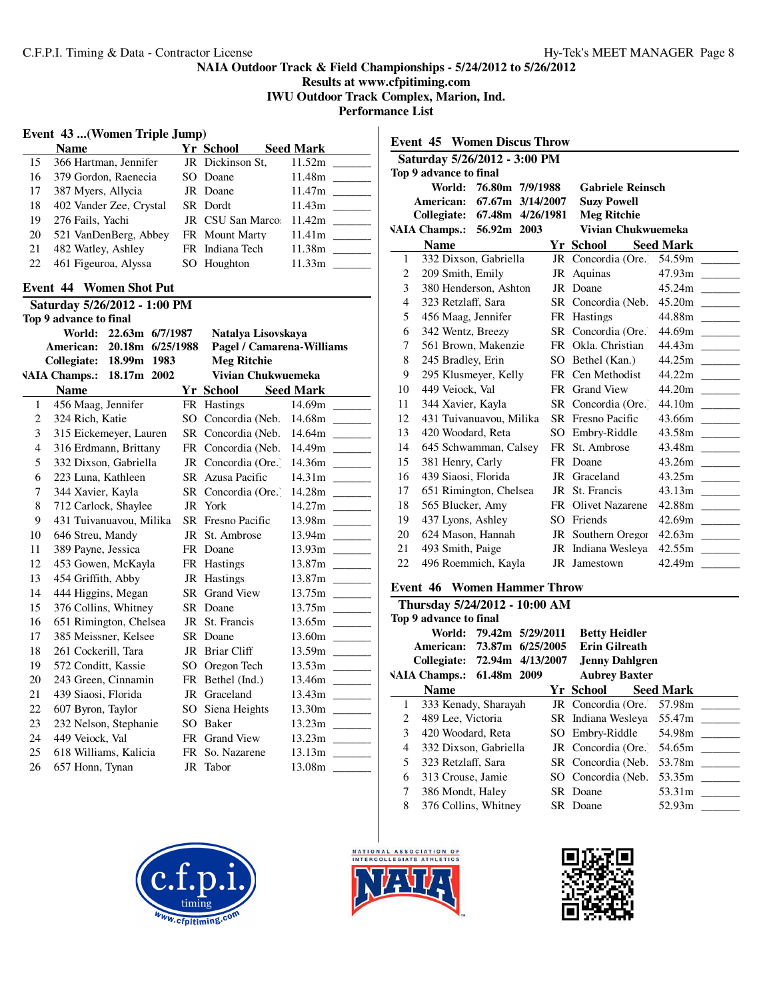**Results at www.cfpitiming.com**

**IWU Outdoor Track Complex, Marion, Ind.**

**Performance List**

# **Event 43 ...(Women Triple Jump)**

|    | <b>Name</b>             | Yr School        | <b>Seed Mark</b> |
|----|-------------------------|------------------|------------------|
| 15 | 366 Hartman, Jennifer   | JR Dickinson St, | 11.52m           |
| 16 | 379 Gordon, Raenecia    | SO Doane         | 11.48m           |
| 17 | 387 Myers, Allycia      | JR Doane         | 11.47m           |
| 18 | 402 Vander Zee, Crystal | SR Dordt         | 11.43m           |
| 19 | 276 Fails, Yachi        | JR CSU San Marco | 11.42m           |
| 20 | 521 VanDenBerg, Abbey   | FR Mount Marty   | 11.41m           |
| 21 | 482 Watley, Ashley      | FR Indiana Tech  | 11.38m           |
| 22 | 461 Figeuroa, Alyssa    | SO Houghton      | 11.33m           |
|    |                         |                  |                  |

### **Event 44 Women Shot Put**

| Saturday 5/26/2012 - 1:00 PM |                         |                  |  |           |                           |                                                                                                       |  |  |
|------------------------------|-------------------------|------------------|--|-----------|---------------------------|-------------------------------------------------------------------------------------------------------|--|--|
|                              | Top 9 advance to final  |                  |  |           |                           |                                                                                                       |  |  |
|                              | World:                  | 22.63m 6/7/1987  |  |           | Natalya Lisovskava        |                                                                                                       |  |  |
|                              | American:               | 20.18m 6/25/1988 |  |           | Pagel / Camarena-Williams |                                                                                                       |  |  |
|                              | Collegiate:             | 18.99m 1983      |  |           | <b>Meg Ritchie</b>        |                                                                                                       |  |  |
|                              | <b>VAIA Champs.:</b>    | 18.17m 2002      |  |           | Vivian Chukwuemeka        |                                                                                                       |  |  |
|                              | <b>Name</b>             |                  |  |           | Yr School                 | <b>Seed Mark</b>                                                                                      |  |  |
| 1                            | 456 Maag, Jennifer      |                  |  |           | FR Hastings               | 14.69m                                                                                                |  |  |
| 2                            | 324 Rich, Katie         |                  |  |           | SO Concordia (Neb.        | 14.68m                                                                                                |  |  |
| 3                            | 315 Eickemeyer, Lauren  |                  |  |           | SR Concordia (Neb.        | 14.64m                                                                                                |  |  |
| $\overline{4}$               | 316 Erdmann, Brittany   |                  |  |           | FR Concordia (Neb.        | 14.49m                                                                                                |  |  |
| 5                            | 332 Dixson, Gabriella   |                  |  |           | JR Concordia (Ore.)       | 14.36m                                                                                                |  |  |
| 6                            | 223 Luna, Kathleen      |                  |  |           | SR Azusa Pacific          | 14.31m                                                                                                |  |  |
| 7                            | 344 Xavier, Kayla       |                  |  | SR.       | Concordia (Ore.)          | 14.28m                                                                                                |  |  |
| 8                            | 712 Carlock, Shaylee    |                  |  | JR        | York                      | 14.27m<br><b>Contract Contract</b>                                                                    |  |  |
| 9                            | 431 Tuivanuavou, Milika |                  |  |           | <b>SR</b> Fresno Pacific  | 13.98m                                                                                                |  |  |
| 10                           | 646 Streu, Mandy        |                  |  |           | JR St. Ambrose            | 13.94m                                                                                                |  |  |
| 11                           | 389 Payne, Jessica      |                  |  |           | FR Doane                  | 13.93m                                                                                                |  |  |
| 12                           | 453 Gowen, McKayla      |                  |  |           | FR Hastings               | 13.87m                                                                                                |  |  |
| 13                           | 454 Griffith, Abby      |                  |  |           | JR Hastings               | 13.87m                                                                                                |  |  |
| 14                           | 444 Higgins, Megan      |                  |  |           | <b>SR</b> Grand View      | 13.75m                                                                                                |  |  |
| 15                           | 376 Collins, Whitney    |                  |  |           | SR Doane                  | 13.75m                                                                                                |  |  |
| 16                           | 651 Rimington, Chelsea  |                  |  | JR        | St. Francis               | 13.65m                                                                                                |  |  |
| 17                           | 385 Meissner, Kelsee    |                  |  |           | SR Doane                  |                                                                                                       |  |  |
| 18                           | 261 Cockerill, Tara     |                  |  |           | JR Briar Cliff            | 13.59m                                                                                                |  |  |
| 19                           | 572 Conditt, Kassie     |                  |  | SO.       | Oregon Tech               | 13.53m                                                                                                |  |  |
| 20                           | 243 Green, Cinnamin     |                  |  | FR        | Bethel (Ind.)             | 13.46m                                                                                                |  |  |
| 21                           | 439 Siaosi, Florida     |                  |  |           | JR Graceland              | 13.43m                                                                                                |  |  |
| 22                           | 607 Byron, Taylor       |                  |  |           | SO Siena Heights          | 13.30m                                                                                                |  |  |
| 23                           | 232 Nelson, Stephanie   |                  |  | SO        | <b>Baker</b>              | 13.23m                                                                                                |  |  |
| 24                           | 449 Veiock, Val         |                  |  | <b>FR</b> | <b>Grand View</b>         | 13.23m<br>$\mathcal{L}^{\mathcal{L}}$ and $\mathcal{L}^{\mathcal{L}}$ and $\mathcal{L}^{\mathcal{L}}$ |  |  |
| 25                           | 618 Williams, Kalicia   |                  |  | FR        | So. Nazarene              | 13.13m                                                                                                |  |  |
| 26                           | 657 Honn, Tynan         |                  |  |           | JR Tabor                  | 13.08m                                                                                                |  |  |
|                              |                         |                  |  |           |                           |                                                                                                       |  |  |

| <b>Event 45 Women Discus Throw</b>                  |                                                |                          |                  |  |  |  |  |
|-----------------------------------------------------|------------------------------------------------|--------------------------|------------------|--|--|--|--|
| Saturday 5/26/2012 - 3:00 PM                        |                                                |                          |                  |  |  |  |  |
| Top 9 advance to final                              |                                                |                          |                  |  |  |  |  |
| 76.80m 7/9/1988<br>World:                           |                                                | <b>Gabriele Reinsch</b>  |                  |  |  |  |  |
| 67.67m 3/14/2007<br><b>Suzy Powell</b><br>American: |                                                |                          |                  |  |  |  |  |
| Collegiate: 67.48m 4/26/1981<br><b>Meg Ritchie</b>  |                                                |                          |                  |  |  |  |  |
| VAIA Champs.: 56.92m 2003                           |                                                | Vivian Chukwuemeka       |                  |  |  |  |  |
| <b>Name</b>                                         |                                                | Yr School                | <b>Seed Mark</b> |  |  |  |  |
| 332 Dixson, Gabriella<br>$\mathbf{1}$               |                                                | JR Concordia (Ore.)      | 54.59m           |  |  |  |  |
| 2<br>209 Smith, Emily                               |                                                | JR Aquinas               | 47.93m           |  |  |  |  |
| 3<br>380 Henderson, Ashton                          |                                                | JR Doane                 |                  |  |  |  |  |
| $\overline{4}$<br>323 Retzlaff, Sara                |                                                | SR Concordia (Neb.       |                  |  |  |  |  |
| 5<br>456 Maag, Jennifer                             |                                                | FR Hastings              | 44.88m           |  |  |  |  |
| 6<br>342 Wentz, Breezy                              |                                                | SR Concordia (Ore.)      | 44.69m           |  |  |  |  |
| 7<br>561 Brown, Makenzie                            |                                                | FR Okla. Christian       | 44.43m           |  |  |  |  |
| 8<br>245 Bradley, Erin                              |                                                | SO Bethel (Kan.)         |                  |  |  |  |  |
| 9<br>295 Klusmeyer, Kelly                           |                                                | FR Cen Methodist         |                  |  |  |  |  |
| 449 Veiock, Val<br>10                               |                                                | FR Grand View            |                  |  |  |  |  |
| 344 Xavier, Kayla<br>11                             |                                                | SR Concordia (Ore.)      |                  |  |  |  |  |
| 12<br>431 Tuivanuavou, Milika                       |                                                | <b>SR</b> Fresno Pacific | 43.66m           |  |  |  |  |
| 13<br>420 Woodard, Reta                             |                                                | SO Embry-Riddle          | 43.58m           |  |  |  |  |
| 14<br>645 Schwamman, Calsey                         |                                                | FR St. Ambrose           | 43.48m           |  |  |  |  |
| 381 Henry, Carly<br>15                              |                                                | FR Doane                 |                  |  |  |  |  |
| 439 Siaosi, Florida<br>16                           |                                                | JR Graceland             |                  |  |  |  |  |
| 651 Rimington, Chelsea<br>17                        |                                                | JR St. Francis           |                  |  |  |  |  |
| 18<br>565 Blucker, Amy                              |                                                | FR Olivet Nazarene       |                  |  |  |  |  |
| 437 Lyons, Ashley<br>19                             |                                                | SO Friends               |                  |  |  |  |  |
| 624 Mason, Hannah<br>20                             |                                                | JR Southern Oregor       |                  |  |  |  |  |
| 21<br>493 Smith, Paige                              |                                                | JR Indiana Wesleva       |                  |  |  |  |  |
| 496 Roemmich, Kayla<br>22                           |                                                | JR Jamestown             |                  |  |  |  |  |
| $1$                                                 | $T_{\rm{H}}$ and $T_{\rm{H}}$ and $T_{\rm{H}}$ |                          |                  |  |  |  |  |

#### **Event 46 Women Hammer Throw**

| Thursday 5/24/2012 - 10:00 AM |                         |                                                                                  |                                                                                                                                                    |                                                                                                 |                                                                                                                                                                                                                                                                                                       |  |  |  |
|-------------------------------|-------------------------|----------------------------------------------------------------------------------|----------------------------------------------------------------------------------------------------------------------------------------------------|-------------------------------------------------------------------------------------------------|-------------------------------------------------------------------------------------------------------------------------------------------------------------------------------------------------------------------------------------------------------------------------------------------------------|--|--|--|
| Top 9 advance to final        |                         |                                                                                  |                                                                                                                                                    |                                                                                                 |                                                                                                                                                                                                                                                                                                       |  |  |  |
|                               |                         |                                                                                  |                                                                                                                                                    |                                                                                                 |                                                                                                                                                                                                                                                                                                       |  |  |  |
|                               |                         |                                                                                  |                                                                                                                                                    |                                                                                                 |                                                                                                                                                                                                                                                                                                       |  |  |  |
|                               |                         |                                                                                  |                                                                                                                                                    |                                                                                                 |                                                                                                                                                                                                                                                                                                       |  |  |  |
|                               |                         |                                                                                  |                                                                                                                                                    |                                                                                                 |                                                                                                                                                                                                                                                                                                       |  |  |  |
| <b>Name</b>                   |                         |                                                                                  |                                                                                                                                                    |                                                                                                 |                                                                                                                                                                                                                                                                                                       |  |  |  |
|                               |                         |                                                                                  |                                                                                                                                                    |                                                                                                 |                                                                                                                                                                                                                                                                                                       |  |  |  |
|                               |                         |                                                                                  |                                                                                                                                                    |                                                                                                 |                                                                                                                                                                                                                                                                                                       |  |  |  |
|                               |                         |                                                                                  |                                                                                                                                                    |                                                                                                 |                                                                                                                                                                                                                                                                                                       |  |  |  |
|                               |                         |                                                                                  |                                                                                                                                                    |                                                                                                 |                                                                                                                                                                                                                                                                                                       |  |  |  |
|                               |                         |                                                                                  |                                                                                                                                                    |                                                                                                 |                                                                                                                                                                                                                                                                                                       |  |  |  |
|                               |                         |                                                                                  |                                                                                                                                                    |                                                                                                 | 53.35m                                                                                                                                                                                                                                                                                                |  |  |  |
|                               |                         |                                                                                  |                                                                                                                                                    |                                                                                                 |                                                                                                                                                                                                                                                                                                       |  |  |  |
|                               |                         |                                                                                  |                                                                                                                                                    | 52.93m                                                                                          |                                                                                                                                                                                                                                                                                                       |  |  |  |
| 6                             | 2<br>$\mathcal{F}$<br>5 | 489 Lee, Victoria<br>323 Retzlaff, Sara<br>313 Crouse, Jamie<br>386 Mondt, Haley | World: 79.42m 5/29/2011<br>VAIA Champs.: 61.48m 2009<br>333 Kenady, Sharayah<br>420 Woodard, Reta<br>332 Dixson, Gabriella<br>376 Collins, Whitney | American: 73.87m 6/25/2005<br>Collegiate: 72.94m 4/13/2007<br>Yr School<br>SR Doane<br>SR Doane | <b>Betty Heidler</b><br><b>Erin Gilreath</b><br><b>Jenny Dahlgren</b><br><b>Aubrey Baxter</b><br><b>Seed Mark</b><br>JR Concordia (Ore. 57.98m<br>SR Indiana Wesleya 55.47m<br>SO Embry-Riddle<br>54.98m<br>JR Concordia (Ore. 54.65m<br>53.78m<br>SR Concordia (Neb.<br>SO Concordia (Neb.<br>53.31m |  |  |  |





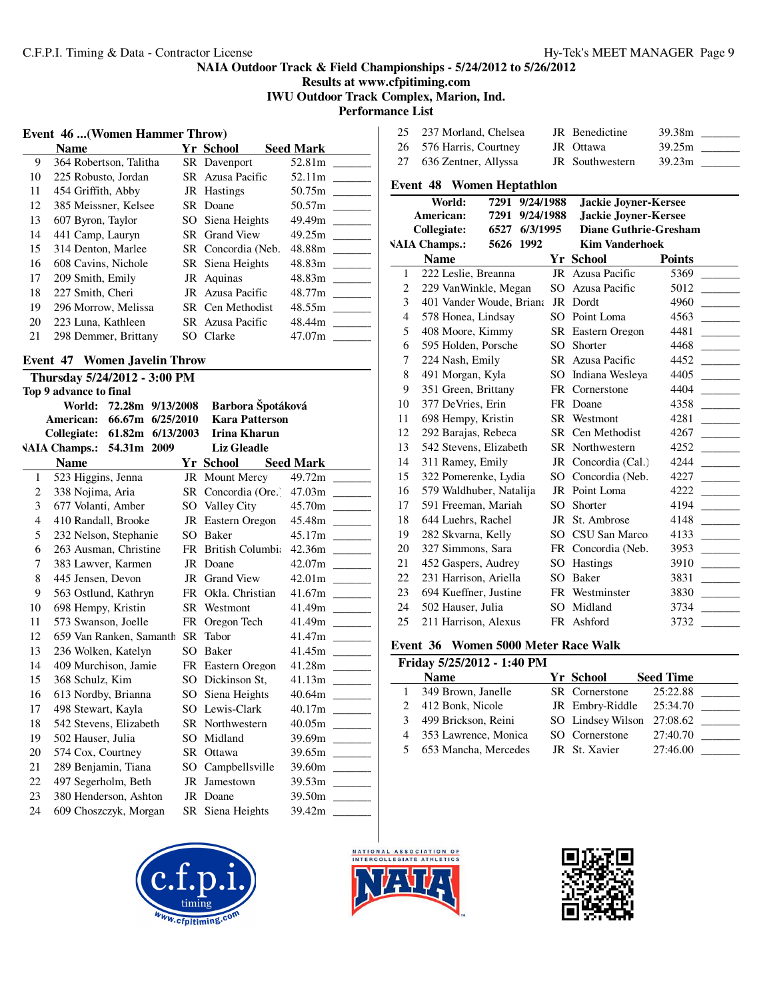**Results at www.cfpitiming.com IWU Outdoor Track Complex, Marion, Ind.**

**Performance List**

#### **Event 46 ...(Women Hammer Throw)**

| <b>Event 46  (Women Hammer Throw)</b> |                        |  |                      |                  |  |  |  |
|---------------------------------------|------------------------|--|----------------------|------------------|--|--|--|
|                                       | <b>Name</b>            |  | Yr School            | <b>Seed Mark</b> |  |  |  |
| 9                                     | 364 Robertson, Talitha |  | SR Davenport         | 52.81m           |  |  |  |
| 10                                    | 225 Robusto, Jordan    |  | SR Azusa Pacific     | 52.11m           |  |  |  |
| 11                                    | 454 Griffith, Abby     |  | JR Hastings          | 50.75m           |  |  |  |
| 12                                    | 385 Meissner, Kelsee   |  | SR Doane             | 50.57m           |  |  |  |
| 13                                    | 607 Byron, Taylor      |  | SO Siena Heights     | 49.49m           |  |  |  |
| 14                                    | 441 Camp, Lauryn       |  | <b>SR</b> Grand View | 49.25m           |  |  |  |
| 15                                    | 314 Denton, Marlee     |  | SR Concordia (Neb.   | 48.88m           |  |  |  |
| 16                                    | 608 Cavins, Nichole    |  | SR Siena Heights     | 48.83m           |  |  |  |
| 17                                    | 209 Smith, Emily       |  | JR Aquinas           | 48.83m           |  |  |  |
| 18                                    | 227 Smith, Cheri       |  | JR Azusa Pacific     | 48.77m           |  |  |  |
| 19                                    | 296 Morrow, Melissa    |  | SR Cen Methodist     | 48.55m           |  |  |  |
| 20                                    | 223 Luna, Kathleen     |  | SR Azusa Pacific     | 48.44m           |  |  |  |
| 21                                    | 298 Demmer, Brittany   |  | SO Clarke            | 47.07m           |  |  |  |

### **Event 47 Women Javelin Throw Thursday 5/24/2012 - 3:00 PM**

|                | Top 9 advance to final       |                         |      |                        |                  |
|----------------|------------------------------|-------------------------|------|------------------------|------------------|
|                |                              | World: 72.28m 9/13/2008 |      | Barbora Špotáková      |                  |
|                | American:                    | 66.67m 6/25/2010        |      | <b>Kara Patterson</b>  |                  |
|                | Collegiate: 61.82m 6/13/2003 |                         |      | Irina Kharun           |                  |
|                | <b>VAIA Champs.:</b>         | 54.31m 2009             |      | <b>Liz Gleadle</b>     |                  |
|                | <b>Name</b>                  |                         |      | Yr School              | <b>Seed Mark</b> |
| 1              | 523 Higgins, Jenna           |                         |      | JR Mount Mercy         | 49.72m           |
| 2              | 338 Nojima, Aria             |                         |      | SR Concordia (Ore.)    | 47.03m           |
| 3              | 677 Volanti, Amber           |                         |      | SO Valley City         | 45.70m           |
| $\overline{4}$ | 410 Randall, Brooke          |                         |      | JR Eastern Oregon      |                  |
| 5              | 232 Nelson, Stephanie        |                         |      | SO Baker               |                  |
| 6              | 263 Ausman, Christine        |                         |      | FR British Columbia    |                  |
| 7              | 383 Lawver, Karmen           |                         |      | JR Doane               |                  |
| 8              | 445 Jensen, Devon            |                         |      | JR Grand View          |                  |
| 9              | 563 Ostlund, Kathryn         |                         | FR   | Okla. Christian        |                  |
| 10             | 698 Hempy, Kristin           |                         |      | SR Westmont            |                  |
| 11             | 573 Swanson, Joelle          |                         | FR - | Oregon Tech            |                  |
| 12             | 659 Van Ranken, Samanth      |                         |      | SR Tabor               |                  |
| 13             | 236 Wolken, Katelyn          |                         |      | SO Baker               |                  |
| 14             | 409 Murchison, Jamie         |                         |      | FR Eastern Oregon      |                  |
| 15             | 368 Schulz, Kim              |                         |      | SO Dickinson St,       | 41.13m           |
| 16             | 613 Nordby, Brianna          |                         |      | SO Siena Heights       |                  |
| 17             | 498 Stewart, Kayla           |                         |      | SO Lewis-Clark         |                  |
| 18             | 542 Stevens, Elizabeth       |                         |      | <b>SR</b> Northwestern |                  |
| 19             | 502 Hauser, Julia            |                         |      | SO Midland             |                  |
| 20             | 574 Cox, Courtney            |                         |      | SR Ottawa              |                  |
| 21             | 289 Benjamin, Tiana          |                         |      | SO Campbellsville      | 39.60m ______    |
| 22             | 497 Segerholm, Beth          |                         |      | JR Jamestown           |                  |
| 23             | 380 Henderson, Ashton        |                         |      | JR Doane               | 39.50m ______    |
| 24             | 609 Choszczyk, Morgan        |                         |      | SR Siena Heights       |                  |
|                |                              |                         |      |                        |                  |

| 25 237 Morland, Chelsea | JR Benedictine  | 39.38m |
|-------------------------|-----------------|--------|
| 26 576 Harris, Courtney | JR Ottawa       | 39.25m |
| 27 636 Zentner, Allyssa | JR Southwestern | 39.23m |

#### **Event 48 Women Heptathlon**

|                                | World:                 | 7291 9/24/1988           |                             | <b>Jackie Joyner-Kersee</b>  |               |
|--------------------------------|------------------------|--------------------------|-----------------------------|------------------------------|---------------|
| American:<br>7291<br>9/24/1988 |                        |                          | <b>Jackie Joyner-Kersee</b> |                              |               |
|                                | Collegiate:            | 6/3/1995<br>6527         |                             | <b>Diane Guthrie-Gresham</b> |               |
|                                | <b>VAIA Champs.:</b>   | 5626 1992                |                             | <b>Kim Vanderhoek</b>        |               |
|                                | <b>Name</b>            |                          |                             | <b>Yr School</b>             | <b>Points</b> |
| 1                              | 222 Leslie, Breanna    |                          | JR                          | Azusa Pacific                | 5369          |
| $\overline{c}$                 | 229 VanWinkle, Megan   |                          | SO                          | Azusa Pacific                | 5012          |
| 3                              |                        | 401 Vander Woude, Briana | JR                          | Dordt                        | 4960          |
| 4                              | 578 Honea, Lindsay     |                          | SO.                         | Point Loma                   | 4563          |
| 5                              | 408 Moore, Kimmy       |                          |                             | SR Eastern Oregon            | 4481          |
| 6                              | 595 Holden, Porsche    |                          | SO                          | Shorter                      | 4468          |
| 7                              | 224 Nash, Emily        |                          |                             | SR Azusa Pacific             | 4452          |
| 8                              | 491 Morgan, Kyla       |                          | SO                          | Indiana Wesleya              | 4405          |
| 9                              | 351 Green, Brittany    |                          |                             | FR Cornerstone               | 4404          |
| 10                             | 377 DeVries, Erin      |                          | FR                          | Doane                        | 4358          |
| 11                             | 698 Hempy, Kristin     |                          |                             | SR Westmont                  | 4281          |
| 12                             | 292 Barajas, Rebeca    |                          | SR                          | Cen Methodist                | 4267          |
| 13                             | 542 Stevens, Elizabeth |                          | SR.                         | Northwestern                 | 4252          |
| 14                             | 311 Ramey, Emily       |                          | JR                          | Concordia (Cal.)             | 4244          |
| 15                             | 322 Pomerenke, Lydia   |                          |                             | SO Concordia (Neb.           | 4227          |
| 16                             |                        | 579 Waldhuber, Natalija  |                             | JR Point Loma                | 4222          |
| 17                             | 591 Freeman, Mariah    |                          | SO.                         | Shorter                      | 4194          |
| 18                             | 644 Luehrs, Rachel     |                          | JR                          | St. Ambrose                  | 4148          |
| 19                             | 282 Skvarna, Kelly     |                          | SO                          | CSU San Marco                | 4133          |
| 20                             | 327 Simmons, Sara      |                          | <b>FR</b>                   | Concordia (Neb.              | 3953          |
| 21                             | 452 Gaspers, Audrey    |                          | SO.                         | <b>Hastings</b>              | 3910          |
| 22                             | 231 Harrison, Ariella  |                          | SO                          | Baker                        | 3831          |
| 23                             | 694 Kueffner, Justine  |                          | FR                          | Westminster                  | 3830          |
| 24                             | 502 Hauser, Julia      |                          | SO.                         | Midland                      | 3734          |
| 25                             | 211 Harrison, Alexus   |                          | FR                          | Ashford                      | 3732          |

# **Event 36 Women 5000 Meter Race Walk**

| Friday 5/25/2012 - 1:40 PM |                      |  |                            |                  |  |  |  |  |
|----------------------------|----------------------|--|----------------------------|------------------|--|--|--|--|
|                            | <b>Name</b>          |  | Yr School                  | <b>Seed Time</b> |  |  |  |  |
|                            | 349 Brown, Janelle   |  | SR Cornerstone             | 25:22.88         |  |  |  |  |
|                            | 412 Bonk, Nicole     |  | JR Embry-Riddle 25:34.70   |                  |  |  |  |  |
|                            | 499 Brickson, Reini  |  | SO Lindsey Wilson 27:08.62 |                  |  |  |  |  |
|                            | 353 Lawrence, Monica |  | SO Cornerstone             | 27:40.70         |  |  |  |  |
|                            | 653 Mancha, Mercedes |  | JR St. Xavier              | 27:46.00         |  |  |  |  |





j.

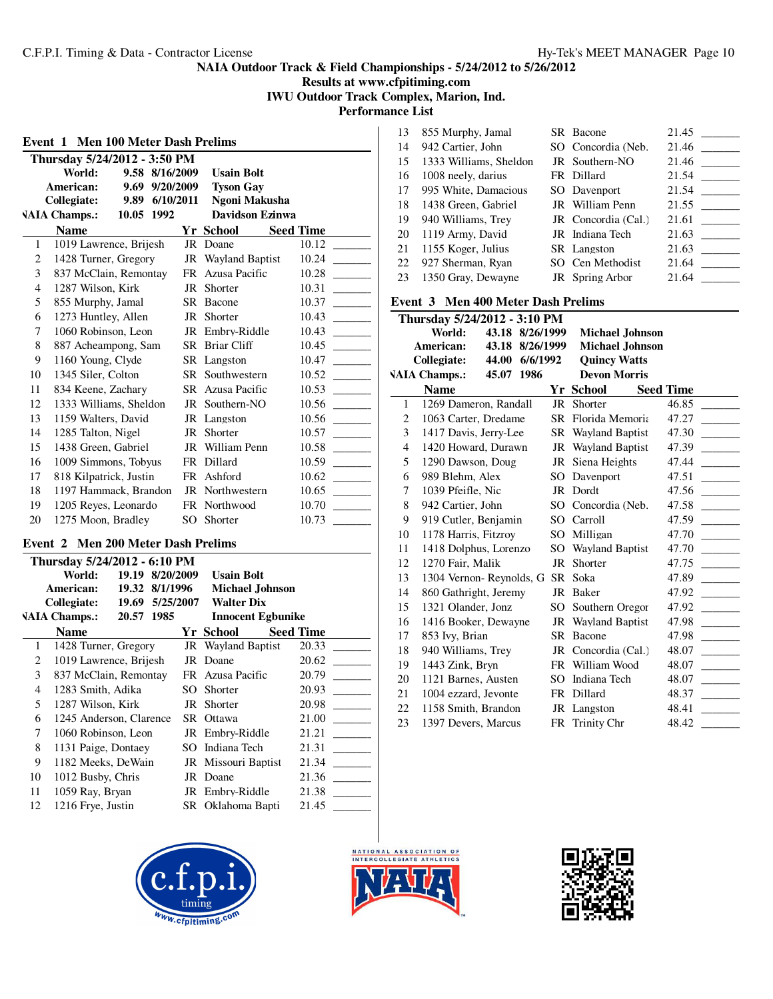**Results at www.cfpitiming.com IWU Outdoor Track Complex, Marion, Ind.**

**Performance List**  $\mathbf{I}$ 

| <b>Men 100 Meter Dash Prelims</b><br>Event 1 |                              |            |                |           |                           |                  |
|----------------------------------------------|------------------------------|------------|----------------|-----------|---------------------------|------------------|
|                                              | Thursday 5/24/2012 - 3:50 PM |            |                |           |                           |                  |
|                                              | World:                       | 9.58       | 8/16/2009      |           | <b>Usain Bolt</b>         |                  |
|                                              | American:                    |            | 9.69 9/20/2009 |           | <b>Tyson Gay</b>          |                  |
|                                              | <b>Collegiate:</b>           | 9.89       | 6/10/2011      |           | Ngoni Makusha             |                  |
|                                              | <b>VAIA Champs.:</b>         | 10.05 1992 |                |           | <b>Davidson Ezinwa</b>    |                  |
|                                              | <b>Name</b>                  |            |                |           | <b>Yr School</b>          | <b>Seed Time</b> |
| 1                                            | 1019 Lawrence, Brijesh       |            |                |           | JR Doane                  | 10.12            |
| 2                                            | 1428 Turner, Gregory         |            |                |           | <b>JR</b> Wayland Baptist | 10.24            |
| 3                                            | 837 McClain, Remontay        |            |                |           | FR Azusa Pacific          | 10.28            |
| $\overline{4}$                               | 1287 Wilson, Kirk            |            |                | JR        | Shorter                   | 10.31            |
| 5                                            | 855 Murphy, Jamal            |            |                | SR        | Bacone                    | 10.37            |
| 6                                            | 1273 Huntley, Allen          |            |                | JR        | Shorter                   | 10.43            |
| 7                                            | 1060 Robinson, Leon          |            |                |           | JR Embry-Riddle           | 10.43            |
| 8                                            | 887 Acheampong, Sam          |            |                |           | SR Briar Cliff            | 10.45            |
| 9                                            | 1160 Young, Clyde            |            |                |           | SR Langston               | 10.47            |
| 10                                           | 1345 Siler, Colton           |            |                |           | SR Southwestern           | 10.52            |
| 11                                           | 834 Keene, Zachary           |            |                |           | SR Azusa Pacific          | 10.53            |
| 12                                           | 1333 Williams, Sheldon       |            |                |           | JR Southern-NO            | 10.56            |
| 13                                           | 1159 Walters, David          |            |                |           | JR Langston               | 10.56            |
| 14                                           | 1285 Talton, Nigel           |            |                | JR        | Shorter                   | 10.57            |
| 15                                           | 1438 Green, Gabriel          |            |                | JR        | William Penn              | 10.58            |
| 16                                           | 1009 Simmons, Tobyus         |            |                | <b>FR</b> | Dillard                   | 10.59            |
| 17                                           | 818 Kilpatrick, Justin       |            |                |           | FR Ashford                | 10.62            |
| 18                                           | 1197 Hammack, Brandon        |            |                | JR        | Northwestern              | 10.65            |
| 19                                           | 1205 Reyes, Leonardo         |            |                | FR        | Northwood                 | 10.70            |
| 20                                           | 1275 Moon, Bradley           |            |                | SO.       | Shorter                   | 10.73            |

#### **Event 2 Men 200 Meter Dash Prelims**

|    | Thursday 5/24/2012 - 6:10 PM |                 |           |     |                           |                  |       |  |
|----|------------------------------|-----------------|-----------|-----|---------------------------|------------------|-------|--|
|    | World:                       | 19.19           | 8/20/2009 |     | <b>Usain Bolt</b>         |                  |       |  |
|    | American:                    | 19.32 8/1/1996  |           |     | <b>Michael Johnson</b>    |                  |       |  |
|    | Collegiate:                  | 19.69 5/25/2007 |           |     | <b>Walter Dix</b>         |                  |       |  |
|    | <b>VAIA Champs.:</b>         | 20.57           | 1985      |     | <b>Innocent Egbunike</b>  |                  |       |  |
|    | <b>Name</b>                  |                 |           |     | Yr School                 | <b>Seed Time</b> |       |  |
| 1  | 1428 Turner, Gregory         |                 |           |     | <b>JR</b> Wayland Baptist |                  | 20.33 |  |
| 2  | 1019 Lawrence, Brijesh       |                 |           |     | JR Doane                  |                  | 20.62 |  |
| 3  | 837 McClain, Remontay        |                 |           |     | FR Azusa Pacific          |                  | 20.79 |  |
| 4  | 1283 Smith, Adika            |                 |           | SO. | Shorter                   |                  | 20.93 |  |
| 5  | 1287 Wilson, Kirk            |                 |           | JR  | Shorter                   |                  | 20.98 |  |
| 6  | 1245 Anderson, Clarence      |                 |           |     | SR Ottawa                 |                  | 21.00 |  |
| 7  | 1060 Robinson, Leon          |                 |           |     | JR Embry-Riddle           |                  | 21.21 |  |
| 8  | 1131 Paige, Dontaey          |                 |           | SO. | Indiana Tech              |                  | 21.31 |  |
| 9  | 1182 Meeks, DeWain           |                 |           |     | JR Missouri Baptist       |                  | 21.34 |  |
| 10 | 1012 Busby, Chris            |                 |           |     | JR Doane                  |                  | 21.36 |  |
| 11 | 1059 Ray, Bryan              |                 |           |     | JR Embry-Riddle           |                  | 21.38 |  |
| 12 | 1216 Frye, Justin            |                 |           |     | SR Oklahoma Bapti         |                  | 21.45 |  |
|    |                              |                 |           |     |                           |                  |       |  |





| 13 | 855 Murphy, Jamal      | SR Bacone           | 21.45                             |
|----|------------------------|---------------------|-----------------------------------|
| 14 | 942 Cartier, John      | SO Concordia (Neb.  | 21.46<br><b>Contract Contract</b> |
| 15 | 1333 Williams, Sheldon | JR Southern-NO      | 21.46                             |
| 16 | 1008 neely, darius     | FR Dillard          | 21.54                             |
| 17 | 995 White, Damacious   | SO Davenport        | 21.54<br><b>Contract Contract</b> |
| 18 | 1438 Green, Gabriel    | JR William Penn     | 21.55                             |
| 19 | 940 Williams, Trey     | JR Concordia (Cal.) | 21.61                             |
| 20 | 1119 Army, David       | JR Indiana Tech     | 21.63<br><b>Contract Contract</b> |
| 21 | 1155 Koger, Julius     | SR Langston         | 21.63                             |
| 22 | 927 Sherman, Ryan      | SO Cen Methodist    | 21.64                             |
| 23 | 1350 Gray, Dewayne     | JR Spring Arbor     | 21.64                             |
|    |                        |                     |                                   |

# **Event 3 Men 400 Meter Dash Prelims**

|                | Thursday 5/24/2012 - 3:10 PM         |                 |                           |                  |
|----------------|--------------------------------------|-----------------|---------------------------|------------------|
|                | World:                               | 43.18 8/26/1999 | <b>Michael Johnson</b>    |                  |
|                | American:<br>43.18                   | 8/26/1999       | <b>Michael Johnson</b>    |                  |
|                | <b>Collegiate:</b><br>44.00 6/6/1992 |                 | <b>Quincy Watts</b>       |                  |
|                | <b>VAIA Champs.:</b><br>45.07 1986   |                 | <b>Devon Morris</b>       |                  |
|                | <b>Name</b>                          |                 | <b>Yr School</b>          | <b>Seed Time</b> |
| $\mathbf{1}$   | 1269 Dameron, Randall                | JR              | Shorter                   | 46.85            |
| 2              | 1063 Carter, Dredame                 | SR -            | Florida Memoria           | 47.27            |
| 3              | 1417 Davis, Jerry-Lee                |                 | <b>SR</b> Wayland Baptist | 47.30            |
| $\overline{4}$ | 1420 Howard, Durawn                  | JR              | <b>Wayland Baptist</b>    | 47.39            |
| 5              | 1290 Dawson, Doug                    | JR              | Siena Heights             | 47.44            |
| 6              | 989 Blehm, Alex                      | SO              | Davenport                 | 47.51            |
| 7              | 1039 Pfeifle, Nic                    |                 | JR Dordt                  | 47.56            |
| 8              | 942 Cartier, John                    | SO.             | Concordia (Neb.           | 47.58            |
| 9              | 919 Cutler, Benjamin                 | SO.             | Carroll                   | 47.59            |
| 10             | 1178 Harris, Fitzroy                 | SO.             | Milligan                  | 47.70            |
| 11             | 1418 Dolphus, Lorenzo                | SO              | <b>Wayland Baptist</b>    | 47.70            |
| 12             | 1270 Fair, Malik                     | JR              | Shorter                   | 47.75            |
| 13             | 1304 Vernon-Reynolds, G              | <b>SR</b>       | Soka                      | 47.89            |
| 14             | 860 Gathright, Jeremy                | JR              | Baker                     | 47.92            |
| 15             | 1321 Olander, Jonz                   | SO.             | Southern Oregor           | 47.92            |
| 16             | 1416 Booker, Dewayne                 |                 | JR Wayland Baptist        | 47.98            |
| 17             | 853 Ivy, Brian                       | <b>SR</b>       | Bacone                    | 47.98            |
| 18             | 940 Williams, Trey                   | JR              | Concordia (Cal.)          | 48.07            |
| 19             | 1443 Zink, Bryn                      |                 | FR William Wood           | 48.07            |
| 20             | 1121 Barnes, Austen                  | <b>SO</b>       | Indiana Tech              | 48.07            |
| 21             | 1004 ezzard, Jevonte                 | FR              | Dillard                   | 48.37            |
| 22             | 1158 Smith, Brandon                  | JR              | Langston                  | 48.41            |
| 23             | 1397 Devers, Marcus                  |                 | FR Trinity Chr            | 48.42            |

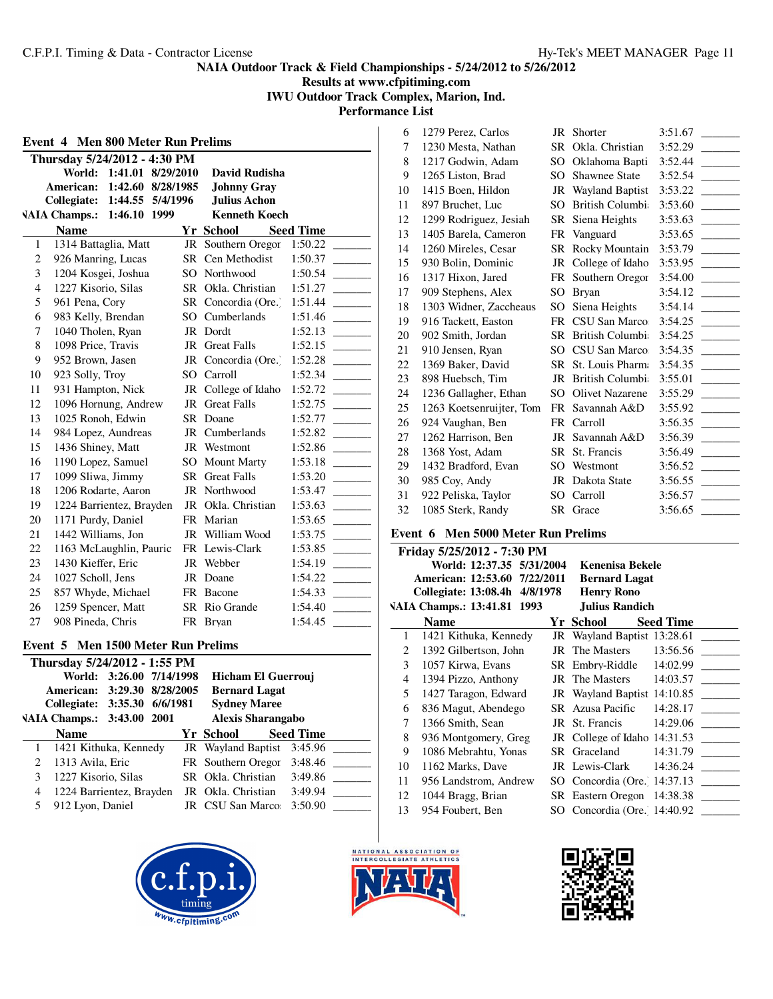**Results at www.cfpitiming.com IWU Outdoor Track Complex, Marion, Ind.**

**Performance List**

|                | Thursday 5/24/2012 - 4:30 PM |                   |     |                       |                  |
|----------------|------------------------------|-------------------|-----|-----------------------|------------------|
|                | World:                       | 1:41.01 8/29/2010 |     | David Rudisha         |                  |
|                | American:                    | 1:42.60 8/28/1985 |     | <b>Johnny Gray</b>    |                  |
|                | Collegiate:                  | 1:44.55 5/4/1996  |     | <b>Julius Achon</b>   |                  |
|                | <b>VAIA Champs.:</b>         | 1:46.10 1999      |     | <b>Kenneth Koech</b>  |                  |
|                | <b>Name</b>                  |                   |     | <b>Yr School</b>      | <b>Seed Time</b> |
| 1              | 1314 Battaglia, Matt         |                   |     | JR Southern Oregor    | 1:50.22          |
| 2              | 926 Manring, Lucas           |                   |     | SR Cen Methodist      | 1:50.37          |
| 3              | 1204 Kosgei, Joshua          |                   |     | SO Northwood          | 1:50.54          |
| $\overline{4}$ | 1227 Kisorio, Silas          |                   |     | SR Okla. Christian    | 1:51.27          |
| 5              | 961 Pena, Cory               |                   |     | SR Concordia (Ore.)   | 1:51.44          |
| 6              | 983 Kelly, Brendan           |                   |     | SO Cumberlands        | 1:51.46          |
| 7              | 1040 Tholen, Ryan            |                   |     | JR Dordt              | 1:52.13          |
| 8              | 1098 Price, Travis           |                   | JR  | <b>Great Falls</b>    | 1:52.15          |
| 9              | 952 Brown, Jasen             |                   | JR  | Concordia (Ore.)      | 1:52.28          |
| 10             | 923 Solly, Troy              |                   | SO. | Carroll               | 1:52.34          |
| 11             | 931 Hampton, Nick            |                   |     | JR College of Idaho   | 1:52.72          |
| 12             | 1096 Hornung, Andrew         |                   | JR  | <b>Great Falls</b>    | 1:52.75          |
| 13             | 1025 Ronoh, Edwin            |                   |     | SR Doane              | 1:52.77          |
| 14             | 984 Lopez, Aundreas          |                   | JR  | Cumberlands           | 1:52.82          |
| 15             | 1436 Shiney, Matt            |                   |     | JR Westmont           | 1:52.86          |
| 16             | 1190 Lopez, Samuel           |                   | SO. | <b>Mount Marty</b>    | 1:53.18          |
| 17             | 1099 Sliwa, Jimmy            |                   |     | <b>SR</b> Great Falls | 1:53.20          |
| 18             | 1206 Rodarte, Aaron          |                   |     | <b>JR</b> Northwood   | 1:53.47          |
| 19             | 1224 Barrientez, Brayden     |                   | JR  | Okla. Christian       | 1:53.63          |
| 20             | 1171 Purdy, Daniel           |                   |     | FR Marian             | 1:53.65          |
| 21             | 1442 Williams, Jon           |                   |     | JR William Wood       | 1:53.75          |
| 22             | 1163 McLaughlin, Pauric      |                   |     | FR Lewis-Clark        | 1:53.85          |
| 23             | 1430 Kieffer, Eric           |                   |     | JR Webber             | 1:54.19          |
| 24             | 1027 Scholl, Jens            |                   |     | JR Doane              | 1:54.22          |
| 25             | 857 Whyde, Michael           |                   |     | FR Bacone             | 1:54.33          |
| 26             | 1259 Spencer, Matt           |                   |     | SR Rio Grande         | 1:54.40          |
| 27             | 908 Pineda, Chris            |                   |     | FR Bryan              | 1:54.45          |

|                                | Thursday 5/24/2012 - 1:55 PM |                          |                      |                            |                  |  |
|--------------------------------|------------------------------|--------------------------|----------------------|----------------------------|------------------|--|
|                                |                              | World: 3:26.00 7/14/1998 |                      | Hicham El Guerrouj         |                  |  |
| 3:29.30 8/28/2005<br>American: |                              |                          | <b>Bernard Lagat</b> |                            |                  |  |
| Collegiate: 3:35.30 6/6/1981   |                              |                          | <b>Sydney Maree</b>  |                            |                  |  |
|                                | VAIA Champs.: 3:43.00 2001   |                          |                      | <b>Alexis Sharangabo</b>   |                  |  |
|                                | <b>Name</b>                  |                          |                      | Yr School                  | <b>Seed Time</b> |  |
| 1                              | 1421 Kithuka, Kennedy        |                          |                      | JR Wayland Baptist 3:45.96 |                  |  |
| 2                              | 1313 Avila, Eric             |                          |                      | FR Southern Oregor 3:48.46 |                  |  |
| 3                              | 1227 Kisorio, Silas          |                          |                      | SR Okla. Christian         | 3:49.86          |  |
| 4                              | 1224 Barrientez, Brayden     |                          |                      | JR Okla. Christian         | 3:49.94          |  |
|                                | 912 Lyon, Daniel             |                          |                      | JR CSU San Marco:          | 3:50.90          |  |
|                                |                              |                          |                      |                            |                  |  |







| 6  | 1279 Perez, Carlos       | JR        | Shorter                | 3:51.67 |
|----|--------------------------|-----------|------------------------|---------|
| 7  | 1230 Mesta, Nathan       | SR.       | Okla. Christian        | 3:52.29 |
| 8  | 1217 Godwin, Adam        | SO.       | Oklahoma Bapti         | 3:52.44 |
| 9  | 1265 Liston, Brad        | SO.       | <b>Shawnee State</b>   | 3:52.54 |
| 10 | 1415 Boen, Hildon        | JR        | <b>Wayland Baptist</b> | 3:53.22 |
| 11 | 897 Bruchet, Luc         | SO        | <b>British Columbi</b> | 3:53.60 |
| 12 | 1299 Rodriguez, Jesiah   | SR        | Siena Heights          | 3:53.63 |
| 13 | 1405 Barela, Cameron     | FR        | Vanguard               | 3:53.65 |
| 14 | 1260 Mireles, Cesar      | SR.       | Rocky Mountain         | 3:53.79 |
| 15 | 930 Bolin, Dominic       | JR        | College of Idaho       | 3:53.95 |
| 16 | 1317 Hixon, Jared        | FR        | Southern Oregor        | 3:54.00 |
| 17 | 909 Stephens, Alex       | SO        | <b>Bryan</b>           | 3:54.12 |
| 18 | 1303 Widner, Zaccheaus   | SO.       | Siena Heights          | 3:54.14 |
| 19 | 916 Tackett, Easton      | <b>FR</b> | CSU San Marco          | 3:54.25 |
| 20 | 902 Smith, Jordan        | SR        | <b>British Columbi</b> | 3:54.25 |
| 21 | 910 Jensen, Ryan         | SO.       | CSU San Marco          | 3:54.35 |
| 22 | 1369 Baker, David        | SR -      | St. Louis Pharm:       | 3:54.35 |
| 23 | 898 Huebsch, Tim         | JR        | <b>British Columbi</b> | 3:55.01 |
| 24 | 1236 Gallagher, Ethan    | SO        | <b>Olivet Nazarene</b> | 3:55.29 |
| 25 | 1263 Koetsenruijter, Tom | FR        | Savannah A&D           | 3:55.92 |
| 26 | 924 Vaughan, Ben         | FR        | Carroll                | 3:56.35 |
| 27 | 1262 Harrison, Ben       | JR        | Savannah A&D           | 3:56.39 |
| 28 | 1368 Yost, Adam          | SR        | St. Francis            | 3:56.49 |
| 29 | 1432 Bradford, Evan      | SO        | Westmont               | 3:56.52 |
| 30 | 985 Coy, Andy            | JR        | Dakota State           | 3:56.55 |
| 31 | 922 Peliska, Taylor      | SO        | Carroll                | 3:56.57 |
| 32 | 1085 Sterk, Randy        |           | SR Grace               | 3:56.65 |

# **Event 6 Men 5000 Meter Run Prelims**

|    | Friday 5/25/2012 - 7:30 PM    |    |                               |
|----|-------------------------------|----|-------------------------------|
|    | World: 12:37.35 5/31/2004     |    | <b>Kenenisa Bekele</b>        |
|    | American: 12:53.60 7/22/2011  |    | <b>Bernard Lagat</b>          |
|    | Collegiate: 13:08.4h 4/8/1978 |    | <b>Henry Rono</b>             |
|    | VAIA Champs.: 13:41.81 1993   |    | Julius Randich                |
|    | <b>Name</b>                   |    | <b>Seed Time</b><br>Yr School |
| 1  | 1421 Kithuka, Kennedy         |    | JR Wayland Baptist 13:28.61   |
| 2  | 1392 Gilbertson, John         |    | JR The Masters<br>13:56.56    |
| 3  | 1057 Kirwa, Evans             |    | 14:02.99<br>SR Embry-Riddle   |
| 4  | 1394 Pizzo, Anthony           |    | 14:03.57<br>JR The Masters    |
| 5  | 1427 Taragon, Edward          |    | JR Wayland Baptist $14:10.85$ |
| 6  | 836 Magut, Abendego           |    | SR Azusa Pacific<br>14:28.17  |
| 7  | 1366 Smith, Sean              |    | 14:29.06<br>JR St. Francis    |
| 8  | 936 Montgomery, Greg          |    | JR College of Idaho 14:31.53  |
| 9  | 1086 Mebrahtu, Yonas          |    | SR Graceland<br>14:31.79      |
| 10 | 1162 Marks, Dave              |    | JR Lewis-Clark<br>14:36.24    |
| 11 | 956 Landstrom, Andrew         |    | SO Concordia (Ore. 14:37.13)  |
| 12 | 1044 Bragg, Brian             |    | SR Eastern Oregon 14:38.38    |
| 13 | 954 Foubert, Ben              | SO | Concordia (Ore. 14:40.92)     |
|    |                               |    |                               |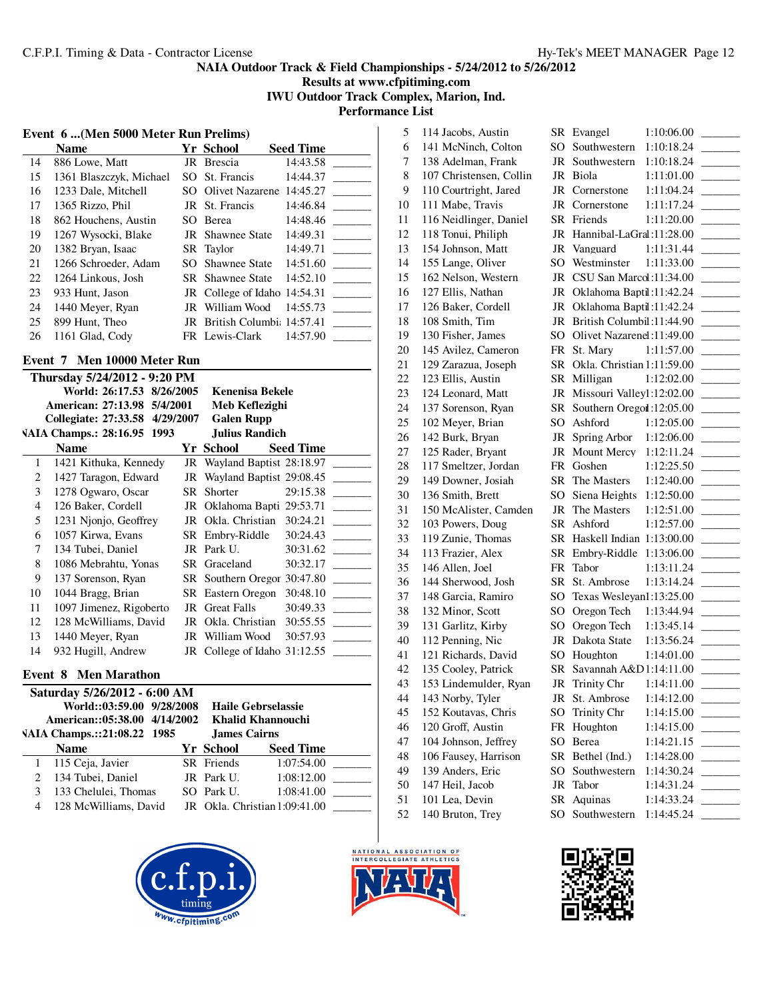**Results at www.cfpitiming.com**

**IWU Outdoor Track Complex, Marion, Ind.**

**Performance List**

#### **Event 6 ...(Men 5000 Meter Run Prelims)**

|    | <b>Name</b>             |     | Yr School                    | <b>Seed Time</b> |
|----|-------------------------|-----|------------------------------|------------------|
| 14 | 886 Lowe, Matt          | JR  | Brescia                      | 14:43.58         |
| 15 | 1361 Blaszczyk, Michael |     | SO St. Francis               | 14:44.37         |
| 16 | 1233 Dale, Mitchell     |     | SO Olivet Nazarene 14:45.27  |                  |
| 17 | 1365 Rizzo, Phil        |     | JR St. Francis               | 14:46.84         |
| 18 | 862 Houchens, Austin    | SO. | Berea                        | 14:48.46         |
| 19 | 1267 Wysocki, Blake     |     | <b>JR</b> Shawnee State      | 14:49.31         |
| 20 | 1382 Bryan, Isaac       |     | SR Taylor                    | 14:49.71         |
| 21 | 1266 Schroeder, Adam    |     | SO Shawnee State             | 14:51.60         |
| 22 | 1264 Linkous, Josh      |     | <b>SR</b> Shawnee State      | 14:52.10         |
| 23 | 933 Hunt, Jason         |     | JR College of Idaho 14:54.31 |                  |
| 24 | 1440 Meyer, Ryan        |     | JR William Wood              | 14:55.73         |
| 25 | 899 Hunt, Theo          |     | JR British Columbi: 14:57.41 |                  |
| 26 | 1161 Glad, Cody         |     | FR Lewis-Clark               | 14:57.90         |

### **Event 7 Men 10000 Meter Run**

|    | Thursday 5/24/2012 - 9:20 PM   |    |                              |                  |
|----|--------------------------------|----|------------------------------|------------------|
|    | World: 26:17.53 8/26/2005      |    | Kenenisa Bekele              |                  |
|    | American: 27:13.98 5/4/2001    |    | Meb Keflezighi               |                  |
|    | Collegiate: 27:33.58 4/29/2007 |    | <b>Galen Rupp</b>            |                  |
|    | VAIA Champs.: 28:16.95 1993    |    | Julius Randich               |                  |
|    | <b>Name</b>                    |    | Yr School                    | <b>Seed Time</b> |
| 1  | 1421 Kithuka, Kennedy          |    | JR Wayland Baptist 28:18.97  |                  |
| 2  | 1427 Taragon, Edward           |    | JR Wayland Baptist 29:08.45  |                  |
| 3  | 1278 Ogwaro, Oscar             |    | SR Shorter                   | 29:15.38         |
| 4  | 126 Baker, Cordell             |    | JR Oklahoma Bapti 29:53.71   |                  |
| 5  | 1231 Njonjo, Geoffrey          | JR | Okla. Christian              | 30:24.21         |
| 6  | 1057 Kirwa, Evans              |    | SR Embry-Riddle              | 30:24.43         |
| 7  | 134 Tubei, Daniel              |    | JR Park U.                   | 30:31.62         |
| 8  | 1086 Mebrahtu, Yonas           |    | SR Graceland                 | 30:32.17         |
| 9  | 137 Sorenson, Ryan             |    | SR Southern Oregor 30:47.80  |                  |
| 10 | 1044 Bragg, Brian              |    | <b>SR</b> Eastern Oregon     | 30:48.10         |
| 11 | 1097 Jimenez, Rigoberto        |    | JR Great Falls               | 30:49.33         |
| 12 | 128 McWilliams, David          | JR | Okla. Christian              | 30:55.55         |
| 13 | 1440 Meyer, Ryan               |    | JR William Wood              | 30:57.93         |
| 14 | 932 Hugill, Andrew             |    | JR College of Idaho 31:12.55 |                  |

### **Event 8 Men Marathon**

|   | Saturday 5/26/2012 - 6:00 AM |  |                     |                               |  |  |  |
|---|------------------------------|--|---------------------|-------------------------------|--|--|--|
|   | World::03:59.00 9/28/2008    |  |                     | Haile Gebrselassie            |  |  |  |
|   | American::05:38.00 4/14/2002 |  | Khalid Khannouchi   |                               |  |  |  |
|   | VAIA Champs.::21:08.22 1985  |  | <b>James Cairns</b> |                               |  |  |  |
|   | <b>Name</b>                  |  | Yr School           | <b>Seed Time</b>              |  |  |  |
|   | 1 115 Ceja, Javier           |  | SR Friends          | 1:07:54.00                    |  |  |  |
| 2 | 134 Tubei, Daniel            |  | JR Park U.          | 1:08:12.00                    |  |  |  |
| 3 | 133 Chelulei, Thomas         |  | SO Park U.          | 1:08:41.00                    |  |  |  |
| 4 | 128 McWilliams, David        |  |                     | JR Okla. Christian 1:09:41.00 |  |  |  |
|   |                              |  |                     |                               |  |  |  |





| ◡         | <u>L</u> valle u           |            |  |
|-----------|----------------------------|------------|--|
| SO        | Southwestern               | 1:10:18.24 |  |
| JR        | Southwestern               | 1:10:18.24 |  |
| JR        | Biola                      | 1:11:01.00 |  |
| JR        | Cornerstone                | 1:11:04.24 |  |
| JR        | Cornerstone                | 1:11:17.24 |  |
| SR        | Friends                    | 1:11:20.00 |  |
| JR        | Hannibal-LaGral:11:28.00   |            |  |
| JR        | Vanguard                   | 1:11:31.44 |  |
| SO        | Westminster 1:11:33.00     |            |  |
|           |                            |            |  |
| <b>JR</b> | CSU San Marcol:11:34.00    |            |  |
| <b>JR</b> | Oklahoma Baptil:11:42.24   |            |  |
| <b>JR</b> | Oklahoma Baptil:11:42.24   |            |  |
| <b>JR</b> | British Columbil:11:44.90  |            |  |
| SO.       | Olivet Nazarenel:11:49.00  |            |  |
| FR        | St. Mary                   | 1:11:57.00 |  |
| <b>SR</b> | Okla. Christian 1:11:59.00 |            |  |
| <b>SR</b> | Milligan                   | 1:12:02.00 |  |
| <b>JR</b> | Missouri Valley1:12:02.00  |            |  |
| SR        | Southern Oregoi :12:05.00  |            |  |
| SO.       | Ashford                    | 1:12:05.00 |  |
| <b>JR</b> | Spring Arbor               | 1:12:06.00 |  |
| <b>JR</b> | <b>Mount Mercy</b>         | 1:12:11.24 |  |
| FR        | Goshen                     | 1:12:25.50 |  |
| <b>SR</b> | The Masters                | 1:12:40.00 |  |
| SO.       | Siena Heights              | 1:12:50.00 |  |
|           |                            |            |  |
| JR        | The Masters                | 1:12:51.00 |  |
| <b>SR</b> | Ashford                    | 1:12:57.00 |  |
| <b>SR</b> | Haskell Indian             | 1:13:00.00 |  |
| <b>SR</b> | Embry-Riddle               | 1:13:06.00 |  |
| FR        | Tabor                      | 1:13:11.24 |  |
| <b>SR</b> | St. Ambrose                | 1:13:14.24 |  |
| SO.       | Texas Wesleyan1:13:25.00   |            |  |
| SO        | Oregon Tech                | 1:13:44.94 |  |
| SO        | Oregon Tech                | 1:13:45.14 |  |
| $\rm JR$  | Dakota State               | 1:13:56.24 |  |
| SO        | Houghton                   | 1:14:01.00 |  |
| SR        | Savannah A&D1:14:11.00     |            |  |
| <b>JR</b> | Trinity Chr                | 1:14:11.00 |  |
| JR        | St. Ambrose                | 1:14:12.00 |  |
| SO        | Trinity Chr                | 1:14:15.00 |  |
| FR        | Houghton                   | 1:14:15.00 |  |
| SO        | Berea                      | 1:14:21.15 |  |
|           |                            |            |  |
| <b>SR</b> | Bethel (Ind.)              | 1:14:28.00 |  |
| SO        | Southwestern               | 1:14:30.24 |  |
| <b>JR</b> | Tabor                      | 1:14:31.24 |  |
| <b>SR</b> | Aquinas                    | 1:14:33.24 |  |
| SO        | Southwestern               | 1:14:45.24 |  |
|           |                            |            |  |



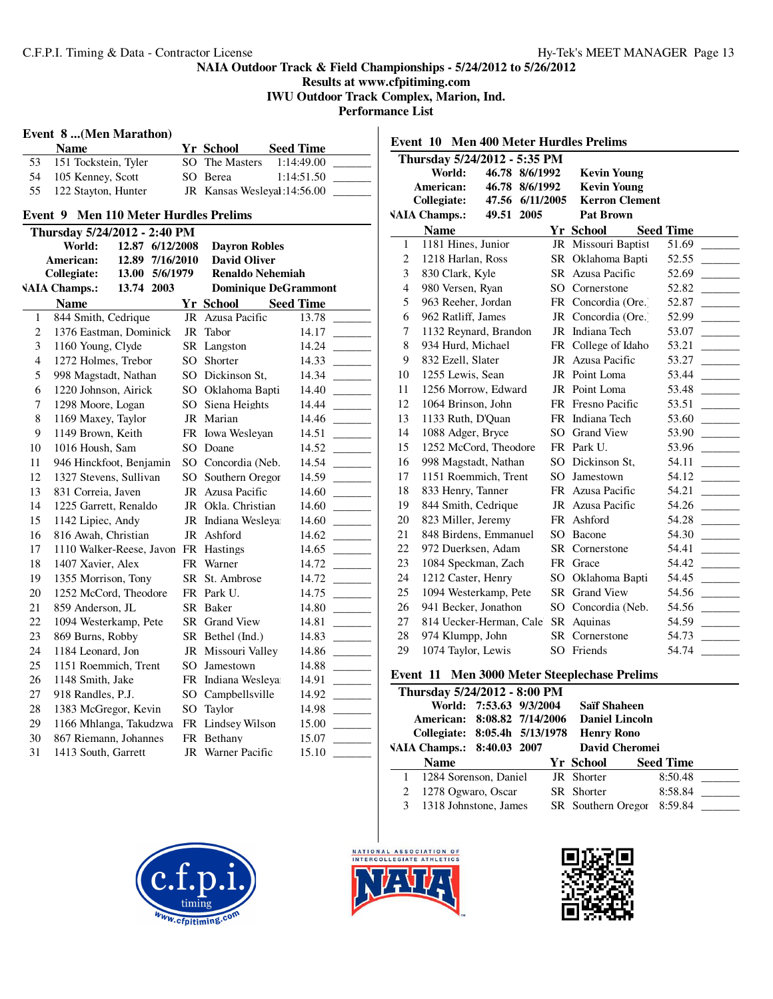**Results at www.cfpitiming.com IWU Outdoor Track Complex, Marion, Ind.**

**Performance List**

### **Event 8 ...(Men Marathon)**

|    | Name                   | Yr School                   | <b>Seed Time</b> |  |
|----|------------------------|-----------------------------|------------------|--|
| 53 | 151 Tockstein, Tyler   | SO The Masters              | 1:14:49.00       |  |
|    | 54 105 Kenney, Scott   | SO Berea                    | 1:14:51.50       |  |
|    | 55 122 Stayton, Hunter | JR Kansas Wesleyal:14:56.00 |                  |  |

# **Event 9 Men 110 Meter Hurdles Prelims**

|                | Thursday 5/24/2012 - 2:40 PM |                 |  |                  |                         |                             |  |  |
|----------------|------------------------------|-----------------|--|------------------|-------------------------|-----------------------------|--|--|
|                | World:                       | 12.87 6/12/2008 |  |                  | <b>Dayron Robles</b>    |                             |  |  |
|                | American:                    | 12.89 7/16/2010 |  |                  | <b>David Oliver</b>     |                             |  |  |
|                | Collegiate:                  | 13.00 5/6/1979  |  |                  | <b>Renaldo Nehemiah</b> |                             |  |  |
|                | <b>VAIA Champs.:</b>         | 13.74 2003      |  |                  |                         | <b>Dominique DeGrammont</b> |  |  |
|                | <b>Name</b>                  |                 |  |                  | <b>Yr School</b>        | <b>Seed Time</b>            |  |  |
| $\mathbf{1}$   | 844 Smith, Cedrique          |                 |  | JR               | Azusa Pacific           | 13.78                       |  |  |
| $\overline{2}$ | 1376 Eastman, Dominick       |                 |  | JR               | Tabor                   | 14.17                       |  |  |
| 3              | 1160 Young, Clyde            |                 |  |                  | SR Langston             | 14.24                       |  |  |
| $\overline{4}$ | 1272 Holmes, Trebor          |                 |  | SO.              | Shorter                 | 14.33                       |  |  |
| 5              | 998 Magstadt, Nathan         |                 |  | SO <sub>2</sub>  | Dickinson St,           | 14.34                       |  |  |
| 6              | 1220 Johnson, Airick         |                 |  |                  | SO Oklahoma Bapti       | 14.40                       |  |  |
| $\overline{7}$ | 1298 Moore, Logan            |                 |  | SO <sub>2</sub>  | Siena Heights           | 14.44                       |  |  |
| 8              | 1169 Maxey, Taylor           |                 |  |                  | JR Marian               | 14.46                       |  |  |
| 9              | 1149 Brown, Keith            |                 |  |                  | FR Iowa Wesleyan        | 14.51                       |  |  |
| 10             | 1016 Housh, Sam              |                 |  | SO.              | Doane                   | 14.52                       |  |  |
| 11             | 946 Hinckfoot, Benjamin      |                 |  |                  | SO Concordia (Neb.      | 14.54                       |  |  |
| 12             | 1327 Stevens, Sullivan       |                 |  | SO.              | Southern Oregor         | 14.59                       |  |  |
| 13             | 831 Correia, Javen           |                 |  | JR Azusa Pacific | 14.60                   |                             |  |  |
| 14             | 1225 Garrett, Renaldo        |                 |  |                  | JR Okla. Christian      | 14.60                       |  |  |
| 15             | 1142 Lipiec, Andy            |                 |  | JR               | Indiana Wesleya         | 14.60                       |  |  |
| 16             | 816 Awah, Christian          |                 |  | JR               | Ashford                 | 14.62                       |  |  |
| 17             | 1110 Walker-Reese, Javon     |                 |  |                  | FR Hastings             | 14.65                       |  |  |
| 18             | 1407 Xavier, Alex            |                 |  |                  | FR Warner               | 14.72                       |  |  |
| 19             | 1355 Morrison, Tony          |                 |  | <b>SR</b>        | St. Ambrose             | 14.72                       |  |  |
| 20             | 1252 McCord, Theodore        |                 |  |                  | FR Park U.              | 14.75                       |  |  |
| 21             | 859 Anderson, JL             |                 |  |                  | SR Baker                | 14.80                       |  |  |
| 22             | 1094 Westerkamp, Pete        |                 |  |                  | SR Grand View           | 14.81                       |  |  |
| 23             | 869 Burns, Robby             |                 |  |                  | SR Bethel (Ind.)        | 14.83                       |  |  |
| 24             | 1184 Leonard, Jon            |                 |  |                  | JR Missouri Valley      | 14.86                       |  |  |
| 25             | 1151 Roemmich, Trent         |                 |  | SO.              | Jamestown               | 14.88                       |  |  |
| 26             | 1148 Smith, Jake             |                 |  | FR               | Indiana Wesleya         | 14.91                       |  |  |
| 27             | 918 Randles, P.J.            |                 |  | SO <sub>2</sub>  | Campbellsville          | 14.92                       |  |  |
| 28             | 1383 McGregor, Kevin         |                 |  | SO               | Taylor                  | 14.98                       |  |  |
| 29             | 1166 Mhlanga, Takudzwa       |                 |  |                  | FR Lindsey Wilson       | 15.00                       |  |  |
| 30             | 867 Riemann, Johannes        |                 |  | FR               | Bethany                 | 15.07                       |  |  |
| 31             | 1413 South, Garrett          |                 |  |                  | JR Warner Pacific       | 15.10                       |  |  |
|                |                              |                 |  |                  |                         |                             |  |  |

| <b>Men 400 Meter Hurdles Prelims</b><br>Event 10 |                                       |           |                       |                                      |  |  |
|--------------------------------------------------|---------------------------------------|-----------|-----------------------|--------------------------------------|--|--|
|                                                  | Thursday 5/24/2012 - 5:35 PM          |           |                       |                                      |  |  |
|                                                  | World:<br>46.78 8/6/1992              |           | <b>Kevin Young</b>    |                                      |  |  |
|                                                  | American:<br>46.78 8/6/1992           |           | <b>Kevin Young</b>    |                                      |  |  |
|                                                  | Collegiate:<br>47.56<br>6/11/2005     |           | <b>Kerron Clement</b> |                                      |  |  |
|                                                  | <b>VAIA Champs.:</b><br>49.51<br>2005 |           | <b>Pat Brown</b>      |                                      |  |  |
|                                                  | <b>Name</b>                           |           | Yr School             | <b>Seed Time</b>                     |  |  |
| 1                                                | 1181 Hines, Junior                    |           | JR Missouri Baptist   | 51.69                                |  |  |
| $\mathfrak{2}$                                   | 1218 Harlan, Ross                     | SR.       | Oklahoma Bapti        | 52.55                                |  |  |
| 3                                                | 830 Clark, Kyle                       | SR.       | Azusa Pacific         | 52.69                                |  |  |
| $\overline{4}$                                   | 980 Versen, Ryan                      | SO        | Cornerstone           | 52.82                                |  |  |
| 5                                                | 963 Reeher, Jordan                    | FR        | Concordia (Ore.)      | 52.87                                |  |  |
| 6                                                | 962 Ratliff, James                    | JR        | Concordia (Ore.)      | 52.99                                |  |  |
| 7                                                | 1132 Reynard, Brandon                 | JR        | Indiana Tech          | 53.07                                |  |  |
| 8                                                | 934 Hurd, Michael                     | FR        | College of Idaho      | 53.21                                |  |  |
| 9                                                | 832 Ezell, Slater                     | JR        | Azusa Pacific         | 53.27                                |  |  |
| 10                                               | 1255 Lewis, Sean                      | JR        | Point Loma            | 53.44                                |  |  |
| 11                                               | 1256 Morrow, Edward                   |           | JR Point Loma         | 53.48                                |  |  |
| 12                                               | 1064 Brinson, John                    |           | FR Fresno Pacific     | 53.51                                |  |  |
| 13                                               | 1133 Ruth, D'Quan                     |           | FR Indiana Tech       | 53.60<br><b>Contract Contract</b>    |  |  |
| 14                                               | 1088 Adger, Bryce                     |           | SO Grand View         | 53.90                                |  |  |
| 15                                               | 1252 McCord, Theodore                 |           | FR Park U.            | 53.96<br><u> 1999 - Jan Jan Jawa</u> |  |  |
| 16                                               | 998 Magstadt, Nathan                  |           | SO Dickinson St.      | 54.11                                |  |  |
| 17                                               | 1151 Roemmich, Trent                  | SO.       | Jamestown             | 54.12                                |  |  |
| 18                                               | 833 Henry, Tanner                     |           | FR Azusa Pacific      | 54.21                                |  |  |
| 19                                               | 844 Smith, Cedrique                   |           | JR Azusa Pacific      | 54.26                                |  |  |
| 20                                               | 823 Miller, Jeremy                    |           | FR Ashford            | 54.28                                |  |  |
| 21                                               | 848 Birdens, Emmanuel                 | SO.       | Bacone                | 54.30                                |  |  |
| 22                                               | 972 Duerksen, Adam                    |           | SR Cornerstone        | 54.41                                |  |  |
| 23                                               | 1084 Speckman, Zach                   | <b>FR</b> | Grace                 | 54.42                                |  |  |
| 24                                               | 1212 Caster, Henry                    | SO.       | Oklahoma Bapti        | 54.45                                |  |  |
| 25                                               | 1094 Westerkamp, Pete                 |           | SR Grand View         | 54.56                                |  |  |
| 26                                               | 941 Becker, Jonathon                  | SO.       | Concordia (Neb.       | 54.56                                |  |  |
| 27                                               | 814 Uecker-Herman, Cale               |           | SR Aquinas            | 54.59                                |  |  |
| 28                                               | 974 Klumpp, John                      | SR.       | Cornerstone           | 54.73                                |  |  |
| 29                                               | 1074 Taylor, Lewis                    | SO        | Friends               | 54.74                                |  |  |
|                                                  |                                       |           |                       |                                      |  |  |

# **Event 11 Men 3000 Meter Steeplechase Prelims**

|                               | Thursday 5/24/2012 - 8:00 PM |                         |  |                       |                     |                  |         |  |
|-------------------------------|------------------------------|-------------------------|--|-----------------------|---------------------|------------------|---------|--|
|                               |                              | World: 7:53.63 9/3/2004 |  |                       | <b>Saïf Shaheen</b> |                  |         |  |
| American: 8:08.82 7/14/2006   |                              |                         |  | <b>Daniel Lincoln</b> |                     |                  |         |  |
| Collegiate: 8:05.4h 5/13/1978 |                              |                         |  | <b>Henry Rono</b>     |                     |                  |         |  |
| VAIA Champs.: 8:40.03 2007    |                              |                         |  | <b>David Cheromei</b> |                     |                  |         |  |
|                               | <b>Name</b>                  |                         |  |                       | Yr School           | <b>Seed Time</b> |         |  |
|                               | 1284 Sorenson, Daniel        |                         |  |                       | JR Shorter          | 8:50.48          |         |  |
| 2                             | 1278 Ogwaro, Oscar           |                         |  |                       | SR Shorter          |                  | 8:58.84 |  |
| 3                             | 1318 Johnstone, James        |                         |  |                       | SR Southern Oregor  |                  | 8:59.84 |  |





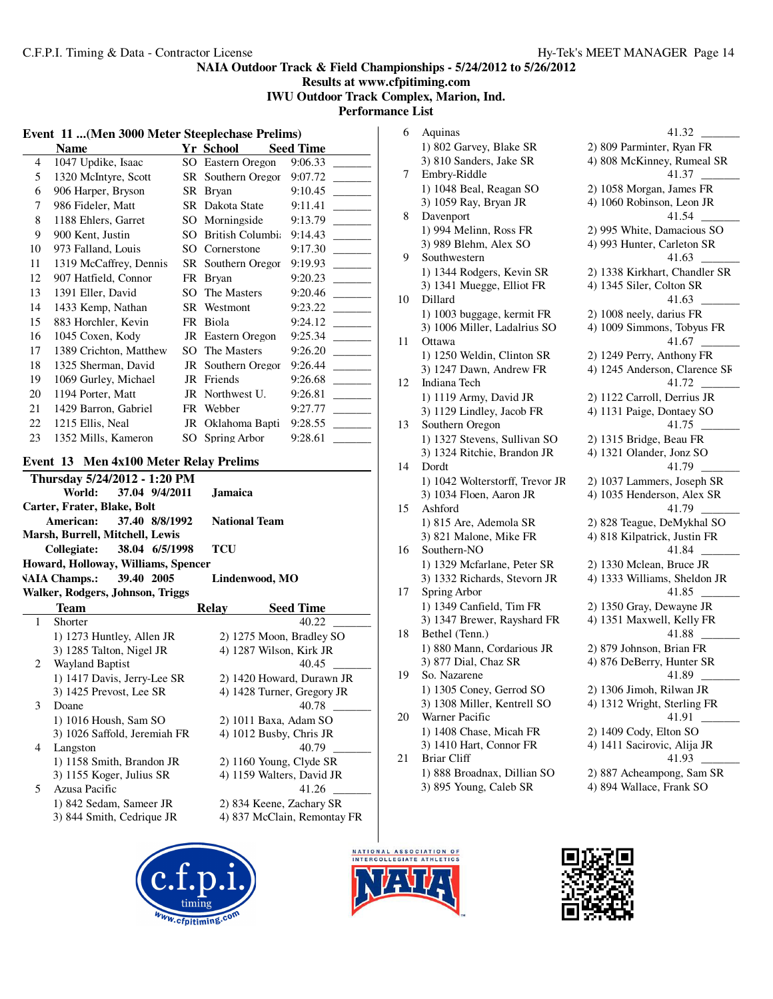### **NAIA Outdoor Track & Field Championships - 5/24/2012 to 5/26/2012 Results at www.cfpitiming.com IWU Outdoor Track Complex, Marion, Ind. Performance List**

#### **Event 11 ...(Men 3000 Meter Steeplechase Prelims)**

|    | <b>Name</b>            |     | Yr School          | <b>Seed Time</b> |
|----|------------------------|-----|--------------------|------------------|
| 4  | 1047 Updike, Isaac     |     | SO Eastern Oregon  | 9:06.33          |
| 5  | 1320 McIntyre, Scott   |     | SR Southern Oregor | 9:07.72          |
| 6  | 906 Harper, Bryson     |     | SR Bryan           | 9:10.45          |
| 7  | 986 Fideler, Matt      |     | SR Dakota State    | 9:11.41          |
| 8  | 1188 Ehlers, Garret    |     | SO Morningside     | 9:13.79          |
| 9  | 900 Kent, Justin       | SO. | British Columbi:   | 9:14.43          |
| 10 | 973 Falland, Louis     | SO. | Cornerstone        | 9:17.30          |
| 11 | 1319 McCaffrey, Dennis |     | SR Southern Oregor | 9:19.93          |
| 12 | 907 Hatfield, Connor   |     | FR Bryan           | 9:20.23          |
| 13 | 1391 Eller, David      | SO  | The Masters        | 9:20.46          |
| 14 | 1433 Kemp, Nathan      |     | SR Westmont        | 9:23.22          |
| 15 | 883 Horchler, Kevin    | FR  | Biola              | 9:24.12          |
| 16 | 1045 Coxen, Kody       |     | JR Eastern Oregon  | 9:25.34          |
| 17 | 1389 Crichton, Matthew | SO. | The Masters        | 9:26.20          |
| 18 | 1325 Sherman, David    |     | JR Southern Oregor | 9:26.44          |
| 19 | 1069 Gurley, Michael   |     | JR Friends         | 9:26.68          |
| 20 | 1194 Porter, Matt      |     | JR Northwest U.    | 9:26.81          |
| 21 | 1429 Barron, Gabriel   |     | FR Webber          | 9:27.77          |
| 22 | 1215 Ellis, Neal       |     | JR Oklahoma Bapti  | 9:28.55          |
| 23 | 1352 Mills, Kameron    | SO  | Spring Arbor       | 9:28.61          |
|    |                        |     |                    |                  |

### **Event 13 Men 4x100 Meter Relay Prelims**

| Thursday 5/24/2012 - 1:20 PM        |  |                             |                  |
|-------------------------------------|--|-----------------------------|------------------|
| World: 37.04 9/4/2011               |  | <b>Jamaica</b>              |                  |
| Carter, Frater, Blake, Bolt         |  |                             |                  |
| American: 37.40 8/8/1992            |  | <b>National Team</b>        |                  |
| Marsh, Burrell, Mitchell, Lewis     |  |                             |                  |
| Collegiate: 38.04 6/5/1998          |  | TCU                         |                  |
| Howard, Holloway, Williams, Spencer |  |                             |                  |
| VAIA Champs.: 39.40 2005            |  |                             | Lindenwood, MO   |
| Walker, Rodgers, Johnson, Triggs    |  |                             |                  |
| Toom                                |  | $\mathbf{D}_\mathbf{O}$ lov | <b>Cood Time</b> |

|    | теанн                        | reiav                   | эееа типе                   |
|----|------------------------------|-------------------------|-----------------------------|
|    | Shorter                      |                         | 40.22                       |
|    | 1) 1273 Huntley, Allen JR    |                         | 2) 1275 Moon, Bradley SO    |
|    | 3) 1285 Talton, Nigel JR     | 4) 1287 Wilson, Kirk JR |                             |
| 2  | <b>Wayland Baptist</b>       |                         | 40.45                       |
|    | 1) 1417 Davis, Jerry-Lee SR  |                         | 2) 1420 Howard, Durawn JR   |
|    | 3) 1425 Prevost, Lee SR      |                         | 4) 1428 Turner, Gregory JR  |
| 3  | Doane                        |                         | 40.78                       |
|    | 1) 1016 Housh, Sam SO        | 2) 1011 Baxa, Adam SO   |                             |
|    | 3) 1026 Saffold, Jeremiah FR | 4) 1012 Busby, Chris JR |                             |
| 4  | Langston                     |                         | 40.79                       |
|    | 1) 1158 Smith, Brandon JR    |                         | $2)$ 1160 Young, Clyde SR   |
|    | 3) 1155 Koger, Julius SR     |                         | 4) 1159 Walters, David JR   |
| 5. | Azusa Pacific                |                         | 41.26                       |
|    | 1) 842 Sedam, Sameer JR      |                         | 2) 834 Keene, Zachary SR    |
|    | 3) 844 Smith, Cedrique JR    |                         | 4) 837 McClain, Remontay FR |
|    |                              |                         |                             |

### 6 Aquinas 41.32 \_\_\_\_\_\_\_\_\_ 1) 802 Garvey, Blake SR 2) 809 Parminter, Ryan FR 3) 810 Sanders, Jake SR 4) 808 McKinney, Rumeal SR<br>Embry-Riddle 41.37 7 Embry-Riddle 1) 1048 Beal, Reagan SO 2) 1058 Morgan, James FR 3) 1059 Ray, Bryan JR 4) 1060 Robinson, Leon JR 8 Davenport 41.54 1) 994 Melinn, Ross FR 2) 995 White, Damacious SO 3) 989 Blehm, Alex SO 4) 993 Hunter, Carleton SR<br>Southwestern 41.63 9 Southwestern 1) 1344 Rodgers, Kevin SR 2) 1338 Kirkhart, Chandler SR 3) 1341 Muegge, Elliot FR 4) 1345 Siler, Colton SR 10 Dillard 41.63 1) 1003 buggage, kermit FR 2) 1008 neely, darius FR 3) 1006 Miller, Ladalrius SO 4) 1009 Simmons, Tobyus FR 11 Ottawa 41.67 1) 1250 Weldin, Clinton SR 2) 1249 Perry, Anthony FR 3) 1247 Dawn, Andrew FR 4) 1245 Anderson, Clarence SF 12 Indiana Tech 41.72 1) 1119 Army, David JR 2) 1122 Carroll, Derrius JR 3) 1129 Lindley, Jacob FR 4) 1131 Paige, Dontaey SO 13 Southern Oregon 41.75 1) 1327 Stevens, Sullivan SO 2) 1315 Bridge, Beau FR 3) 1324 Ritchie, Brandon JR 4) 1321 Olander, Jonz SO 14 Dordt 41.79 1) 1042 Wolterstorff, Trevor JR 2) 1037 Lammers, Joseph SR 3) 1034 Floen, Aaron JR 4) 1035 Henderson, Alex SR 15 Ashford 41.79 1) 815 Are, Ademola SR 2) 828 Teague, DeMykhal SO 3) 821 Malone, Mike FR 4) 818 Kilpatrick, Justin FR 16 Southern-NO 41.84 1) 1329 Mcfarlane, Peter SR 2) 1330 Mclean, Bruce JR 3) 1332 Richards, Stevorn JR 4) 1333 Williams, Sheldon JR 17 Spring Arbor 41.85 1) 1349 Canfield, Tim FR 2) 1350 Gray, Dewayne JR 3) 1347 Brewer, Rayshard FR 4) 1351 Maxwell, Kelly FR 18 Bethel (Tenn.) 41.88 1) 880 Mann, Cordarious JR 2) 879 Johnson, Brian FR 3) 877 Dial, Chaz SR 4) 876 DeBerry, Hunter SR 19 So. Nazarene 41.89 1) 1305 Coney, Gerrod SO 2) 1306 Jimoh, Rilwan JR 3) 1308 Miller, Kentrell SO 4) 1312 Wright, Sterling FR 20 Warner Pacific 41.91 1) 1408 Chase, Micah FR 2) 1409 Cody, Elton SO 3) 1410 Hart, Connor FR 4) 1411 Sacirovic, Alija JR 21 Briar Cliff 41.93 1) 888 Broadnax, Dillian SO 2) 887 Acheampong, Sam SR





3) 895 Young, Caleb SR 4) 894 Wallace, Frank SO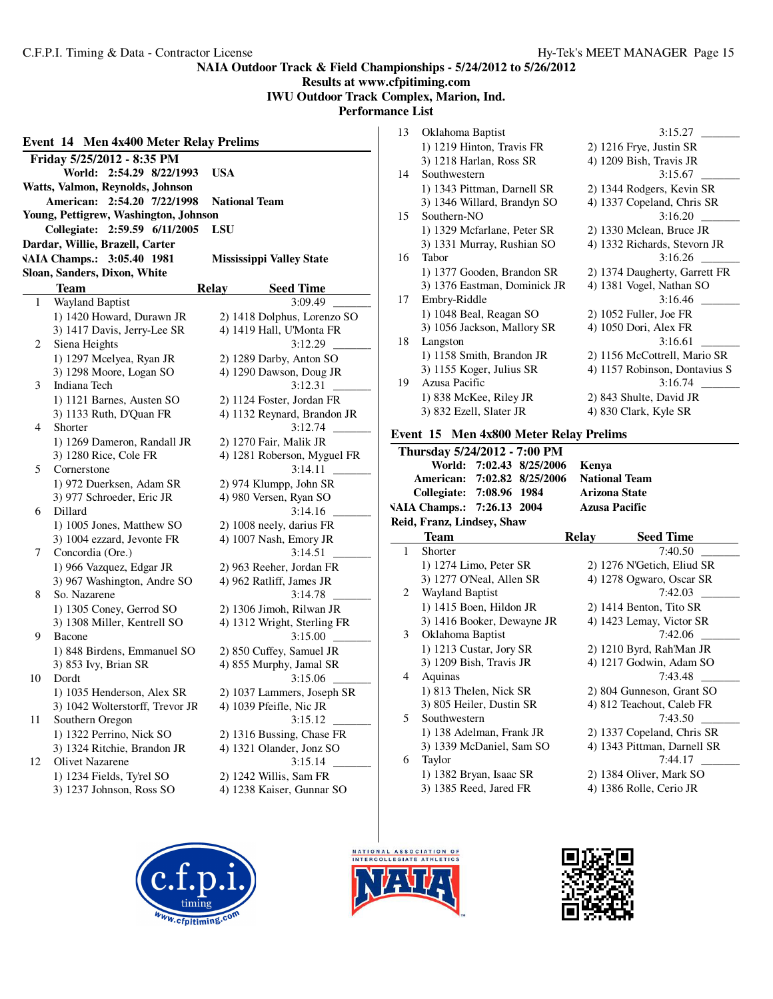# **Results at www.cfpitiming.com IWU Outdoor Track Complex, Marion, Ind. Performance List**

| Event 14 Men 4x400 Meter Relay Prelims |                                                                                            |                                                    |  |  |  |
|----------------------------------------|--------------------------------------------------------------------------------------------|----------------------------------------------------|--|--|--|
|                                        | Friday 5/25/2012 - 8:35 PM<br>World: 2:54.29 8/22/1993<br>Watts, Valmon, Reynolds, Johnson | <b>USA</b>                                         |  |  |  |
|                                        | American: 2:54.20 7/22/1998                                                                | <b>National Team</b>                               |  |  |  |
|                                        | Young, Pettigrew, Washington, Johnson                                                      |                                                    |  |  |  |
|                                        | Collegiate: 2:59.59 6/11/2005<br>Dardar, Willie, Brazell, Carter                           | LSU                                                |  |  |  |
|                                        | VAIA Champs.: 3:05.40 1981                                                                 | <b>Mississippi Valley State</b>                    |  |  |  |
|                                        | Sloan, Sanders, Dixon, White                                                               |                                                    |  |  |  |
|                                        | <b>Team</b>                                                                                | <b>Relay</b><br><b>Seed Time</b>                   |  |  |  |
| 1                                      | Wayland Baptist                                                                            | 3:09.49                                            |  |  |  |
|                                        | 1) 1420 Howard, Durawn JR                                                                  | 2) 1418 Dolphus, Lorenzo SO                        |  |  |  |
|                                        | 3) 1417 Davis, Jerry-Lee SR                                                                | 4) 1419 Hall, U'Monta FR                           |  |  |  |
| 2                                      | Siena Heights                                                                              | 3:12.29                                            |  |  |  |
|                                        | 1) 1297 Mcelyea, Ryan JR<br>3) 1298 Moore, Logan SO                                        | 2) 1289 Darby, Anton SO<br>4) 1290 Dawson, Doug JR |  |  |  |
| 3                                      | Indiana Tech                                                                               | 3:12.31                                            |  |  |  |
|                                        | 1) 1121 Barnes, Austen SO                                                                  | 2) 1124 Foster, Jordan FR                          |  |  |  |
|                                        | 3) 1133 Ruth, D'Quan FR                                                                    | 4) 1132 Reynard, Brandon JR                        |  |  |  |
| 4                                      | Shorter                                                                                    | 3:12.74                                            |  |  |  |
|                                        | 1) 1269 Dameron, Randall JR                                                                | 2) 1270 Fair, Malik JR                             |  |  |  |
|                                        | 3) 1280 Rice, Cole FR                                                                      | 4) 1281 Roberson, Myguel FR                        |  |  |  |
| 5                                      | Cornerstone                                                                                | 3:14.11                                            |  |  |  |
|                                        | 1) 972 Duerksen, Adam SR<br>3) 977 Schroeder, Eric JR                                      | 2) 974 Klumpp, John SR<br>4) 980 Versen, Ryan SO   |  |  |  |
| 6                                      | Dillard                                                                                    | 3:14.16                                            |  |  |  |
|                                        | 1) 1005 Jones, Matthew SO                                                                  | 2) 1008 neely, darius FR                           |  |  |  |
|                                        | 3) 1004 ezzard, Jevonte FR                                                                 | 4) 1007 Nash, Emory JR                             |  |  |  |
| 7                                      | Concordia (Ore.)                                                                           | 3:14.51                                            |  |  |  |
|                                        | 1) 966 Vazquez, Edgar JR                                                                   | 2) 963 Reeher, Jordan FR                           |  |  |  |
| 8                                      | 3) 967 Washington, Andre SO<br>So. Nazarene                                                | 4) 962 Ratliff, James JR<br>3:14.78                |  |  |  |
|                                        | 1) 1305 Coney, Gerrod SO                                                                   | 2) 1306 Jimoh, Rilwan JR                           |  |  |  |
|                                        | 3) 1308 Miller, Kentrell SO                                                                | 4) 1312 Wright, Sterling FR                        |  |  |  |
| 9                                      | Bacone                                                                                     | 3:15.00                                            |  |  |  |
|                                        | 1) 848 Birdens, Emmanuel SO                                                                | 2) 850 Cuffey, Samuel JR                           |  |  |  |
|                                        | 3) 853 Ivy, Brian SR                                                                       | 4) 855 Murphy, Jamal SR                            |  |  |  |
| 10                                     | Dordt                                                                                      | 3:15.06                                            |  |  |  |
|                                        | 1) 1035 Henderson, Alex SR                                                                 | 2) 1037 Lammers, Joseph SR                         |  |  |  |
| 11                                     | 3) 1042 Wolterstorff, Trevor JR<br>Southern Oregon                                         | 4) 1039 Pfeifle, Nic JR<br>3:15.12                 |  |  |  |
|                                        | 1) 1322 Perrino, Nick SO                                                                   | 2) 1316 Bussing, Chase FR                          |  |  |  |
|                                        | 3) 1324 Ritchie, Brandon JR                                                                | 4) 1321 Olander, Jonz SO                           |  |  |  |
| 12                                     | Olivet Nazarene                                                                            | 3:15.14                                            |  |  |  |
|                                        | 1) 1234 Fields, Ty'rel SO                                                                  | 2) 1242 Willis, Sam FR                             |  |  |  |
|                                        | 3) 1237 Johnson, Ross SO                                                                   | 4) 1238 Kaiser, Gunnar SO                          |  |  |  |
|                                        |                                                                                            |                                                    |  |  |  |

| 13 | Oklahoma Baptist             | 3:15.27                       |
|----|------------------------------|-------------------------------|
|    | 1) 1219 Hinton, Travis FR    | 2) 1216 Frye, Justin SR       |
|    | 3) 1218 Harlan, Ross SR      | 4) 1209 Bish, Travis JR       |
| 14 | Southwestern                 | 3:15.67                       |
|    | 1) 1343 Pittman, Darnell SR  | 2) 1344 Rodgers, Kevin SR     |
|    | 3) 1346 Willard, Brandyn SO  | 4) 1337 Copeland, Chris SR    |
| 15 | Southern-NO                  | 3:16.20                       |
|    | 1) 1329 Mcfarlane, Peter SR  | 2) 1330 Mclean, Bruce JR      |
|    | 3) 1331 Murray, Rushian SO   | 4) 1332 Richards, Stevorn JR  |
| 16 | Tabor                        | 3:16.26                       |
|    | 1) 1377 Gooden, Brandon SR   | 2) 1374 Daugherty, Garrett FR |
|    | 3) 1376 Eastman, Dominick JR | 4) 1381 Vogel, Nathan SO      |
| 17 | Embry-Riddle                 | 3:16.46                       |
|    | 1) 1048 Beal, Reagan SO      | $2)$ 1052 Fuller, Joe FR      |
|    | 3) 1056 Jackson, Mallory SR  | 4) 1050 Dori, Alex FR         |
| 18 | Langston                     | 3:16.61                       |
|    | 1) 1158 Smith, Brandon JR    | 2) 1156 McCottrell, Mario SR  |
|    | 3) 1155 Koger, Julius SR     | 4) 1157 Robinson, Dontavius S |
| 19 | Azusa Pacific                | 3:16.74                       |
|    | 1) 838 McKee, Riley JR       | 2) 843 Shulte, David JR       |
|    | 3) 832 Ezell, Slater JR      | 4) 830 Clark, Kyle SR         |

## **Event 15 Men 4x800 Meter Relay Prelims**

|                | Thursday 5/24/2012 - 7:00 PM |                             |  |  |  |  |  |  |
|----------------|------------------------------|-----------------------------|--|--|--|--|--|--|
|                | 7:02.43 8/25/2006<br>World:  | Kenya                       |  |  |  |  |  |  |
|                | American: 7:02.82 8/25/2006  | <b>National Team</b>        |  |  |  |  |  |  |
|                | Collegiate: 7:08.96 1984     | <b>Arizona State</b>        |  |  |  |  |  |  |
|                | VAIA Champs.: 7:26.13 2004   | <b>Azusa Pacific</b>        |  |  |  |  |  |  |
|                | Reid, Franz, Lindsey, Shaw   |                             |  |  |  |  |  |  |
|                | Team                         | <b>Seed Time</b><br>Relay   |  |  |  |  |  |  |
| $\mathbf{1}$   | Shorter                      | 7:40.50                     |  |  |  |  |  |  |
|                | 1) 1274 Limo, Peter SR       | 2) 1276 N'Getich, Eliud SR  |  |  |  |  |  |  |
|                | 3) 1277 O'Neal, Allen SR     | 4) 1278 Ogwaro, Oscar SR    |  |  |  |  |  |  |
| 2              | <b>Wayland Baptist</b>       | 7:42.03                     |  |  |  |  |  |  |
|                | 1) 1415 Boen, Hildon JR      | 2) 1414 Benton, Tito SR     |  |  |  |  |  |  |
|                | 3) 1416 Booker, Dewayne JR   | 4) 1423 Lemay, Victor SR    |  |  |  |  |  |  |
| 3              | Oklahoma Baptist             | 7:42.06                     |  |  |  |  |  |  |
|                | 1) 1213 Custar, Jory SR      | 2) 1210 Byrd, Rah'Man JR    |  |  |  |  |  |  |
|                | 3) 1209 Bish, Travis JR      | 4) 1217 Godwin, Adam SO     |  |  |  |  |  |  |
| $\overline{4}$ | Aquinas                      | 7:43.48                     |  |  |  |  |  |  |
|                | 1) 813 Thelen, Nick SR       | 2) 804 Gunneson, Grant SO   |  |  |  |  |  |  |
|                | 3) 805 Heiler, Dustin SR     | 4) 812 Teachout, Caleb FR   |  |  |  |  |  |  |
| 5              | Southwestern                 | 7:43.50                     |  |  |  |  |  |  |
|                | 1) 138 Adelman, Frank JR     | 2) 1337 Copeland, Chris SR  |  |  |  |  |  |  |
|                | 3) 1339 McDaniel, Sam SO     | 4) 1343 Pittman, Darnell SR |  |  |  |  |  |  |
| 6              | Taylor                       | 7:44.17                     |  |  |  |  |  |  |
|                | 1) 1382 Bryan, Isaac SR      | 2) 1384 Oliver, Mark SO     |  |  |  |  |  |  |
|                | 3) 1385 Reed, Jared FR       | 4) 1386 Rolle, Cerio JR     |  |  |  |  |  |  |





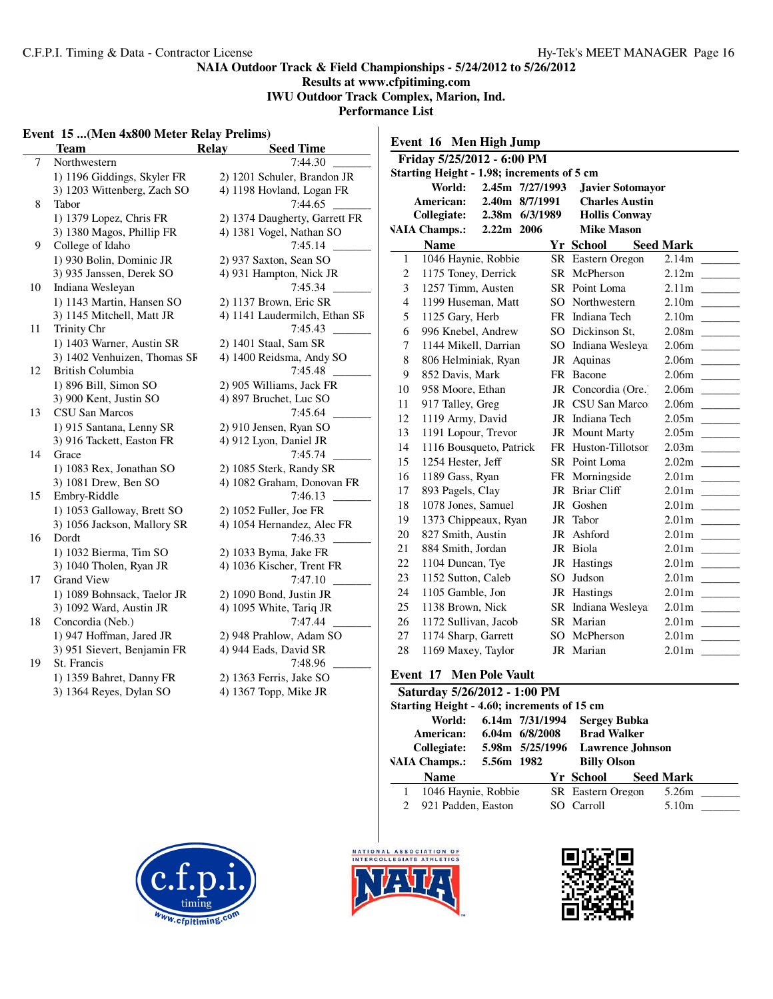# **Results at www.cfpitiming.com IWU Outdoor Track Complex, Marion, Ind.**

**Performance List**  $\overline{1}$ 

#### **Event 15 ...(Men 4x800 Meter Relay Prelims)**

|        | Event 15  (Men 4x800 Meter Relay Prelims) |                               |                                                              |
|--------|-------------------------------------------|-------------------------------|--------------------------------------------------------------|
|        | <b>Team</b>                               | <b>Seed Time</b><br>Relay     | Event 16 Men High Jump                                       |
| $\tau$ | Northwestern                              | 7:44.30                       | Friday 5/25/2012 - 6:00 PM                                   |
|        | 1) 1196 Giddings, Skyler FR               | 2) 1201 Schuler, Brandon JR   | Starting Height - 1.98; increments of 5 cm                   |
|        | 3) 1203 Wittenberg, Zach SO               | 4) 1198 Hovland, Logan FR     | World:<br>2.45m 7/27/1993<br><b>Javier Sotomayor</b>         |
| 8      | Tabor                                     | 7:44.65                       | 2.40m 8/7/1991<br>American:<br><b>Charles Austin</b>         |
|        | 1) 1379 Lopez, Chris FR                   | 2) 1374 Daugherty, Garrett FR | <b>Collegiate:</b><br>2.38m 6/3/1989<br><b>Hollis Conway</b> |
|        | 3) 1380 Magos, Phillip FR                 | 4) 1381 Vogel, Nathan SO      | <b>VAIA Champs.:</b><br>2.22m 2006<br><b>Mike Mason</b>      |
| 9      | College of Idaho                          | 7:45.14                       | <b>Name</b><br><b>Yr School</b><br><b>Seed Mark</b>          |
|        | 1) 930 Bolin, Dominic JR                  | 2) 937 Saxton, Sean SO        | 1046 Haynie, Robbie<br>SR Eastern Oregon<br>$\mathbf{1}$     |
|        | 3) 935 Janssen, Derek SO                  | 4) 931 Hampton, Nick JR       | $\overline{c}$<br>1175 Toney, Derrick<br>SR McPherson        |
| 10     | Indiana Wesleyan                          | 7:45.34                       | 3<br>1257 Timm, Austen<br>SR Point Loma                      |
|        | 1) 1143 Martin, Hansen SO                 | 2) 1137 Brown, Eric SR        | $\overline{4}$<br>1199 Huseman, Matt<br>SO Northwestern      |
|        | 3) 1145 Mitchell, Matt JR                 | 4) 1141 Laudermilch, Ethan SF | 5<br>1125 Gary, Herb<br>FR Indiana Tech                      |
| 11     | Trinity Chr                               | 7:45.43                       | 6<br>SO Dickinson St,<br>996 Knebel, Andrew                  |
|        | 1) 1403 Warner, Austin SR                 | 2) 1401 Staal, Sam SR         | 7<br>SO Indiana Wesleya<br>1144 Mikell, Darrian              |
|        | 3) 1402 Venhuizen, Thomas SF              | 4) 1400 Reidsma, Andy SO      | 8<br>806 Helminiak, Ryan<br>JR Aquinas                       |
| 12     | British Columbia                          | 7:45.48                       | 9<br>852 Davis, Mark<br>FR Bacone                            |
|        | 1) 896 Bill, Simon SO                     | 2) 905 Williams, Jack FR      | 10<br>958 Moore, Ethan<br>JR Concordia (Ore.)                |
|        | 3) 900 Kent, Justin SO                    | 4) 897 Bruchet, Luc SO        | 917 Talley, Greg<br>JR CSU San Marco<br>11                   |
| 13     | CSU San Marcos                            | 7:45.64                       | 1119 Army, David<br>JR Indiana Tech<br>12                    |
|        | 1) 915 Santana, Lenny SR                  | 2) 910 Jensen, Ryan SO        | 1191 Lopour, Trevor<br>13<br>JR Mount Marty                  |
|        | 3) 916 Tackett, Easton FR                 | 4) 912 Lyon, Daniel JR        | 1116 Bousqueto, Patrick<br>14<br>FR Huston-Tillotson         |
| 14     | Grace                                     | 7:45.74                       | 1254 Hester, Jeff<br>15<br>SR Point Loma                     |
|        | 1) 1083 Rex, Jonathan SO                  | 2) 1085 Sterk, Randy SR       | 1189 Gass, Ryan<br>FR Morningside<br>16                      |
|        | 3) 1081 Drew, Ben SO                      | 4) 1082 Graham, Donovan FR    | 17<br>JR Briar Cliff                                         |
| 15     | Embry-Riddle                              | 7:46.13                       | 893 Pagels, Clay<br>18                                       |
|        | 1) 1053 Galloway, Brett SO                | 2) 1052 Fuller, Joe FR        | 1078 Jones, Samuel<br>JR Goshen                              |
|        | 3) 1056 Jackson, Mallory SR               | 4) 1054 Hernandez, Alec FR    | 1373 Chippeaux, Ryan<br>JR Tabor<br>19                       |
| 16     | Dordt                                     | 7:46.33                       | 827 Smith, Austin<br>JR Ashford<br>20                        |
|        | 1) 1032 Bierma, Tim SO                    | 2) 1033 Byma, Jake FR         | 884 Smith, Jordan<br>JR Biola<br>21                          |
|        | 3) 1040 Tholen, Ryan JR                   | 4) 1036 Kischer, Trent FR     | 22<br>1104 Duncan, Tye<br>JR Hastings                        |
| 17     | <b>Grand View</b>                         | 7:47.10                       | SO Judson<br>23<br>1152 Sutton, Caleb                        |
|        | 1) 1089 Bohnsack, Taelor JR               | 2) 1090 Bond, Justin JR       | 24<br>1105 Gamble, Jon<br>JR Hastings                        |
|        | 3) 1092 Ward, Austin JR                   | 4) 1095 White, Tariq JR       | 25<br>1138 Brown, Nick<br>SR Indiana Wesleya                 |
| 18     | Concordia (Neb.)                          | 7:47.44                       | SR Marian<br>26<br>1172 Sullivan, Jacob                      |
|        | 1) 947 Hoffman, Jared JR                  | 2) 948 Prahlow, Adam SO       | 27<br>SO McPherson<br>1174 Sharp, Garrett                    |
|        | 3) 951 Sievert, Benjamin FR               | 4) 944 Eads, David SR         | 28<br>1169 Maxey, Taylor<br>JR Marian                        |
| 19     | St. Francis                               | 7:48.96                       |                                                              |
|        | 1) 1359 Bahret, Danny FR                  | 2) 1363 Ferris, Jake SO       | <b>Event 17 Men Pole Vault</b>                               |
|        | 3) 1364 Reyes, Dylan SO                   | 4) 1367 Topp, Mike JR         | Saturday 5/26/2012 - 1:00 PM                                 |

| Saturday 5/26/2012 - 1:00 PM<br>Starting Height - 4.60; increments of 15 cm |                      |                                                                                                                           |  |  |                    |  |                   |  |
|-----------------------------------------------------------------------------|----------------------|---------------------------------------------------------------------------------------------------------------------------|--|--|--------------------|--|-------------------|--|
| World:<br>American:<br>Collegiate:                                          |                      | 6.14m 7/31/1994<br><b>Sergey Bubka</b><br><b>Brad Walker</b><br>$6.04m$ $6/8/2008$<br>5.98m 5/25/1996<br>Lawrence Johnson |  |  |                    |  |                   |  |
|                                                                             | <b>VAIA Champs.:</b> | 5.56m 1982                                                                                                                |  |  | <b>Billy Olson</b> |  |                   |  |
|                                                                             | <b>Name</b>          |                                                                                                                           |  |  | Yr School          |  | <b>Seed Mark</b>  |  |
| 1                                                                           | 1046 Haynie, Robbie  |                                                                                                                           |  |  | SR Eastern Oregon  |  | 5.26m             |  |
| $\mathcal{D}_{\mathcal{L}}$                                                 | 921 Padden, Easton   |                                                                                                                           |  |  | SO Carroll         |  | 5.10 <sub>m</sub> |  |
|                                                                             |                      |                                                                                                                           |  |  |                    |  |                   |  |





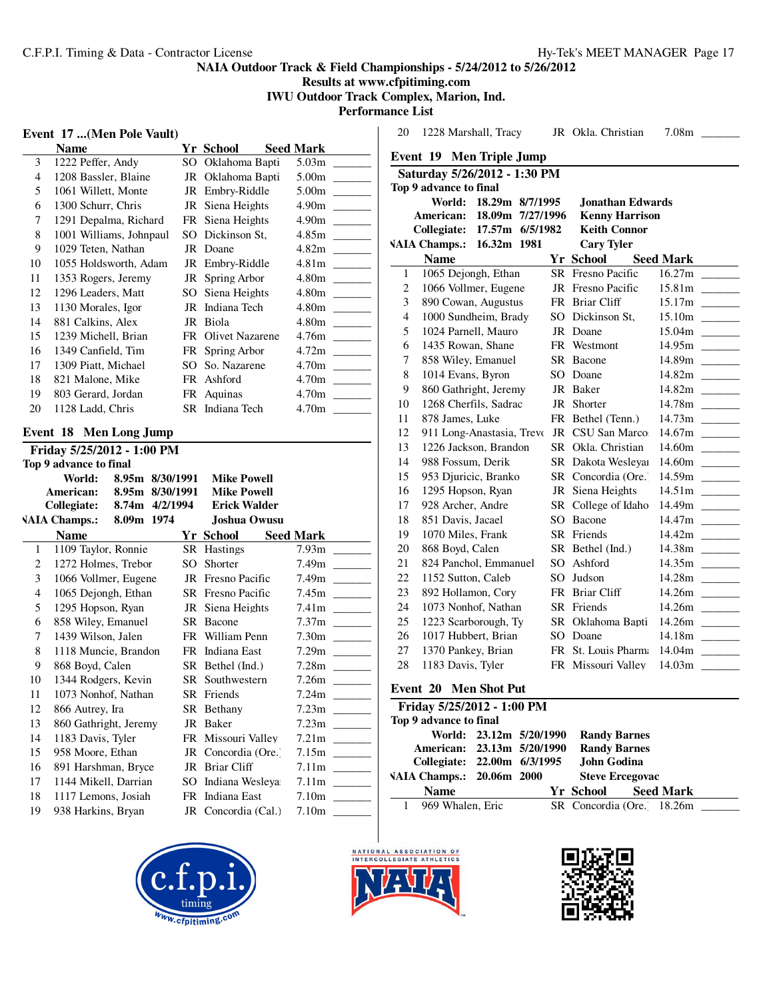**Results at www.cfpitiming.com IWU Outdoor Track Complex, Marion, Ind.**

**Performance List**

|  | Event 17  (Men Pole Vault) |  |
|--|----------------------------|--|
|  |                            |  |

|    | Name                    |     | Yr School          | <b>Seed Mark</b>  |
|----|-------------------------|-----|--------------------|-------------------|
| 3  | 1222 Peffer, Andy       |     | SO Oklahoma Bapti  | 5.03 <sub>m</sub> |
| 4  | 1208 Bassler, Blaine    |     | JR Oklahoma Bapti  | 5.00m             |
| 5  | 1061 Willett, Monte     |     | JR Embry-Riddle    | 5.00m             |
| 6  | 1300 Schurr, Chris      |     | JR Siena Heights   | 4.90m             |
| 7  | 1291 Depalma, Richard   |     | FR Siena Heights   | 4.90m             |
| 8  | 1001 Williams, Johnpaul |     | SO Dickinson St,   | 4.85m             |
| 9  | 1029 Teten, Nathan      |     | JR Doane           | 4.82m             |
| 10 | 1055 Holdsworth, Adam   |     | JR Embry-Riddle    | 4.81 <sub>m</sub> |
| 11 | 1353 Rogers, Jeremy     |     | JR Spring Arbor    | 4.80m             |
| 12 | 1296 Leaders, Matt      |     | SO Siena Heights   | 4.80m             |
| 13 | 1130 Morales, Igor      |     | JR Indiana Tech    | 4.80m             |
| 14 | 881 Calkins, Alex       |     | JR Biola           | 4.80m             |
| 15 | 1239 Michell, Brian     |     | FR Olivet Nazarene | 4.76m             |
| 16 | 1349 Canfield, Tim      |     | FR Spring Arbor    | 4.72m             |
| 17 | 1309 Piatt, Michael     | SO. | So. Nazarene       | 4.70m             |
| 18 | 821 Malone, Mike        |     | FR Ashford         | 4.70m             |
| 19 | 803 Gerard, Jordan      |     | FR Aquinas         | 4.70m             |
| 20 | 1128 Ladd, Chris        |     | SR Indiana Tech    | 4.70m             |

# **Event 18 Men Long Jump**

| Friday 5/25/2012 - 1:00 PM |                            |                 |  |        |                     |                   |  |
|----------------------------|----------------------------|-----------------|--|--------|---------------------|-------------------|--|
|                            | Top 9 advance to final     |                 |  |        |                     |                   |  |
|                            | World:                     | 8.95m 8/30/1991 |  |        | <b>Mike Powell</b>  |                   |  |
|                            | <b>American:</b>           | 8.95m 8/30/1991 |  |        | <b>Mike Powell</b>  |                   |  |
|                            | Collegiate: 8.74m 4/2/1994 |                 |  |        | <b>Erick Walder</b> |                   |  |
|                            | <b>VAIA Champs.:</b>       | 8.09m 1974      |  |        | <b>Joshua Owusu</b> |                   |  |
|                            | <b>Name</b>                |                 |  |        | Yr School           | <b>Seed Mark</b>  |  |
| 1                          | 1109 Taylor, Ronnie        |                 |  |        | SR Hastings         | 7.93m             |  |
| 2                          | 1272 Holmes, Trebor        |                 |  | $SO^-$ | Shorter             | 7.49m             |  |
| 3                          | 1066 Vollmer, Eugene       |                 |  |        | JR Fresno Pacific   | 7.49 <sub>m</sub> |  |
| $\overline{4}$             | 1065 Dejongh, Ethan        |                 |  |        | SR Fresno Pacific   | 7.45m             |  |
| 5                          | 1295 Hopson, Ryan          |                 |  |        | JR Siena Heights    | 7.41m             |  |
| 6                          | 858 Wiley, Emanuel         |                 |  |        | SR Bacone           | 7.37 <sub>m</sub> |  |
| 7                          | 1439 Wilson, Jalen         |                 |  |        | FR William Penn     | 7.30m             |  |
| 8                          | 1118 Muncie, Brandon       |                 |  | FR -   | Indiana East        | 7.29m             |  |
| 9                          | 868 Boyd, Calen            |                 |  |        | SR Bethel (Ind.)    | 7.28m             |  |
| 10                         | 1344 Rodgers, Kevin        |                 |  |        | SR Southwestern     | 7.26m             |  |
| 11                         | 1073 Nonhof, Nathan        |                 |  |        | SR Friends          | 7.24 <sub>m</sub> |  |
| 12                         | 866 Autrey, Ira            |                 |  |        | SR Bethany          | 7.23 <sub>m</sub> |  |
| 13                         | 860 Gathright, Jeremy      |                 |  |        | JR Baker            | 7.23 <sub>m</sub> |  |
| 14                         | 1183 Davis, Tyler          |                 |  |        | FR Missouri Valley  | 7.21 <sub>m</sub> |  |
| 15                         | 958 Moore, Ethan           |                 |  |        | JR Concordia (Ore.) | 7.15m             |  |
| 16                         | 891 Harshman, Bryce        |                 |  |        | JR Briar Cliff      | 7.11m             |  |
| 17                         | 1144 Mikell, Darrian       |                 |  | SO.    | Indiana Wesleya     | 7.11 <sub>m</sub> |  |
| 18                         | 1117 Lemons, Josiah        |                 |  |        | FR Indiana East     | 7.10 <sub>m</sub> |  |
| 19                         | 938 Harkins, Bryan         |                 |  |        | JR Concordia (Cal.) | 7.10m             |  |



20 1228 Marshall, Tracy JR Okla. Christian 7.08m

| Collegiate: 22.00m 6/3/1995<br>VAIA Champs.: 20.06m 2000 |  |  |  | John Godina<br><b>Steve Ercegovac</b> |  |                  |  |
|----------------------------------------------------------|--|--|--|---------------------------------------|--|------------------|--|
| <b>Name</b>                                              |  |  |  | Yr School                             |  | <b>Seed Mark</b> |  |
| 969 Whalen, Eric                                         |  |  |  | SR Concordia (Ore. 18.26m             |  |                  |  |
| <b>NAL ASSOCIATION OF</b><br>COLLEGIATE ATHLETICS        |  |  |  | nnen                                  |  |                  |  |





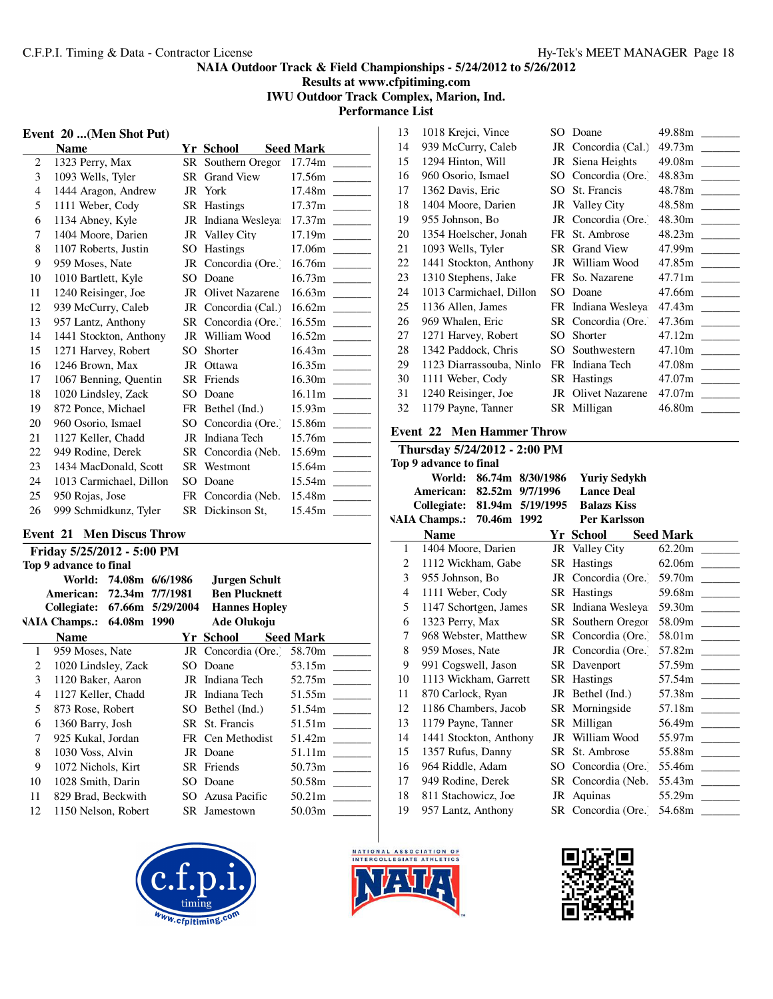**Results at www.cfpitiming.com IWU Outdoor Track Complex, Marion, Ind.**

**Performance List**  $\overline{\phantom{a}}$ 

# **Event 20 ...(Men Shot Put)**

|                | <b>Name</b>             |     | Yr School              | <b>Seed Mark</b>                   |
|----------------|-------------------------|-----|------------------------|------------------------------------|
| $\overline{c}$ | 1323 Perry, Max         |     | SR Southern Oregor     | 17.74m                             |
| 3              | 1093 Wells, Tyler       |     | SR Grand View          | 17.56m                             |
| $\overline{4}$ | 1444 Aragon, Andrew     |     | JR York                | 17.48m                             |
| 5              | 1111 Weber, Cody        |     | SR Hastings            | 17.37 <sub>m</sub>                 |
| 6              | 1134 Abney, Kyle        |     | JR Indiana Wesleya     | 17.37 <sub>m</sub>                 |
| 7              | 1404 Moore, Darien      |     | JR Valley City         | 17.19m<br><b>Contract Contract</b> |
| 8              | 1107 Roberts, Justin    |     | SO Hastings            | 17.06m                             |
| 9              | 959 Moses, Nate         |     | JR Concordia (Ore.)    | 16.76m                             |
| 10             | 1010 Bartlett, Kyle     | SO. | Doane                  | 16.73m                             |
| 11             | 1240 Reisinger, Joe     | JR  | <b>Olivet Nazarene</b> | 16.63m                             |
| 12             | 939 McCurry, Caleb      |     | JR Concordia (Cal.)    |                                    |
| 13             | 957 Lantz, Anthony      |     | SR Concordia (Ore.)    | 16.55m                             |
| 14             | 1441 Stockton, Anthony  |     | JR William Wood        | 16.52m                             |
| 15             | 1271 Harvey, Robert     | SO. | Shorter                | 16.43m                             |
| 16             | 1246 Brown, Max         |     | JR Ottawa              | 16.35m<br><b>Contract Contract</b> |
| 17             | 1067 Benning, Quentin   |     | SR Friends             | 16.30m                             |
| 18             | 1020 Lindsley, Zack     | SO. | Doane                  | 16.11m                             |
| 19             | 872 Ponce, Michael      |     | FR Bethel (Ind.)       | 15.93m                             |
| 20             | 960 Osorio, Ismael      |     | SO Concordia (Ore.)    | 15.86m                             |
| 21             | 1127 Keller, Chadd      |     | JR Indiana Tech        | 15.76m                             |
| 22             | 949 Rodine, Derek       |     | SR Concordia (Neb.     | 15.69m                             |
| 23             | 1434 MacDonald, Scott   |     | SR Westmont            | 15.64m                             |
| 24             | 1013 Carmichael, Dillon | SO. | Doane                  | 15.54m                             |
| 25             | 950 Rojas, Jose         |     | FR Concordia (Neb.     | 15.48m                             |
| 26             | 999 Schmidkunz, Tyler   |     | SR Dickinson St,       | 15.45m                             |

# **Event 21 Men Discus Throw**

|    | Friday 5/25/2012 - 5:00 PM |  |                        |                                |                  |  |  |
|----|----------------------------|--|------------------------|--------------------------------|------------------|--|--|
|    | Top 9 advance to final     |  |                        |                                |                  |  |  |
|    |                            |  | World: 74.08m 6/6/1986 | Jurgen Schult                  |                  |  |  |
|    | American:                  |  | 72.34m 7/7/1981        | <b>Ben Plucknett</b>           |                  |  |  |
|    | Collegiate:                |  |                        | 67.66m 5/29/2004 Hannes Hopley |                  |  |  |
|    | VAIA Champs.: 64.08m 1990  |  |                        | <b>Ade Olukoju</b>             |                  |  |  |
|    | <b>Name</b>                |  |                        | Yr School                      | <b>Seed Mark</b> |  |  |
| 1  | 959 Moses, Nate            |  |                        | JR Concordia (Ore. 58.70m      |                  |  |  |
| 2  | 1020 Lindsley, Zack        |  | SO.                    | Doane                          | 53.15m           |  |  |
| 3  | 1120 Baker, Aaron          |  |                        | JR Indiana Tech                | 52.75m           |  |  |
| 4  | 1127 Keller, Chadd         |  |                        | JR Indiana Tech                | 51.55m           |  |  |
| 5  | 873 Rose, Robert           |  |                        | SO Bethel (Ind.)               | 51.54m           |  |  |
| 6  | 1360 Barry, Josh           |  |                        | SR St. Francis                 | 51.51m           |  |  |
| 7  | 925 Kukal, Jordan          |  |                        | FR Cen Methodist               | 51.42m           |  |  |
| 8  | 1030 Voss, Alvin           |  |                        | JR Doane                       | 51.11m           |  |  |
| 9  | 1072 Nichols, Kirt         |  |                        | SR Friends                     | 50.73m           |  |  |
| 10 | 1028 Smith, Darin          |  | SO.                    | Doane                          | 50.58m           |  |  |
| 11 | 829 Brad, Beckwith         |  |                        | SO Azusa Pacific               | 50.21m           |  |  |
| 12 | 1150 Nelson, Robert        |  |                        | SR Jamestown                   | 50.03m           |  |  |





| 13 | 1018 Krejci, Vince       |     | SO Doane            | 49.88m        |
|----|--------------------------|-----|---------------------|---------------|
| 14 | 939 McCurry, Caleb       |     | JR Concordia (Cal.) | 49.73m        |
| 15 | 1294 Hinton, Will        |     | JR Siena Heights    |               |
| 16 | 960 Osorio, Ismael       |     | SO Concordia (Ore.) |               |
| 17 | 1362 Davis, Eric         |     | SO St. Francis      | 48.78m        |
| 18 | 1404 Moore, Darien       |     | JR Valley City      | 48.58m        |
| 19 | 955 Johnson, Bo          |     | JR Concordia (Ore.  | 48.30m        |
| 20 | 1354 Hoelscher, Jonah    |     | FR St. Ambrose      |               |
| 21 | 1093 Wells, Tyler        |     | SR Grand View       | 47.99m ______ |
| 22 | 1441 Stockton, Anthony   |     | JR William Wood     | 47.85m        |
| 23 | 1310 Stephens, Jake      |     | FR So. Nazarene     |               |
| 24 | 1013 Carmichael, Dillon  |     | SO Doane            |               |
| 25 | 1136 Allen, James        |     | FR Indiana Wesleya  |               |
| 26 | 969 Whalen, Eric         |     | SR Concordia (Ore.) |               |
| 27 | 1271 Harvey, Robert      | SO. | Shorter             |               |
| 28 | 1342 Paddock, Chris      | SO. | Southwestern        |               |
| 29 | 1123 Diarrassouba, Ninlo |     | FR Indiana Tech     | 47.08m        |
| 30 | 1111 Weber, Cody         |     | SR Hastings         |               |
| 31 | 1240 Reisinger, Joe      |     | JR Olivet Nazarene  |               |
| 32 | 1179 Payne, Tanner       |     | SR Milligan         |               |

# **Event 22 Men Hammer Throw**

|    | Thursday 5/24/2012 - 2:00 PM             |                  |                     |                                   |
|----|------------------------------------------|------------------|---------------------|-----------------------------------|
|    | Top 9 advance to final                   |                  |                     |                                   |
|    | World:                                   | 86.74m 8/30/1986 | <b>Yuriv Sedvkh</b> |                                   |
|    | American: 82.52m 9/7/1996                |                  | <b>Lance Deal</b>   |                                   |
|    | Collegiate: 81.94m 5/19/1995 Balazs Kiss |                  |                     |                                   |
|    | VAIA Champs.: 70.46m 1992                |                  | <b>Per Karlsson</b> |                                   |
|    | <b>Name</b>                              |                  | Yr School           | Se <u>ed Mark</u>                 |
| 1  | 1404 Moore, Darien                       |                  | JR Valley City      |                                   |
| 2  | 1112 Wickham, Gabe                       |                  | SR Hastings         |                                   |
| 3  | 955 Johnson, Bo                          |                  |                     | JR Concordia (Ore. 59.70m _______ |
| 4  | 1111 Weber, Cody                         |                  | SR Hastings         |                                   |
| 5  | 1147 Schortgen, James                    |                  | SR Indiana Wesleva  | 59.30m                            |
| 6  | 1323 Perry, Max                          |                  | SR Southern Oregor  | 58.09m _____                      |
| 7  | 968 Webster, Matthew                     |                  | SR Concordia (Ore.) |                                   |
| 8  | 959 Moses, Nate                          |                  | JR Concordia (Ore.) |                                   |
| 9  | 991 Cogswell, Jason                      |                  | SR Davenport        | 57.59m                            |
| 10 | 1113 Wickham, Garrett                    |                  | SR Hastings         |                                   |
| 11 | 870 Carlock, Ryan                        |                  | JR Bethel (Ind.)    | 57.38m                            |
| 12 | 1186 Chambers, Jacob                     |                  | SR Morningside      | 57.18m                            |
| 13 | 1179 Payne, Tanner                       |                  | SR Milligan         |                                   |
| 14 | 1441 Stockton, Anthony                   |                  | JR William Wood     | 55.97m                            |
| 15 | 1357 Rufus, Danny                        |                  | SR St. Ambrose      | 55.88m                            |
| 16 | 964 Riddle, Adam                         |                  | SO Concordia (Ore.) | 55.46m                            |
| 17 | 949 Rodine, Derek                        |                  | SR Concordia (Neb.  | 55.43m                            |
| 18 | 811 Stachowicz, Joe                      |                  | JR Aquinas          | 55.29m                            |
| 19 | 957 Lantz, Anthony                       |                  | SR Concordia (Ore.) | 54.68m                            |